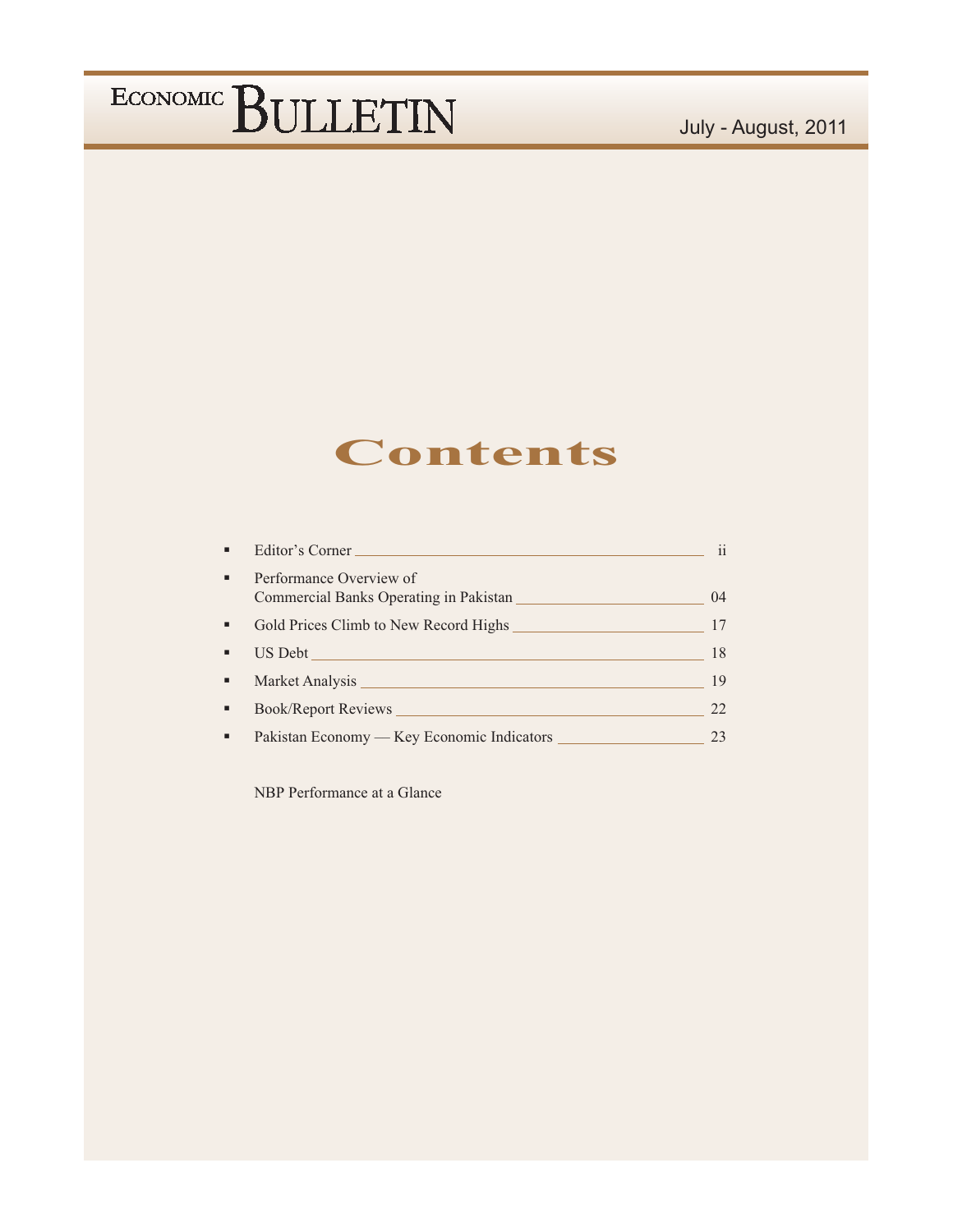### **Contents**

| ×, | Editor's Corner                                                                                                                                                                                                                | $\mathbf{ii}$ |
|----|--------------------------------------------------------------------------------------------------------------------------------------------------------------------------------------------------------------------------------|---------------|
| ٠  | Performance Overview of<br>Commercial Banks Operating in Pakistan                                                                                                                                                              | 04            |
| ٠  | Gold Prices Climb to New Record Highs                                                                                                                                                                                          | 17            |
| ٠  |                                                                                                                                                                                                                                | 18            |
| ٠  | Market Analysis New York and Separate Services and Services of the Services of the Services of the Services of the Services of the Services of the Services of the Services of the Services of the Services of the Services of | 19            |
| ٠  | Book/Report Reviews                                                                                                                                                                                                            | 22            |
| ٠  | Pakistan Economy — Key Economic Indicators                                                                                                                                                                                     |               |

NBP Performance at a Glance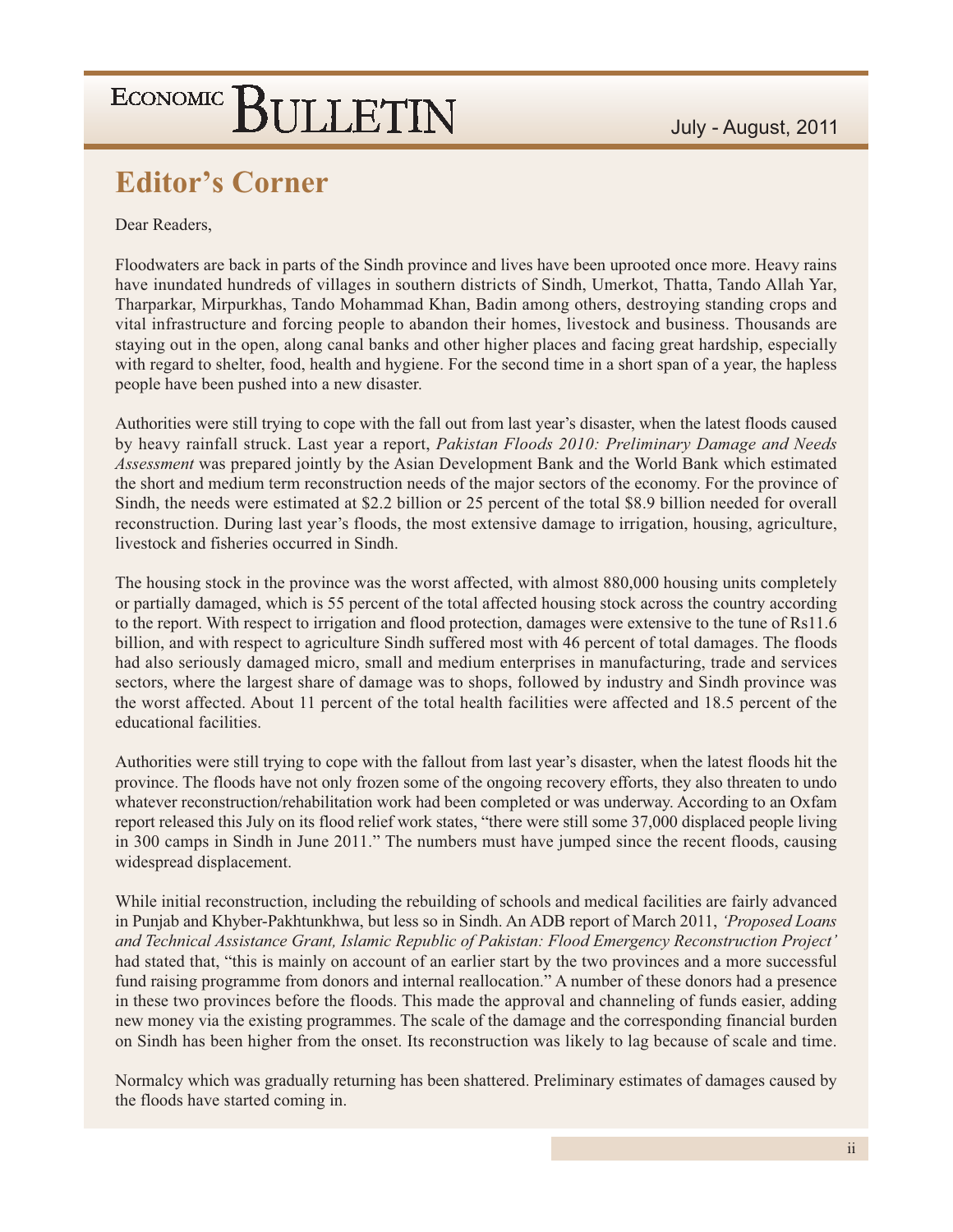### **Editor's Corner**

Dear Readers.

Floodwaters are back in parts of the Sindh province and lives have been uprooted once more. Heavy rains have inundated hundreds of villages in southern districts of Sindh, Umerkot, Thatta, Tando Allah Yar, Tharparkar, Mirpurkhas, Tando Mohammad Khan, Badin among others, destroying standing crops and vital infrastructure and forcing people to abandon their homes, livestock and business. Thousands are staying out in the open, along canal banks and other higher places and facing great hardship, especially with regard to shelter, food, health and hygiene. For the second time in a short span of a year, the hapless people have been pushed into a new disaster.

Authorities were still trying to cope with the fall out from last year's disaster, when the latest floods caused by heavy rainfall struck. Last year a report, Pakistan Floods 2010: Preliminary Damage and Needs Assessment was prepared jointly by the Asian Development Bank and the World Bank which estimated the short and medium term reconstruction needs of the major sectors of the economy. For the province of Sindh, the needs were estimated at \$2.2 billion or 25 percent of the total \$8.9 billion needed for overall reconstruction. During last year's floods, the most extensive damage to irrigation, housing, agriculture, livestock and fisheries occurred in Sindh.

The housing stock in the province was the worst affected, with almost 880,000 housing units completely or partially damaged, which is 55 percent of the total affected housing stock across the country according to the report. With respect to irrigation and flood protection, damages were extensive to the tune of Rs11.6 billion, and with respect to agriculture Sindh suffered most with 46 percent of total damages. The floods had also seriously damaged micro, small and medium enterprises in manufacturing, trade and services sectors, where the largest share of damage was to shops, followed by industry and Sindh province was the worst affected. About 11 percent of the total health facilities were affected and 18.5 percent of the educational facilities.

Authorities were still trying to cope with the fallout from last year's disaster, when the latest floods hit the province. The floods have not only frozen some of the ongoing recovery efforts, they also threaten to undo whatever reconstruction/rehabilitation work had been completed or was underway. According to an Oxfam report released this July on its flood relief work states, "there were still some 37,000 displaced people living in 300 camps in Sindh in June 2011." The numbers must have jumped since the recent floods, causing widespread displacement.

While initial reconstruction, including the rebuilding of schools and medical facilities are fairly advanced in Punjab and Khyber-Pakhtunkhwa, but less so in Sindh. An ADB report of March 2011, 'Proposed Loans' and Technical Assistance Grant, Islamic Republic of Pakistan: Flood Emergency Reconstruction Project' had stated that, "this is mainly on account of an earlier start by the two provinces and a more successful fund raising programme from donors and internal reallocation." A number of these donors had a presence in these two provinces before the floods. This made the approval and channeling of funds easier, adding new money via the existing programmes. The scale of the damage and the corresponding financial burden on Sindh has been higher from the onset. Its reconstruction was likely to lag because of scale and time.

Normalcy which was gradually returning has been shattered. Preliminary estimates of damages caused by the floods have started coming in.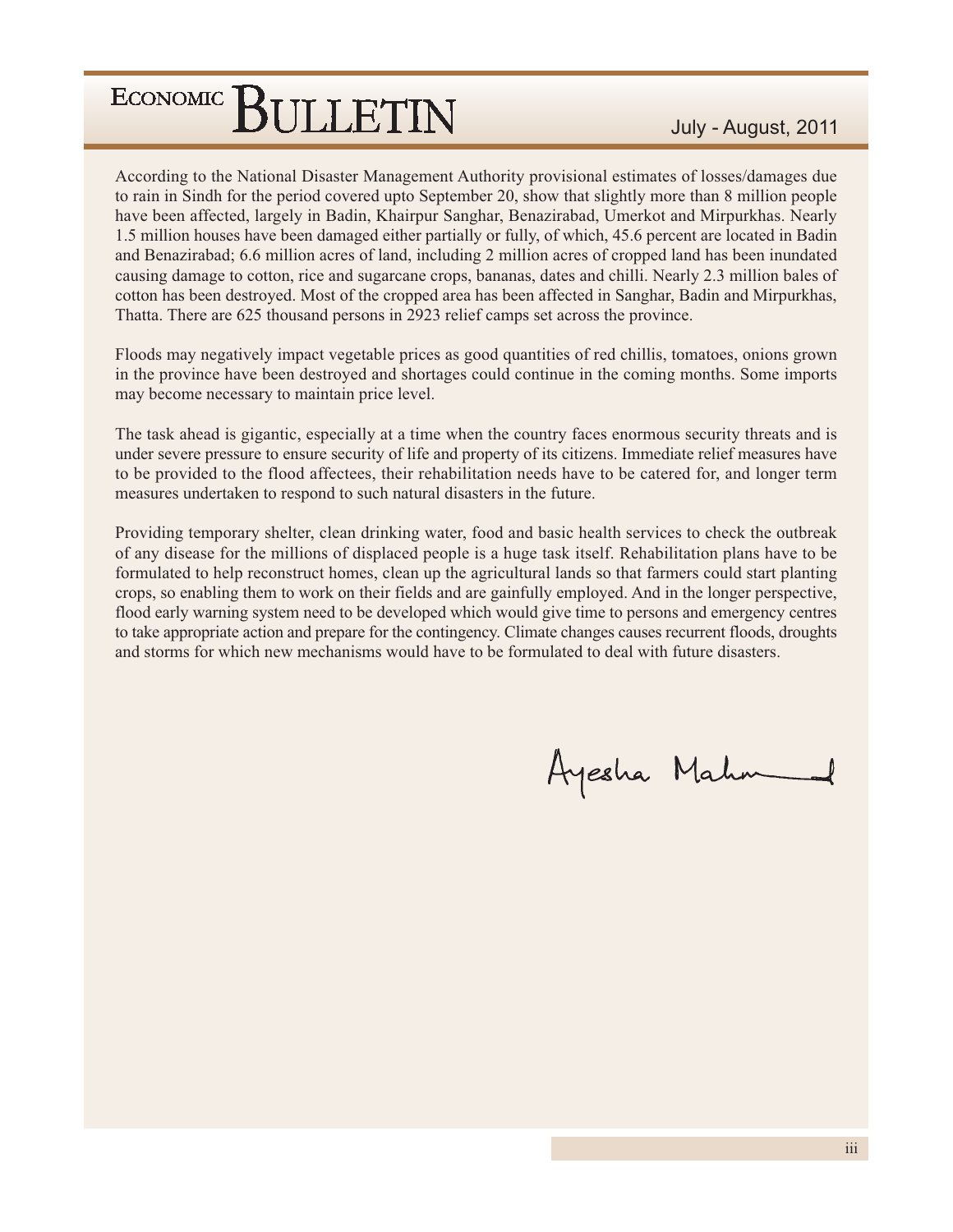According to the National Disaster Management Authority provisional estimates of losses/damages due to rain in Sindh for the period covered upto September 20, show that slightly more than 8 million people have been affected, largely in Badin, Khairpur Sanghar, Benazirabad, Umerkot and Mirpurkhas. Nearly 1.5 million houses have been damaged either partially or fully, of which, 45.6 percent are located in Badin and Benazirabad; 6.6 million acres of land, including 2 million acres of cropped land has been inundated causing damage to cotton, rice and sugarcane crops, bananas, dates and chilli. Nearly 2.3 million bales of cotton has been destroyed. Most of the cropped area has been affected in Sanghar, Badin and Mirpurkhas, Thatta. There are 625 thousand persons in 2923 relief camps set across the province.

Floods may negatively impact vegetable prices as good quantities of red chillis, tomatoes, onions grown in the province have been destroyed and shortages could continue in the coming months. Some imports may become necessary to maintain price level.

The task ahead is gigantic, especially at a time when the country faces enormous security threats and is under severe pressure to ensure security of life and property of its citizens. Immediate relief measures have to be provided to the flood affectees, their rehabilitation needs have to be catered for, and longer term measures undertaken to respond to such natural disasters in the future.

Providing temporary shelter, clean drinking water, food and basic health services to check the outbreak of any disease for the millions of displaced people is a huge task itself. Rehabilitation plans have to be formulated to help reconstruct homes, clean up the agricultural lands so that farmers could start planting crops, so enabling them to work on their fields and are gainfully employed. And in the longer perspective, flood early warning system need to be developed which would give time to persons and emergency centres to take appropriate action and prepare for the contingency. Climate changes causes recurrent floods, droughts and storms for which new mechanisms would have to be formulated to deal with future disasters.

Ayesha Mahm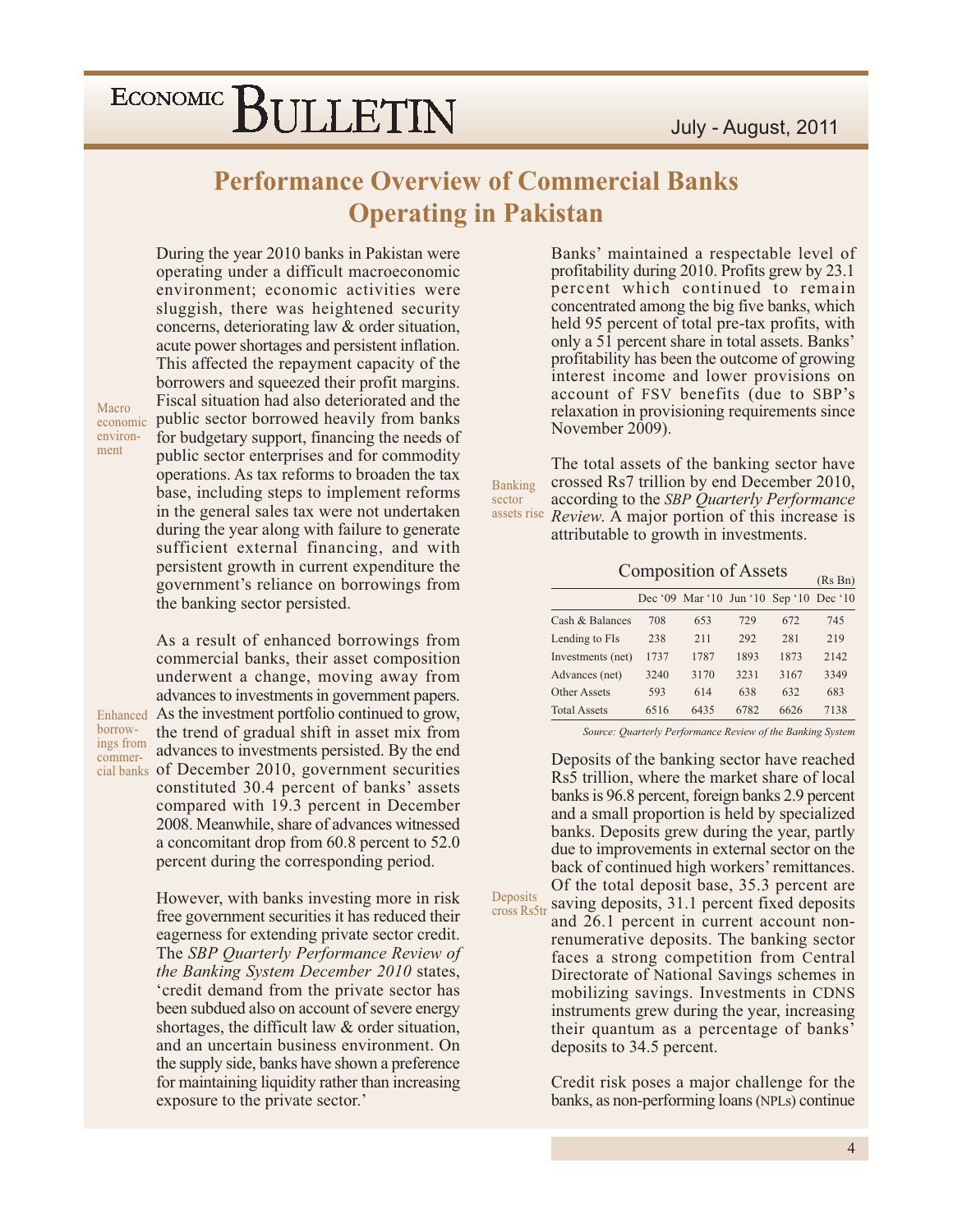### **Performance Overview of Commercial Banks Operating in Pakistan**

Deposits

During the year 2010 banks in Pakistan were operating under a difficult macroeconomic environment; economic activities were sluggish, there was heightened security concerns, deteriorating law & order situation, acute power shortages and persistent inflation. This affected the repayment capacity of the borrowers and squeezed their profit margins. Fiscal situation had also deteriorated and the public sector borrowed heavily from banks for budgetary support, financing the needs of public sector enterprises and for commodity operations. As tax reforms to broaden the tax base, including steps to implement reforms in the general sales tax were not undertaken during the year along with failure to generate sufficient external financing, and with persistent growth in current expenditure the government's reliance on borrowings from the banking sector persisted.

Macro economic environment

borrow-

As a result of enhanced borrowings from commercial banks, their asset composition underwent a change, moving away from advances to investments in government papers. Enhanced As the investment portfolio continued to grow, the trend of gradual shift in asset mix from ings from advances to investments persisted. By the end commercial banks of December 2010, government securities constituted 30.4 percent of banks' assets compared with 19.3 percent in December 2008. Meanwhile, share of advances witnessed a concomitant drop from 60.8 percent to 52.0 percent during the corresponding period.

> However, with banks investing more in risk free government securities it has reduced their eagerness for extending private sector credit. The SBP Quarterly Performance Review of *the Banking System December 2010 states,* 'credit demand from the private sector has been subdued also on account of severe energy shortages, the difficult law & order situation, and an uncertain business environment. On the supply side, banks have shown a preference for maintaining liquidity rather than increasing exposure to the private sector.'

Banks' maintained a respectable level of profitability during 2010. Profits grew by 23.1 percent which continued to remain concentrated among the big five banks, which held 95 percent of total pre-tax profits, with only a 51 percent share in total assets. Banks' profitability has been the outcome of growing interest income and lower provisions on account of FSV benefits (due to SBP's relaxation in provisioning requirements since November  $2009$ ).

The total assets of the banking sector have crossed Rs7 trillion by end December 2010, Banking sector according to the SBP Quarterly Performance assets rise Review. A major portion of this increase is attributable to growth in investments.

**Composition of Assets** 

|                     |      | Dec '09 Mar '10 Jun '10 Sep '10 Dec '10 |      |      |      |
|---------------------|------|-----------------------------------------|------|------|------|
| Cash $\&$ Balances  | 708  | 653                                     | 729  | 672  | 745  |
| Lending to FIs      | 238  | 211                                     | 292  | 281  | 219  |
| Investments (net)   | 1737 | 1787                                    | 1893 | 1873 | 2142 |
| Advances (net)      | 3240 | 3170                                    | 3231 | 3167 | 3349 |
| Other Assets        | 593  | 614                                     | 638  | 632  | 683  |
| <b>Total Assets</b> | 6516 | 6435                                    | 6782 | 6626 | 7138 |

Source: Quarterly Performance Review of the Banking System

Deposits of the banking sector have reached Rs5 trillion, where the market share of local banks is 96.8 percent, foreign banks 2.9 percent and a small proportion is held by specialized banks. Deposits grew during the year, partly due to improvements in external sector on the back of continued high workers' remittances. Of the total deposit base, 35.3 percent are saving deposits, 31.1 percent fixed deposits

cross Rs5tr and 26.1 percent in current account nonrenumerative deposits. The banking sector faces a strong competition from Central Directorate of National Savings schemes in mobilizing savings. Investments in CDNS instruments grew during the year, increasing their quantum as a percentage of banks' deposits to 34.5 percent.

> Credit risk poses a major challenge for the banks, as non-performing loans (NPLs) continue

 $(Rs Bn)$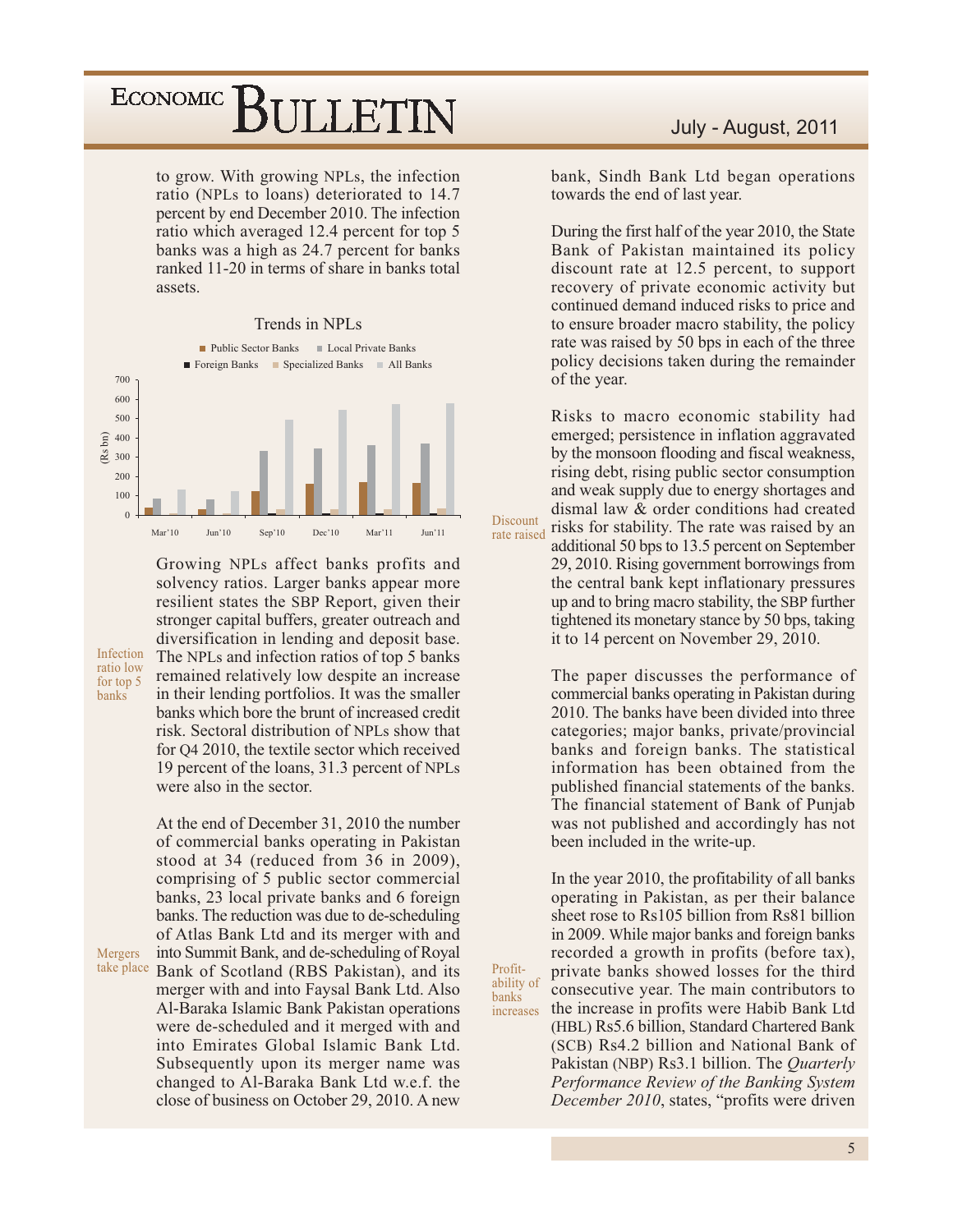to grow. With growing NPLs, the infection ratio (NPLs to loans) deteriorated to 14.7 percent by end December 2010. The infection ratio which averaged 12.4 percent for top 5 banks was a high as 24.7 percent for banks ranked 11-20 in terms of share in banks total assets.

#### Trends in NPLs



Growing NPLs affect banks profits and solvency ratios. Larger banks appear more resilient states the SBP Report, given their stronger capital buffers, greater outreach and diversification in lending and deposit base. The NPLs and infection ratios of top 5 banks remained relatively low despite an increase in their lending portfolios. It was the smaller banks which bore the brunt of increased credit risk. Sectoral distribution of NPLs show that for Q4 2010, the textile sector which received 19 percent of the loans, 31.3 percent of NPLs were also in the sector.

Infection

ratio low

for top 5

banks

At the end of December 31, 2010 the number of commercial banks operating in Pakistan stood at 34 (reduced from 36 in 2009), comprising of 5 public sector commercial banks, 23 local private banks and 6 foreign banks. The reduction was due to de-scheduling of Atlas Bank Ltd and its merger with and into Summit Bank, and de-scheduling of Royal Mergers take place Bank of Scotland (RBS Pakistan), and its merger with and into Faysal Bank Ltd. Also Al-Baraka Islamic Bank Pakistan operations were de-scheduled and it merged with and into Emirates Global Islamic Bank Ltd. Subsequently upon its merger name was changed to Al-Baraka Bank Ltd w.e.f. the close of business on October 29, 2010. A new

July - August, 2011

bank, Sindh Bank Ltd began operations towards the end of last year.

During the first half of the year 2010, the State Bank of Pakistan maintained its policy discount rate at 12.5 percent, to support recovery of private economic activity but continued demand induced risks to price and to ensure broader macro stability, the policy rate was raised by 50 bps in each of the three policy decisions taken during the remainder of the year.

Risks to macro economic stability had emerged; persistence in inflation aggravated by the monsoon flooding and fiscal weakness, rising debt, rising public sector consumption and weak supply due to energy shortages and dismal law & order conditions had created risks for stability. The rate was raised by an additional 50 bps to 13.5 percent on September 29, 2010. Rising government borrowings from the central bank kept inflationary pressures up and to bring macro stability, the SBP further tightened its monetary stance by 50 bps, taking

The paper discusses the performance of commercial banks operating in Pakistan during 2010. The banks have been divided into three categories; major banks, private/provincial banks and foreign banks. The statistical information has been obtained from the published financial statements of the banks. The financial statement of Bank of Punjab was not published and accordingly has not been included in the write-up.

it to 14 percent on November 29, 2010.

In the year 2010, the profitability of all banks operating in Pakistan, as per their balance sheet rose to Rs105 billion from Rs81 billion in 2009. While major banks and foreign banks recorded a growth in profits (before tax), private banks showed losses for the third consecutive year. The main contributors to the increase in profits were Habib Bank Ltd (HBL) Rs5.6 billion, Standard Chartered Bank (SCB) Rs4.2 billion and National Bank of Pakistan (NBP) Rs3.1 billion. The *Quarterly* Performance Review of the Banking System *December 2010*, states, "profits were driven

Profitability of banks increases

Discount

rate raised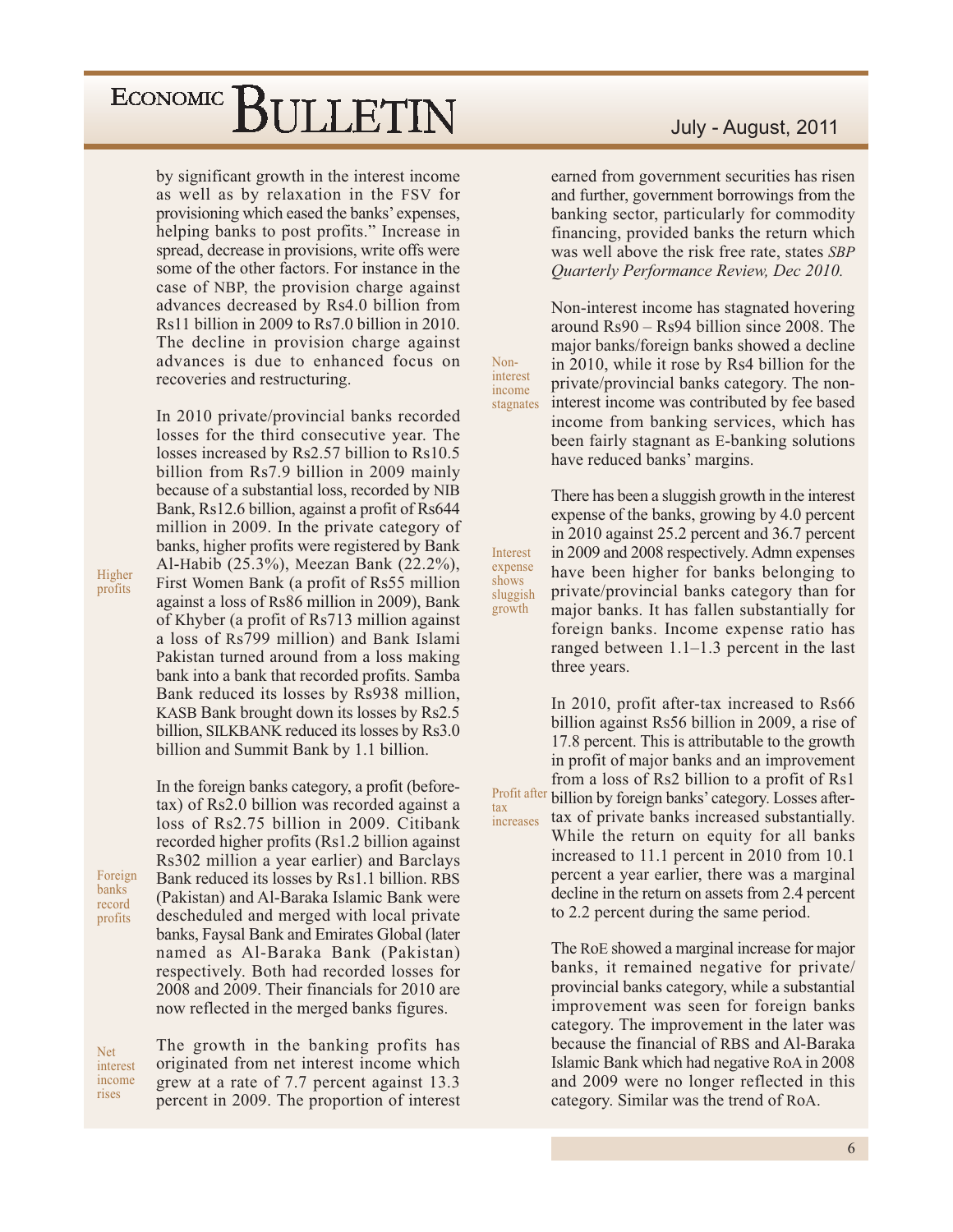by significant growth in the interest income as well as by relaxation in the FSV for provisioning which eased the banks' expenses, helping banks to post profits." Increase in spread, decrease in provisions, write offs were some of the other factors. For instance in the case of NBP, the provision charge against advances decreased by Rs4.0 billion from Rs11 billion in 2009 to Rs7.0 billion in 2010. The decline in provision charge against advances is due to enhanced focus on recoveries and restructuring.

In 2010 private/provincial banks recorded losses for the third consecutive year. The losses increased by Rs2.57 billion to Rs10.5 billion from Rs7.9 billion in 2009 mainly because of a substantial loss, recorded by NIB Bank, Rs12.6 billion, against a profit of Rs644 million in 2009. In the private category of banks, higher profits were registered by Bank Al-Habib (25.3%), Meezan Bank (22.2%), First Women Bank (a profit of Rs55 million against a loss of Rs86 million in 2009), Bank of Khyber (a profit of Rs713 million against) a loss of Rs799 million) and Bank Islami Pakistan turned around from a loss making bank into a bank that recorded profits. Samba Bank reduced its losses by Rs938 million, KASB Bank brought down its losses by Rs2.5 billion, SILKBANK reduced its losses by Rs3.0 billion and Summit Bank by 1.1 billion.

In the foreign banks category, a profit (beforetax) of Rs2.0 billion was recorded against a loss of Rs2.75 billion in 2009. Citibank recorded higher profits (Rs1.2 billion against) Rs302 million a year earlier) and Barclays Bank reduced its losses by Rs1.1 billion. RBS (Pakistan) and Al-Baraka Islamic Bank were descheduled and merged with local private banks, Faysal Bank and Emirates Global (later named as Al-Baraka Bank (Pakistan) respectively. Both had recorded losses for 2008 and 2009. Their financials for 2010 are now reflected in the merged banks figures.

The growth in the banking profits has originated from net interest income which grew at a rate of 7.7 percent against 13.3 percent in 2009. The proportion of interest

#### July - August, 2011

earned from government securities has risen and further, government borrowings from the banking sector, particularly for commodity financing, provided banks the return which was well above the risk free rate, states SBP **Ouarterly Performance Review, Dec 2010.** 

Non-interest income has stagnated hovering around  $\text{Rs}90 - \text{Rs}94$  billion since 2008. The major banks/foreign banks showed a decline in 2010, while it rose by Rs4 billion for the private/provincial banks category. The noninterest income was contributed by fee based stagnates income from banking services, which has been fairly stagnant as E-banking solutions have reduced banks' margins.

Non-

interest

income

Interest

expense

shows

growth

tax

increases

There has been a sluggish growth in the interest expense of the banks, growing by 4.0 percent in 2010 against 25.2 percent and 36.7 percent in 2009 and 2008 respectively. Admn expenses have been higher for banks belonging to private/provincial banks category than for sluggish major banks. It has fallen substantially for foreign banks. Income expense ratio has ranged between  $1.1-1.3$  percent in the last three years.

In 2010, profit after-tax increased to Rs66 billion against Rs56 billion in 2009, a rise of 17.8 percent. This is attributable to the growth in profit of major banks and an improvement from a loss of Rs2 billion to a profit of Rs1 Profit after billion by foreign banks' category. Losses aftertax of private banks increased substantially. While the return on equity for all banks increased to 11.1 percent in 2010 from 10.1 percent a year earlier, there was a marginal decline in the return on assets from 2.4 percent to 2.2 percent during the same period.

> The RoE showed a marginal increase for major banks, it remained negative for private/ provincial banks category, while a substantial improvement was seen for foreign banks category. The improvement in the later was because the financial of RBS and Al-Baraka Islamic Bank which had negative RoA in 2008 and 2009 were no longer reflected in this category. Similar was the trend of RoA.

Higher profits

Foreign

banks

record

profits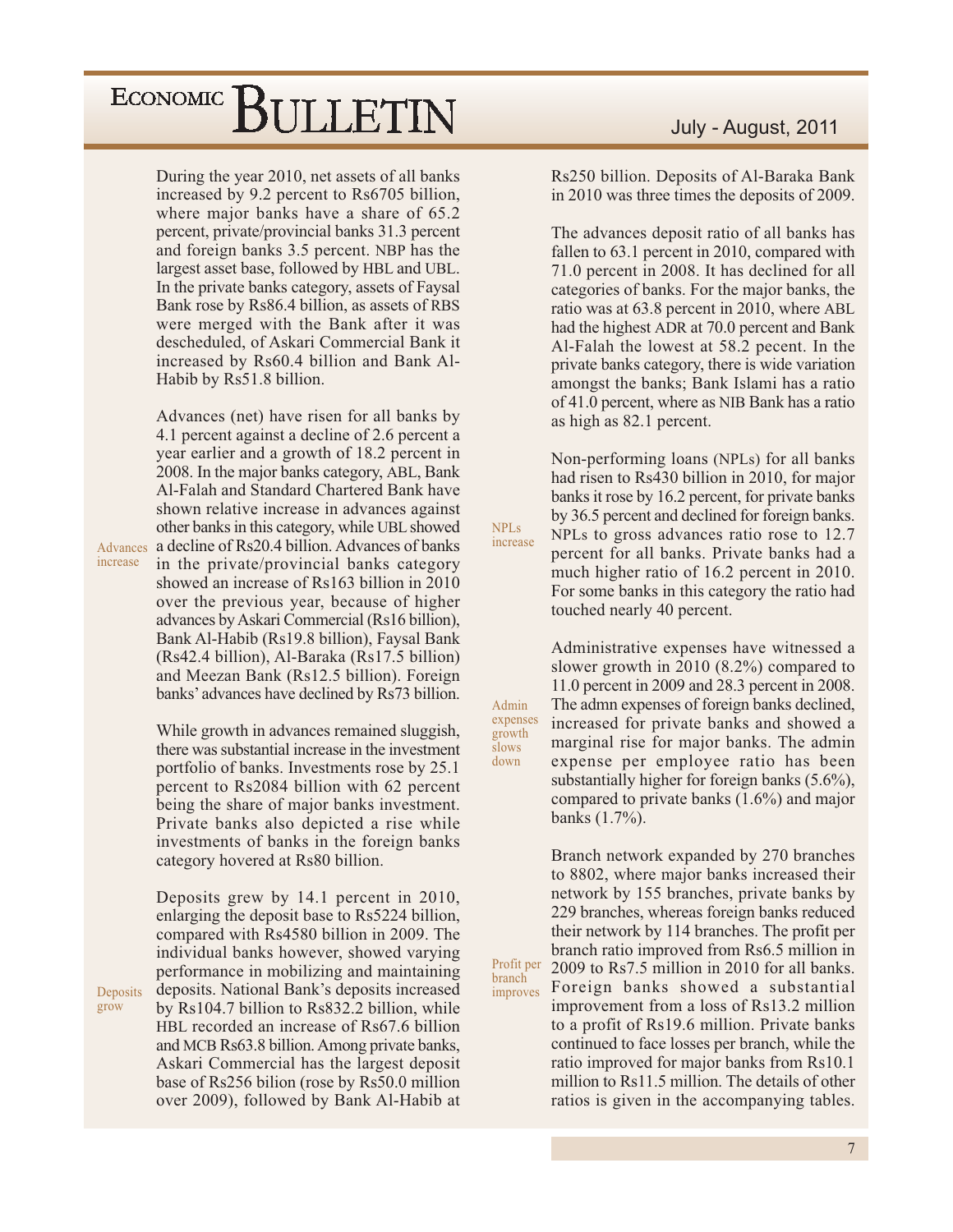During the year 2010, net assets of all banks increased by 9.2 percent to Rs6705 billion, where major banks have a share of 65.2 percent, private/provincial banks 31.3 percent and foreign banks 3.5 percent. NBP has the largest asset base, followed by HBL and UBL. In the private banks category, assets of Faysal Bank rose by Rs86.4 billion, as assets of RBS were merged with the Bank after it was descheduled, of Askari Commercial Bank it increased by Rs60.4 billion and Bank Al-Habib by Rs51.8 billion.

Advances (net) have risen for all banks by 4.1 percent against a decline of 2.6 percent a year earlier and a growth of 18.2 percent in 2008. In the major banks category, ABL, Bank Al-Falah and Standard Chartered Bank have shown relative increase in advances against other banks in this category, while UBL showed Advances a decline of Rs20.4 billion. Advances of banks in the private/provincial banks category showed an increase of Rs163 billion in 2010 over the previous year, because of higher advances by Askari Commercial (Rs16 billion), Bank Al-Habib (Rs19.8 billion), Faysal Bank

(Rs42.4 billion), Al-Baraka (Rs17.5 billion) and Meezan Bank (Rs12.5 billion). Foreign banks' advances have declined by Rs73 billion.

While growth in advances remained sluggish, there was substantial increase in the investment portfolio of banks. Investments rose by 25.1 percent to Rs2084 billion with 62 percent being the share of major banks investment. Private banks also depicted a rise while investments of banks in the foreign banks category hovered at Rs80 billion.

Deposits grew by 14.1 percent in 2010, enlarging the deposit base to Rs5224 billion, compared with Rs4580 billion in 2009. The individual banks however, showed varying performance in mobilizing and maintaining deposits. National Bank's deposits increased by Rs104.7 billion to Rs832.2 billion, while HBL recorded an increase of Rs67.6 billion and MCB Rs63.8 billion. Among private banks, Askari Commercial has the largest deposit base of Rs256 bilion (rose by Rs50.0 million over 2009), followed by Bank Al-Habib at Rs250 billion. Deposits of Al-Baraka Bank in 2010 was three times the deposits of 2009.

The advances deposit ratio of all banks has fallen to 63.1 percent in 2010, compared with 71.0 percent in 2008. It has declined for all categories of banks. For the major banks, the ratio was at 63.8 percent in 2010, where ABL had the highest ADR at 70.0 percent and Bank Al-Falah the lowest at 58.2 pecent. In the private banks category, there is wide variation amongst the banks; Bank Islami has a ratio of 41.0 percent, where as NIB Bank has a ratio as high as 82.1 percent.

Non-performing loans (NPLs) for all banks had risen to Rs430 billion in 2010, for major banks it rose by 16.2 percent, for private banks by 36.5 percent and declined for foreign banks. NPLs to gross advances ratio rose to 12.7 percent for all banks. Private banks had a much higher ratio of 16.2 percent in 2010. For some banks in this category the ratio had touched nearly 40 percent.

NPL<sub>s</sub>

increase

Admin

growth

slows

down

Profit per

improves

branch

Administrative expenses have witnessed a slower growth in 2010  $(8.2\%)$  compared to 11.0 percent in 2009 and 28.3 percent in 2008. The admn expenses of foreign banks declined, expenses increased for private banks and showed a marginal rise for major banks. The admin expense per employee ratio has been substantially higher for foreign banks  $(5.6\%)$ , compared to private banks  $(1.6\%)$  and major banks  $(1.7\%)$ .

> Branch network expanded by 270 branches to 8802, where major banks increased their network by 155 branches, private banks by 229 branches, whereas foreign banks reduced their network by 114 branches. The profit per branch ratio improved from Rs6.5 million in 2009 to Rs7.5 million in 2010 for all banks. Foreign banks showed a substantial improvement from a loss of Rs13.2 million to a profit of Rs19.6 million. Private banks continued to face losses per branch, while the ratio improved for major banks from Rs10.1 million to Rs11.5 million. The details of other ratios is given in the accompanying tables.

Deposits grow

increase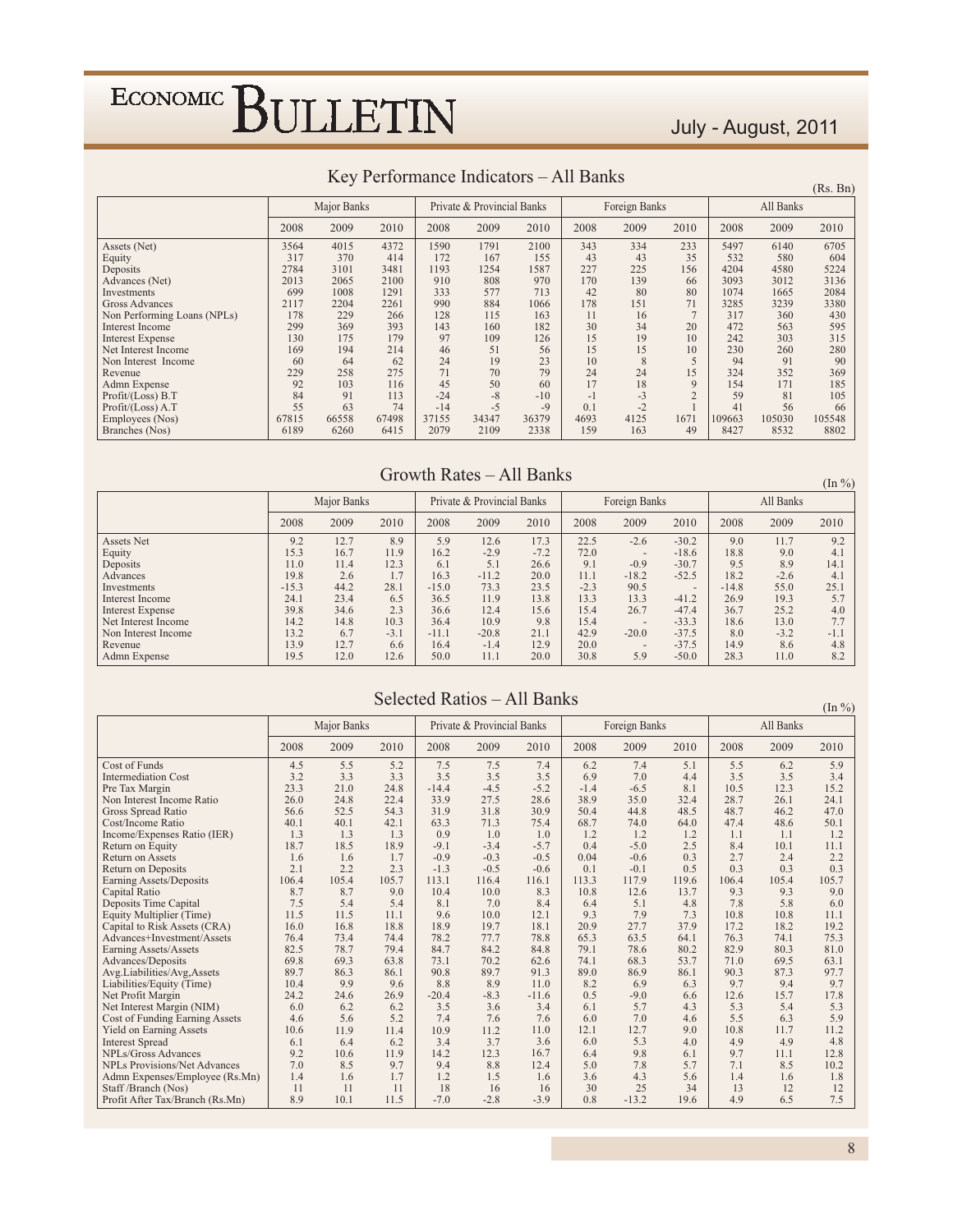#### July - August, 2011

|                             |       | Major Banks |       |       | Private & Provincial Banks |       |      | Foreign Banks |                | All Banks |        |        |  |
|-----------------------------|-------|-------------|-------|-------|----------------------------|-------|------|---------------|----------------|-----------|--------|--------|--|
|                             | 2008  | 2009        | 2010  | 2008  | 2009                       | 2010  | 2008 | 2009          | 2010           | 2008      | 2009   | 2010   |  |
| Assets (Net)                | 3564  | 4015        | 4372  | 1590  | 1791                       | 2100  | 343  | 334           | 233            | 5497      | 6140   | 6705   |  |
| Equity                      | 317   | 370         | 414   | 172   | 167                        | 155   | 43   | 43            | 35             | 532       | 580    | 604    |  |
| Deposits                    | 2784  | 3101        | 3481  | 1193  | 1254                       | 1587  | 227  | 225           | 156            | 4204      | 4580   | 5224   |  |
| Advances (Net)              | 2013  | 2065        | 2100  | 910   | 808                        | 970   | 170  | 139           | 66             | 3093      | 3012   | 3136   |  |
| Investments                 | 699   | 1008        | 1291  | 333   | 577                        | 713   | 42   | 80            | 80             | 1074      | 1665   | 2084   |  |
| <b>Gross Advances</b>       | 2117  | 2204        | 2261  | 990   | 884                        | 1066  | 178  | 151           | 71             | 3285      | 3239   | 3380   |  |
| Non Performing Loans (NPLs) | 178   | 229         | 266   | 128   | 115                        | 163   | 11   | 16            | $\overline{ }$ | 317       | 360    | 430    |  |
| <b>Interest Income</b>      | 299   | 369         | 393   | 143   | 160                        | 182   | 30   | 34            | 20             | 472       | 563    | 595    |  |
| <b>Interest Expense</b>     | 130   | 175         | 179   | 97    | 109                        | 126   | 15   | 19            | 10             | 242       | 303    | 315    |  |
| Net Interest Income         | 169   | 194         | 214   | 46    | 51                         | 56    | 15   | 15            | 10             | 230       | 260    | 280    |  |
| Non Interest Income         | 60    | 64          | 62    | 24    | 19                         | 23    | 10   | 8             |                | 94        | 91     | 90     |  |
| Revenue                     | 229   | 258         | 275   | 71    | 70                         | 79    | 24   | 24            | 15             | 324       | 352    | 369    |  |
| Admn Expense                | 92    | 103         | 116   | 45    | 50                         | 60    | 17   | 18            | $\mathbf Q$    | 154       | 171    | 185    |  |
| Profit/(Loss) B.T           | 84    | 91          | 113   | $-24$ | $-8$                       | $-10$ | $-1$ | $-3$          | $\Omega$       | 59        | 81     | 105    |  |
| Profit/(Loss) A.T           | 55    | 63          | 74    | $-14$ | $-5$                       | $-9$  | 0.1  | $-2$          |                | 41        | 56     | 66     |  |
| Employees (Nos)             | 67815 | 66558       | 67498 | 37155 | 34347                      | 36379 | 4693 | 4125          | 1671           | 109663    | 105030 | 105548 |  |
| Branches (Nos)              | 6189  | 6260        | 6415  | 2079  | 2109                       | 2338  | 159  | 163           | 49             | 8427      | 8532   | 8802   |  |

#### Key Performance Indicators – All Banks

 $(Rs. Bn)$ 

 $(\text{In } \%)$ 

#### Growth Rates - All Banks

Major Banks Private & Provincial Banks Foreign Banks All Banks 2008 2009 2010 2008 2009 2010 2008 2009 2010 2008 2009 2010 **Assets Net**  $9.2$  $12.7$ 8.9 5.9 12.6 17.3 22.5  $-2.6$  $-30.2$  $9.0$ 11.7 9.2 Equity  $153$ 16.7 11.9  $162$  $-2.9$  $-7.2$  $\frac{72.0}{9.1}$  $-18.6$ 18.8  $9<sub>0</sub>$  $41$  $12.3$  $51$  $-0.9$ 89 Deposits  $110$  $114$ 6.1 26.6  $-307$  $9<sup>5</sup>$  $141$  $16.3$  $18.2$ 19.8  $-11.2$ 20.0  $11.1$  $-18.2$  $-52.5$  $-2.6$ 2.6  $1.7$  $4.1$ Advances Investments  $-15.3$ 44.2 28.1  $-15.0$ 73.3  $23.5$  $-2.3$ 90.5  $-14.8$ 55.0  $25.1$ Interest Income  $24.1$ 23.4 6.5 36.5 11.9 13.8 13.3 13.3  $-41.2$ 26.9 19.3 5.7 Interest Expense 39.8 34.6  $2.3$ 36.6 12.4 15.6 15.4 26.7  $-47.4$ <br> $-33.3$ 36.7 25.2  $4.0\,$  $10.3$ Net Interest Income  $142$  $14.8$  $364$  $109$  $98$  $154$ 18.6  $13.0$  $77$ Non Interest Income  $13.2$  $21.1$  $42.9$  $-20.0$  $-37.5$  $8.0$ 6.7  $-3.1$  $-11.1$  $-20.8$  $-3.2$  $-1.1$  $13.9$  $12.7$  $20.0$  $-37.5$ 14.9 Revenue 6.6 16.4  $-1.4$ 12.9 8.6 4.8 Admn Expense 19.5  $12.0$ 12.6 50.0  $11.1$  $20.0$ 30.8 5.9  $-50.0$ 28.3  $11.0$  $8.2$ 

#### Selected Ratios - All Banks

 $(In \%)$ Major Banks Private & Provincial Banks All Banks Foreign Banks 2008 2009 2010 2008 2009 2010 2008 2009 2010 2008 2009 2010 Cost of Funds  $4.5$  $\overline{5.5}$  $5.2$  $7.5$  $7.5$  $7.4$  $7.4$  $\overline{5.1}$  $\overline{5.5}$  $5.9$  $6.2$  $6.2$ Intermediation Cost  $3.2$  $3.3$  $3.\overline{3}$  $3.5$  $3.5$  $3.5$  $6.9$  $7.0$  $4.4$  $3.5$  $3.5$  $3.4$ Pre Tax Margin  $23.3$  $21.0$  $24.8$  $-14.4$  $-4.5$  $-5.2$  $-1.4$  $10.5$  $12.3$  $15.2$  $-6.5$  $8.1\,$ Non Interest Income Ratio 26.0 24.8 22.4 33.9 27.5 28.6 38.9 35.0 32.4 28.7 26.1 24.1  $54.3$ <br> $42.1$ Gross Spread Ratio 56.6 52.5 31.9 31.8 30.9 50.4 44.8 48.5 48.7  $462$ 47.0  $40.1$ 74.0 Cost/Income Ratio 40.1 63.3 71.3 75.4 68.7 64.0 47.4 48.6 50.1 Income/Expenses Ratio (IER)  $1.3$ 0.9  $\frac{1.2}{2.5}$  $1.1$  $1.3$  $1.3$  $1.0$  $1.0$  $1.2$  $1.2$  $1.1$  $1.2$ Return on Equity  $18.7$  $18.5$ 18.9  $-9.1$  $-3.4$  $-5.7$  $0.4$  $-5.0$  $8.4$  $10.1$  $11.1$ Return on Assets 1.6 1.6  $1.7$  $-0.9$  $-0.3$  $-0.5$  $0.04$  $-0.6$  $0.3$  $2.7$  $2.4$  $2.2$ Return on Deposits  $2.1$  $2.2$  $2.3$  $-1.3$  $-0.5$  $-0.6$  $0.1$  $-0.1$  $0.5$  $0.3$  $0.3$  $0.3$ Earning Assets/Deposits<br>Capital Ratio  $1064$  $105.4$  $105.7$ 119.6 1161  $1133$ 1179 1064 1054 105.7  $1131$ 1164 9.0 9.3 9.0  $10.0$ 10.8 12.6 9.3 10.4 13.7 8.7  $8.7$ 8.3  $7.5$  $5.4$  $8.4$  $\frac{5.1}{7.9}$ 5.8 Deposits Time Capital 5.4 8.1 7.0 6.4 4.8 7.8 6.0 Equity Multiplier (Time)  $11.5$  $11.5$  $11.1$ 9.6  $10.0$ 9.3  $7.3$ 10.8  $10.8$  $12.1$  $11.1$  $\frac{27.7}{63.5}$  $\frac{17.2}{76.3}$ Capital to Risk Assets (CRA) 16.0 16.8 18.8 18.9 19.7 18.1 20.9 37.9 18.2  $19.2$  $744$  $777$ 64 1  $753$ Advances+Investment/Assets 764  $734$ 78.2 78.8 653 74 1 Earning Assets/Assets  $82.5$  $78.7$  $79.4$  $84.2$  $84.7$ 84.8  $79.1$ 78.6  $80.2$  $82.9$  $80.3$  $81.0$ Advances/Deposits  $69.8$ 69.3 63.8 73.1  $70.2$ 62.6 74.1 68.3 53.7 71.0 69.5 63.1 Avg.Liabilities/Avg,Assets 89.7 86.3 86.1 90.8 89.7 91.3 89.0 86.9 86.1 90.3 87.3 97.7 Liabilities/Equity (Time) 10.4  $99$ 9.6 8.8 8.9  $11.0\,$  $8.2$ <br>0.5 6.9 6.3 9.7 9.4 9.7 Net Profit Margin 24.2 24.6 26.9  $-20.4$  $-8.3$  $-11.6$  $-9.0$ 6.6 12.6 15.7 17.8 Net Interest Margin (NIM)<br>Cost of Funding Earning Assets  $6.2$ <br>5.6  $6.2$ <br> $5.2$  $\frac{3.5}{7.4}$  $\frac{3.6}{7.6}$  $3.4$ <br>7.6  $\frac{5.7}{7.0}$  $\frac{5.3}{5.5}$  $\frac{5.3}{5.9}$ 6.0 6.1  $4.3$ 5.4  $4.6$  $6.0$  $4.6$  $6.3$ Yield on Earning Assets 10.6 11.9 11.4 10.9  $11.2$ 11.0  $12.1$ 12.7 9.0 10.8 11.7 11.2  $3.4$ <br>14.2  $\frac{3.7}{12.3}$  $4.9$ <br>9.7 **Interest Spread**  $6.1\,$ 6.4 6.2  $3.6\,$ 6.0  $53$  $4.0\,$ 4.9 4.8 NPLs/Gross Advances 92  $106$  $119$ 16.7 6.4 9.8 6.1  $111$  $12.8$ **NPLs Provisions/Net Advances** 7.0 8.5 9.7 9.4 8.8 12.4 5.0 7.8 5.7  $7.1$ 8.5  $10.2$  $\overline{1.2}$ Admn Expenses/Employee (Rs.Mn)  $1.4$ 1.6  $1.7$  $1.5$  $3.6$  $4.3$ 5.6  $1.4$  $1.6$ 1.8 1.6 18 30 25 34  $12$  $12$ Staff /Branch (Nos)  $1\,1$  $11$  $11$  $16$  $16\,$ 13 Profit After Tax/Branch (Rs.Mn) 8.9  $10.1$ 11.5  $-7.0$  $-2.8$  $-3.9$  $0.8$  $-13.2$ 19.6 4.9 6.5  $7.5\,$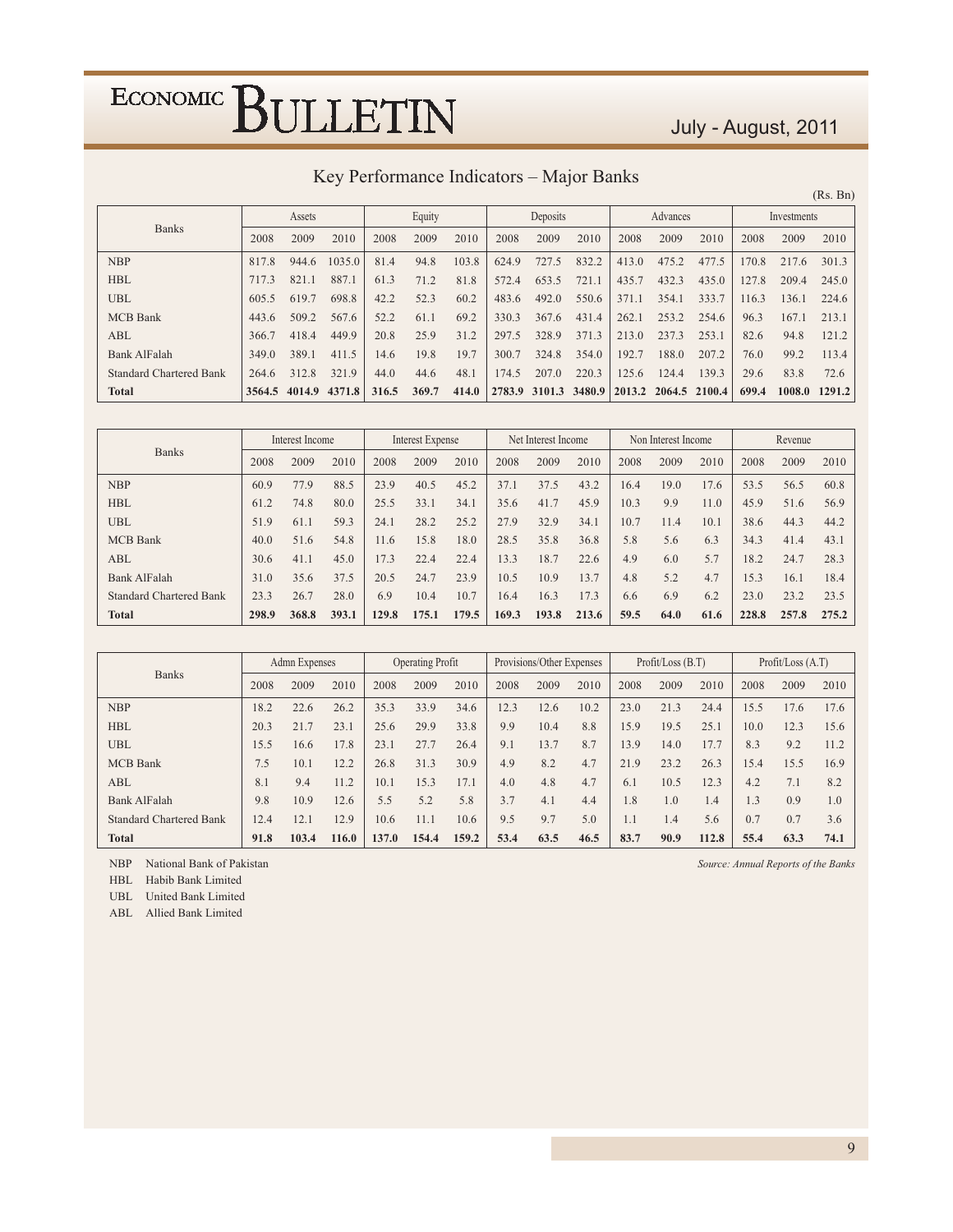#### July - August, 2011

| Key Performance Indicators – Major Banks |
|------------------------------------------|
|------------------------------------------|

|                                |        |        |        |       |        |       |       |               |        |        |               |       |             |        | (Rs. Bn) |
|--------------------------------|--------|--------|--------|-------|--------|-------|-------|---------------|--------|--------|---------------|-------|-------------|--------|----------|
|                                |        | Assets |        |       | Equity |       |       | Deposits      |        |        | Advances      |       | Investments |        |          |
| <b>Banks</b>                   | 2008   | 2009   | 2010   | 2008  | 2009   | 2010  | 2008  | 2009          | 2010   | 2008   | 2009          | 2010  | 2008        | 2009   | 2010     |
| <b>NBP</b>                     | 817.8  | 944.6  | 1035.0 | 81.4  | 94.8   | 103.8 | 624.9 | 727.5         | 832.2  | 413.0  | 475.2         | 477.5 | 170.8       | 217.6  | 301.3    |
| <b>HBL</b>                     | 717.3  | 821.1  | 887.1  | 61.3  | 71.2   | 81.8  | 572.4 | 653.5         | 721.1  | 435.7  | 432.3         | 435.0 | 127.8       | 209.4  | 245.0    |
| <b>UBL</b>                     | 605.5  | 619.7  | 698.8  | 42.2  | 52.3   | 60.2  | 483.6 | 492.0         | 550.6  | 371.1  | 354.1         | 333.7 | 116.3       | 136.1  | 224.6    |
| <b>MCB</b> Bank                | 443.6  | 509.2  | 567.6  | 52.2  | 61.1   | 69.2  | 330.3 | 367.6         | 431.4  | 262.1  | 253.2         | 254.6 | 96.3        | 167.1  | 213.1    |
| ABL                            | 366.7  | 418.4  | 449.9  | 20.8  | 25.9   | 31.2  | 297.5 | 328.9         | 371.3  | 213.0  | 237.3         | 253.1 | 82.6        | 94.8   | 121.2    |
| <b>Bank AlFalah</b>            | 349.0  | 389.1  | 411.5  | 14.6  | 19.8   | 19.7  | 300.7 | 324.8         | 354.0  | 192.7  | 188.0         | 207.2 | 76.0        | 99.2   | 113.4    |
| <b>Standard Chartered Bank</b> | 264.6  | 312.8  | 321.9  | 44.0  | 44.6   | 48.1  | 174.5 | 207.0         | 220.3  | 125.6  | 124.4         | 139.3 | 29.6        | 83.8   | 72.6     |
| <b>Total</b>                   | 3564.5 | 4014.9 | 4371.8 | 316.5 | 369.7  | 414.0 |       | 2783.9 3101.3 | 3480.9 | 2013.2 | 2064.5 2100.4 |       | 699.4       | 1008.0 | 1291.2   |

| <b>Banks</b>                   | Interest Income |                         |      | Interest Expense |       |       | Net Interest Income |       |       |      | Non Interest Income |      | Revenue |       |       |
|--------------------------------|-----------------|-------------------------|------|------------------|-------|-------|---------------------|-------|-------|------|---------------------|------|---------|-------|-------|
|                                | 2008            | 2009                    | 2010 | 2008             | 2009  | 2010  | 2008                | 2009  | 2010  | 2008 | 2009                | 2010 | 2008    | 2009  | 2010  |
| <b>NBP</b>                     | 60.9            | 77.9                    | 88.5 | 23.9             | 40.5  | 45.2  | 37.1                | 37.5  | 43.2  | 16.4 | 19.0                | 17.6 | 53.5    | 56.5  | 60.8  |
| <b>HBL</b>                     | 61.2            | 74.8                    | 80.0 | 25.5             | 33.1  | 34.1  | 35.6                | 41.7  | 45.9  | 10.3 | 9.9                 | 11.0 | 45.9    | 51.6  | 56.9  |
| <b>UBL</b>                     | 51.9            | 61.1                    | 59.3 | 24.1             | 28.2  | 25.2  | 27.9                | 32.9  | 34.1  | 10.7 | 11.4                | 10.1 | 38.6    | 44.3  | 44.2  |
| <b>MCB</b> Bank                | 40.0            | 51.6                    | 54.8 | 11.6             | 15.8  | 18.0  | 28.5                | 35.8  | 36.8  | 5.8  | 5.6                 | 6.3  | 34.3    | 41.4  | 43.1  |
| ABL                            | 30.6            | 41.1                    | 45.0 | 17.3             | 22.4  | 22.4  | 13.3                | 18.7  | 22.6  | 4.9  | 6.0                 | 5.7  | 18.2    | 24.7  | 28.3  |
| <b>Bank AlFalah</b>            | 31.0            | 35.6                    | 37.5 | 20.5             | 24.7  | 23.9  | 10.5                | 10.9  | 13.7  | 4.8  | 5.2                 | 4.7  | 15.3    | 16.1  | 18.4  |
| <b>Standard Chartered Bank</b> | 23.3            | 28.0<br>26.7            |      | 6.9              | 10.4  | 10.7  | 16.4                | 16.3  | 17.3  | 6.6  | 6.9                 | 6.2  | 23.0    | 23.2  | 23.5  |
| <b>Total</b>                   | 298.9           | 393.1<br>368.8<br>129.8 |      |                  | 175.1 | 179.5 | 169.3               | 193.8 | 213.6 | 59.5 | 64.0                | 61.6 | 228.8   | 257.8 | 275.2 |

|                                |      | Admn Expenses |       |       | <b>Operating Profit</b> |       |      | Provisions/Other Expenses |      |      | Profit / Loss (B.T) |       | Profit/Loss $(A.T)$ |      |      |
|--------------------------------|------|---------------|-------|-------|-------------------------|-------|------|---------------------------|------|------|---------------------|-------|---------------------|------|------|
| <b>Banks</b>                   | 2008 | 2009          | 2010  | 2008  | 2009                    | 2010  | 2008 | 2009                      | 2010 | 2008 | 2009                | 2010  | 2008                | 2009 | 2010 |
| <b>NBP</b>                     | 18.2 | 22.6          | 26.2  | 35.3  | 33.9                    | 34.6  | 12.3 | 12.6                      | 10.2 | 23.0 | 21.3                | 24.4  | 15.5                | 17.6 | 17.6 |
| <b>HBL</b>                     | 20.3 | 21.7          | 23.1  | 25.6  | 29.9                    | 33.8  | 9.9  | 10.4                      | 8.8  | 15.9 | 19.5                | 25.1  | 10.0                | 12.3 | 15.6 |
| <b>UBL</b>                     | 15.5 | 16.6          | 17.8  | 23.1  | 27.7                    | 26.4  | 9.1  | 13.7                      | 8.7  | 13.9 | 14.0                | 17.7  | 8.3                 | 9.2  | 11.2 |
| <b>MCB</b> Bank                | 7.5  | 10.1          | 12.2  | 26.8  | 31.3                    | 30.9  | 4.9  | 8.2                       | 4.7  | 21.9 | 23.2                | 26.3  | 15.4                | 15.5 | 16.9 |
| ABL                            | 8.1  | 9.4           | 11.2  | 10.1  | 15.3                    | 17.1  | 4.0  | 4.8                       | 4.7  | 6.1  | 10.5                | 12.3  | 4.2                 | 7.1  | 8.2  |
| Bank AlFalah                   | 9.8  | 10.9          | 12.6  | 5.5   | 5.2                     | 5.8   | 3.7  | 4.1                       | 4.4  | 1.8  | 1.0                 | 1.4   | 1.3                 | 0.9  | 1.0  |
| <b>Standard Chartered Bank</b> | 12.4 | 12.1          | 12.9  | 10.6  | 11.1                    | 10.6  | 9.5  | 9.7                       | 5.0  | 1.1  | 1.4                 | 5.6   | 0.7                 | 0.7  | 3.6  |
| <b>Total</b>                   | 91.8 | 103.4         | 116.0 | 137.0 | 154.4                   | 159.2 | 53.4 | 63.5                      | 46.5 | 83.7 | 90.9                | 112.8 | 55.4                | 63.3 | 74.1 |

**NBP** National Bank of Pakistan

HBL Habib Bank Limited

UBL United Bank Limited

ABL Allied Bank Limited

*l Reports of the Banks*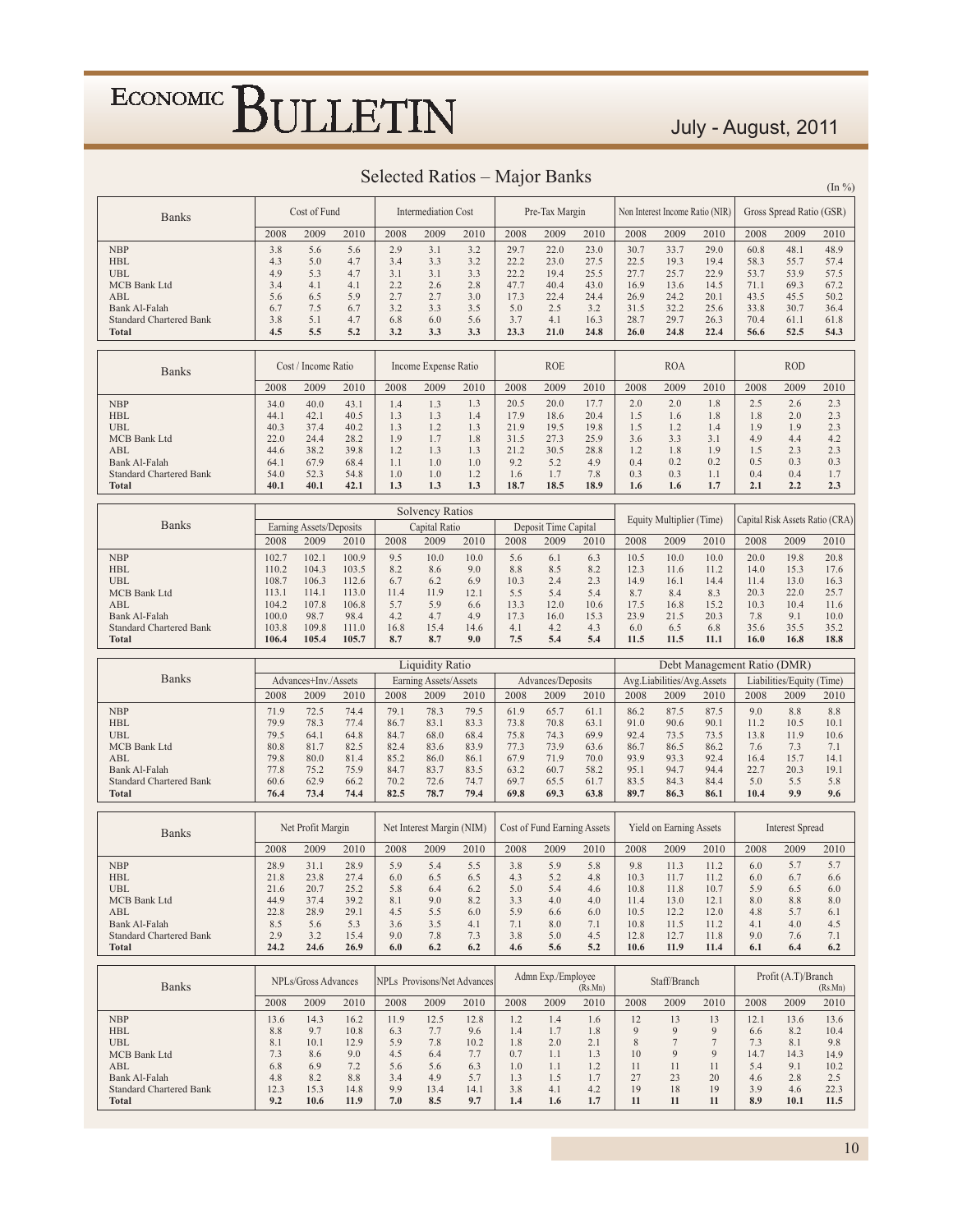#### July - August, 2011

| Selected Ratios – Major Banks | $(\ln \frac{9}{6})$ |
|-------------------------------|---------------------|
|                               |                     |

| <b>Banks</b>                            |                | Cost of Fund            |                |              | <b>Intermediation Cost</b> |                             |              | Pre-Tax Margin              |              |              |                                | Non Interest Income Ratio (NIR) |              | Gross Spread Ratio (GSR)  |                                 |
|-----------------------------------------|----------------|-------------------------|----------------|--------------|----------------------------|-----------------------------|--------------|-----------------------------|--------------|--------------|--------------------------------|---------------------------------|--------------|---------------------------|---------------------------------|
|                                         | 2008           | 2009                    | 2010           | 2008         | 2009                       | 2010                        | 2008         | 2009                        | 2010         | 2008         | 2009                           | 2010                            | 2008         | 2009                      | 2010                            |
| <b>NBP</b>                              | 3.8            | 5.6                     | 5.6            | 2.9          | 3.1                        | 3.2                         | 29.7         | 22.0                        | 23.0         | 30.7         | 33.7                           | 29.0                            | 60.8         | 48.1                      | 48.9                            |
| HBL                                     | 4.3            | 5.0                     | 4.7            | 3.4          | 3.3                        | 3.2                         | 22.2         | 23.0                        | 27.5         | 22.5         | 19.3                           | 19.4                            | 58.3         | 55.7                      | 57.4                            |
| <b>UBL</b>                              | 4.9            | 5.3                     | 4.7            | 3.1          | 3.1                        | 3.3                         | 22.2         | 19.4                        | 25.5         | 27.7         | 25.7                           | 22.9                            | 53.7         | 53.9                      | 57.5                            |
| <b>MCB</b> Bank Ltd                     | 3.4            | 4.1                     | 4.1            | 2.2          | 2.6                        | 2.8                         | 47.7         | 40.4                        | 43.0         | 16.9         | 13.6                           | 14.5                            | 71.1         | 69.3                      | 67.2                            |
| ABL                                     | 5.6            | 6.5                     | 5.9            | 2.7          | 2.7                        | 3.0                         | 17.3         | 22.4                        | 24.4         | 26.9         | 24.2                           | 20.1                            | 43.5         | 45.5                      | 50.2                            |
| Bank Al-Falah                           | 6.7            | 7.5                     | 6.7            | 3.2          | 3.3                        | 3.5                         | 5.0          | 2.5                         | 3.2          | 31.5         | 32.2                           | 25.6                            | 33.8         | 30.7                      | 36.4                            |
| <b>Standard Chartered Bank</b>          | 3.8            | 5.1                     | 4.7            | 6.8          | 6.0                        | 5.6                         | 3.7          | 4.1                         | 16.3         | 28.7         | 29.7                           | 26.3                            | 70.4         | 61.1                      | 61.8                            |
| Total                                   | 4.5            | 5.5                     | 5.2            | 3.2          | 3.3                        | 3.3                         | 23.3         | 21.0                        | 24.8         | 26.0         | 24.8                           | 22.4                            | 56.6         | 52.5                      | 54.3                            |
|                                         |                |                         |                |              |                            |                             |              |                             |              |              |                                |                                 |              |                           |                                 |
|                                         |                | Cost / Income Ratio     |                |              | Income Expense Ratio       |                             |              | <b>ROE</b>                  |              |              | <b>ROA</b>                     |                                 |              | <b>ROD</b>                |                                 |
| <b>Banks</b>                            | 2008           | 2009                    | 2010           | 2008         | 2009                       | 2010                        | 2008         | 2009                        | 2010         | 2008         | 2009                           | 2010                            | 2008         | 2009                      | 2010                            |
|                                         |                |                         |                |              |                            |                             |              |                             |              |              |                                |                                 |              |                           |                                 |
| <b>NBP</b>                              | 34.0           | 40.0                    | 43.1           | 1.4          | 1.3                        | 1.3                         | 20.5         | 20.0                        | 17.7         | 2.0          | 2.0                            | 1.8                             | 2.5          | 2.6                       | 2.3                             |
| <b>HBL</b>                              | 44.1           | 42.1                    | 40.5           | 1.3          | 1.3                        | 1.4                         | 17.9         | 18.6                        | 20.4         | 1.5          | 1.6                            | 1.8                             | 1.8          | 2.0                       | 2.3                             |
| <b>UBL</b>                              | 40.3<br>22.0   | 37.4                    | 40.2           | 1.3          | 1.2                        | 1.3                         | 21.9         | 19.5                        | 19.8         | 1.5          | 1.2                            | 1.4                             | 1.9          | 1.9                       | 2.3                             |
| <b>MCB Bank Ltd</b><br>ABL              | 44.6           | 24.4<br>38.2            | 28.2<br>39.8   | 1.9<br>1.2   | 1.7<br>1.3                 | 1.8<br>1.3                  | 31.5<br>21.2 | 27.3<br>30.5                | 25.9<br>28.8 | 3.6<br>1.2   | 3.3<br>1.8                     | 3.1<br>1.9                      | 4.9<br>1.5   | 4.4<br>2.3                | 4.2<br>2.3                      |
| Bank Al-Falah                           | 64.1           | 67.9                    | 68.4           | 1.1          | 1.0                        | 1.0                         | 9.2          | 5.2                         | 4.9          | 0.4          | 0.2                            | 0.2                             | 0.5          | 0.3                       | 0.3                             |
| <b>Standard Chartered Bank</b>          | 54.0           | 52.3                    | 54.8           | 1.0          | 1.0                        | 1.2                         | 1.6          | 1.7                         | 7.8          | 0.3          | 0.3                            | 1.1                             | 0.4          | 0.4                       | 1.7                             |
| <b>Total</b>                            | 40.1           | 40.1                    | 42.1           | 1.3          | 1.3                        | 1.3                         | 18.7         | 18.5                        | 18.9         | 1.6          | 1.6                            | 1.7                             | 2.1          | 2.2                       | 2.3                             |
|                                         |                |                         |                |              |                            |                             |              |                             |              |              |                                |                                 |              |                           |                                 |
|                                         |                |                         |                |              | <b>Solvency Ratios</b>     |                             |              |                             |              |              |                                |                                 |              |                           |                                 |
| <b>Banks</b>                            |                | Earning Assets/Deposits |                |              | Capital Ratio              |                             |              | Deposit Time Capital        |              |              | Equity Multiplier (Time)       |                                 |              |                           | Capital Risk Assets Ratio (CRA) |
|                                         | 2008           | 2009                    | 2010           | 2008         | 2009                       | 2010                        | 2008         | 2009                        | 2010         | 2008         | 2009                           | 2010                            | 2008         | 2009                      | 2010                            |
|                                         |                |                         |                | 9.5          |                            |                             | 5.6          |                             |              |              |                                |                                 |              |                           |                                 |
| <b>NBP</b><br><b>HBL</b>                | 102.7<br>110.2 | 102.1<br>104.3          | 100.9<br>103.5 | 8.2          | 10.0<br>8.6                | 10.0<br>9.0                 | 8.8          | 6.1<br>8.5                  | 6.3<br>8.2   | 10.5<br>12.3 | 10.0<br>11.6                   | 10.0<br>11.2                    | 20.0<br>14.0 | 19.8<br>15.3              | 20.8<br>17.6                    |
| <b>UBL</b>                              | 108.7          | 106.3                   | 112.6          | 6.7          | 6.2                        | 6.9                         | 10.3         | 2.4                         | 2.3          | 14.9         | 16.1                           | 14.4                            | 11.4         | 13.0                      | 16.3                            |
| MCB Bank Ltd                            | 113.1          | 114.1                   | 113.0          | 11.4         | 11.9                       | 12.1                        | 5.5          | 5.4                         | 5.4          | 8.7          | 8.4                            | 8.3                             | 20.3         | 22.0                      | 25.7                            |
| ABL                                     | 104.2          | 107.8                   | 106.8          | 5.7          | 5.9                        | 6.6                         | 13.3         | 12.0                        | 10.6         | 17.5         | 16.8                           | 15.2                            | 10.3         | 10.4                      | 11.6                            |
| Bank Al-Falah                           | 100.0          | 98.7                    | 98.4           | 4.2          | 4.7                        | 4.9                         | 17.3         | 16.0                        | 15.3         | 23.9         | 21.5                           | 20.3                            | 7.8          | 9.1                       | 10.0                            |
| <b>Standard Chartered Bank</b>          | 103.8          | 109.8                   | 111.0          | 16.8         | 15.4                       | 14.6                        | 4.1          | 4.2                         | 4.3          | 6.0          | 6.5                            | 6.8                             | 35.6         | 35.5                      | 35.2                            |
| Total                                   | 106.4          | 105.4                   | 105.7          | 8.7          | 8.7                        | 9.0                         | 7.5          | 5.4                         | 5.4          | 11.5         | 11.5                           | 11.1                            | 16.0         | 16.8                      | 18.8                            |
|                                         |                |                         |                |              |                            |                             |              |                             |              |              |                                |                                 |              |                           |                                 |
|                                         |                |                         |                |              |                            |                             |              |                             |              |              |                                |                                 |              |                           |                                 |
|                                         |                |                         |                |              | <b>Liquidity Ratio</b>     |                             |              |                             |              |              |                                | Debt Management Ratio (DMR)     |              |                           |                                 |
| <b>Banks</b>                            |                | Advances+Inv./Assets    |                |              | Earning Assets/Assets      |                             |              | Advances/Deposits           |              |              | Avg.Liabilities/Avg.Assets     |                                 |              | Liabilities/Equity (Time) |                                 |
|                                         | 2008           |                         |                | 2008         | 2009                       |                             | 2008         |                             |              | 2008         | 2009                           |                                 |              |                           |                                 |
|                                         |                | 2009                    | 2010           |              |                            | 2010                        |              | 2009                        | 2010         |              |                                | 2010                            | 2008         | 2009                      | 2010                            |
| <b>NBP</b>                              | 71.9           | 72.5                    | 74.4           | 79.1         | 78.3                       | 79.5                        | 61.9         | 65.7                        | 61.1         | 86.2         | 87.5                           | 87.5                            | 9.0          | 8.8                       | 8.8                             |
| <b>HBL</b>                              | 79.9           | 78.3                    | 77.4           | 86.7         | 83.1                       | 83.3                        | 73.8         | 70.8                        | 63.1         | 91.0         | 90.6                           | 90.1                            | 11.2         | 10.5                      | 10.1                            |
| <b>UBL</b><br>MCB Bank Ltd              | 79.5<br>80.8   | 64.1<br>81.7            | 64.8<br>82.5   | 84.7<br>82.4 | 68.0<br>83.6               | 68.4<br>83.9                | 75.8<br>77.3 | 74.3<br>73.9                | 69.9<br>63.6 | 92.4<br>86.7 | 73.5<br>86.5                   | 73.5<br>86.2                    | 13.8<br>7.6  | 11.9<br>7.3               | 10.6<br>7.1                     |
| ABL                                     | 79.8           | 80.0                    | 81.4           | 85.2         | 86.0                       | 86.1                        | 67.9         | 71.9                        | 70.0         | 93.9         | 93.3                           | 92.4                            | 16.4         | 15.7                      | 14.1                            |
| Bank Al-Falah                           | 77.8           | 75.2                    | 75.9           | 84.7         | 83.7                       | 83.5                        | 63.2         | 60.7                        | 58.2         | 95.1         | 94.7                           | 94.4                            | 22.7         | 20.3                      | 19.1                            |
| <b>Standard Chartered Bank</b>          | 60.6           | 62.9                    | 66.2           | 70.2         | 72.6                       | 74.7                        | 69.7         | 65.5                        | 61.7         | 83.5         | 84.3                           | 84.4                            | 5.0          | 5.5                       | 5.8                             |
| <b>Total</b>                            | 76.4           | 73.4                    | 74.4           | 82.5         | 78.7                       | 79.4                        | 69.8         | 69.3                        | 63.8         | 89.7         | 86.3                           | 86.1                            | 10.4         | 9.9                       | 9.6                             |
|                                         |                |                         |                |              |                            |                             |              |                             |              |              |                                |                                 |              |                           |                                 |
|                                         |                | Net Profit Margin       |                |              | Net Interest Margin (NIM)  |                             |              | Cost of Fund Earning Assets |              |              | <b>Yield on Earning Assets</b> |                                 |              | <b>Interest Spread</b>    |                                 |
| <b>Banks</b>                            | 2008           | 2009                    | 2010           | 2008         | 2009                       | 2010                        | 2008         | 2009                        | 2010         | 2008         | 2009                           | 2010                            | 2008         | 2009                      | 2010                            |
|                                         |                |                         |                |              |                            |                             |              |                             |              |              |                                |                                 |              |                           |                                 |
| <b>NBP</b>                              | 28.9           | 31.1                    | 28.9           | 5.9          | 5.4                        | 5.5                         | 3.8          | 5.9                         | 5.8          | 9.8          | 11.3                           | 11.2                            | 6.0          | 5.7                       | 5.7                             |
| HBL                                     | 21.8           | 23.8                    | 27.4           | 6.0          | 6.5                        | 6.5                         | 4.3          | 5.2                         | 4.8          | 10.3         | 11.7                           | 11.2                            | 6.0          | 6.7                       | 6.6                             |
| <b>UBL</b>                              | 21.6           | 20.7                    | 25.2           | 5.8          | 6.4                        | 6.2                         | 5.0          | 5.4                         | 4.6          | $10.8\,$     | 11.8                           | 10.7                            | 5.9          | 6.5                       | 6.0                             |
| MCB Bank Ltd                            | 44.9           | 37.4                    | 39.2           | 8.1          | 9.0                        | 8.2                         | 3.3          | 4.0                         | 4.0          | 11.4         | 13.0                           | 12.1                            | 8.0          | 8.8                       | 8.0                             |
| ABL<br>Bank Al-Falah                    | 22.8<br>8.5    | 28.9<br>5.6             | 29.1<br>5.3    | 4.5<br>3.6   | 5.5<br>3.5                 | 6.0<br>4.1                  | 5.9<br>7.1   | 6.6<br>8.0                  | 6.0<br>7.1   | 10.5<br>10.8 | 12.2<br>11.5                   | 12.0<br>11.2                    | 4.8<br>4.1   | 5.7<br>4.0                | 6.1<br>4.5                      |
| Standard Chartered Bank                 | 2.9            | 3.2                     | 15.4           | 9.0          | 7.8                        | 7.3                         | 3.8          | 5.0                         | 4.5          | 12.8         | 12.7                           | 11.8                            | 9.0          | 7.6                       | 7.1                             |
| Total                                   | 24.2           | 24.6                    | 26.9           | 6.0          | 6.2                        | 6.2                         | 4.6          | 5.6                         | 5.2          | 10.6         | 11.9                           | 11.4                            | 6.1          | 6.4                       | 6.2                             |
|                                         |                |                         |                |              |                            |                             |              |                             |              |              |                                |                                 |              |                           |                                 |
|                                         |                | NPLs/Gross Advances     |                |              |                            | NPLs Provisons/Net Advances |              | Admn Exp./Employee          |              |              | Staff/Branch                   |                                 |              | Profit (A.T)/Branch       |                                 |
| <b>Banks</b>                            |                |                         |                |              |                            |                             |              |                             | (Rs.Mn)      |              |                                |                                 |              |                           | (Rs.Mn)                         |
|                                         | 2008           | 2009                    | 2010           | 2008         | 2009                       | 2010                        | 2008         | 2009                        | 2010         | 2008         | 2009                           | 2010                            | 2008         | 2009                      | 2010                            |
| <b>NBP</b>                              | 13.6           | 14.3                    | 16.2           | 11.9         | 12.5                       | 12.8                        | 1.2          | 1.4                         | 1.6          | 12           | 13                             | 13                              | 12.1         | 13.6                      | 13.6                            |
| <b>HBL</b>                              | 8.8            | 9.7                     | 10.8           | 6.3          | 7.7                        | 9.6                         | 1.4          | 1.7                         | 1.8          | 9            | 9                              | 9                               | 6.6          | 8.2                       | 10.4                            |
| <b>UBL</b>                              | 8.1            | 10.1                    | 12.9           | 5.9          | 7.8                        | 10.2                        | 1.8          | 2.0                         | 2.1          | 8            | $\tau$                         | $\tau$                          | 7.3          | 8.1                       | 9.8                             |
| <b>MCB</b> Bank Ltd                     | 7.3            | 8.6                     | 9.0            | 4.5          | 6.4                        | 7.7                         | 0.7          | 1.1                         | 1.3          | 10           | 9                              | 9                               | 14.7         | 14.3                      | 14.9                            |
| ABL                                     | 6.8            | 6.9                     | 7.2            | 5.6          | 5.6                        | 6.3                         | 1.0          | 1.1                         | 1.2          | 11           | 11                             | 11                              | 5.4          | 9.1                       | 10.2                            |
| Bank Al-Falah                           | 4.8            | 8.2                     | 8.8            | 3.4          | 4.9                        | 5.7                         | 1.3          | 1.5                         | 1.7          | 27           | 23                             | 20                              | 4.6          | 2.8                       | 2.5                             |
| <b>Standard Chartered Bank</b><br>Total | 12.3<br>9.2    | 15.3<br>10.6            | 14.8<br>11.9   | 9.9<br>7.0   | 13.4<br>8.5                | 14.1<br>9.7                 | 3.8<br>1.4   | 4.1<br>1.6                  | 4.2<br>1.7   | 19<br>11     | 18<br>11                       | 19<br>11                        | 3.9<br>8.9   | 4.6<br>10.1               | 22.3<br>11.5                    |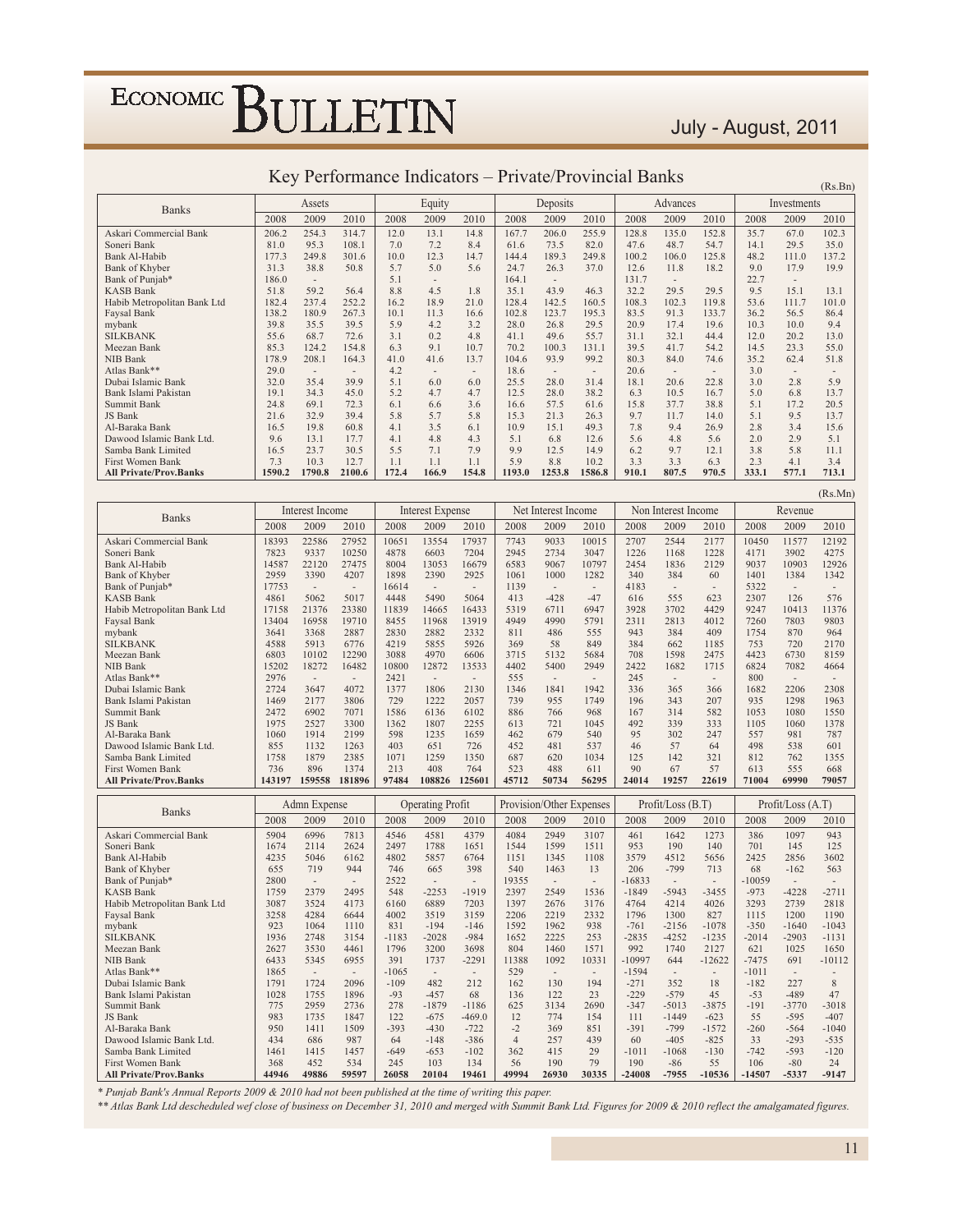### July - August, 2011

 $(Rs.Bn)$ 

 $(Rs.Mn)$ 

| <b>Banks</b>                  |        | Assets                   |                          |       | Equity                   |                          |        | Deposits       |                          |       | Advances                 |       |       | Investments |       |
|-------------------------------|--------|--------------------------|--------------------------|-------|--------------------------|--------------------------|--------|----------------|--------------------------|-------|--------------------------|-------|-------|-------------|-------|
|                               | 2008   | 2009                     | 2010                     | 2008  | 2009                     | 2010                     | 2008   | 2009           | 2010                     | 2008  | 2009                     | 2010  | 2008  | 2009        | 2010  |
| Askari Commercial Bank        | 206.2  | 254.3                    | 314.7                    | 12.0  | 13.1                     | 14.8                     | 167.7  | 206.0          | 255.9                    | 128.8 | 135.0                    | 152.8 | 35.7  | 67.0        | 102.3 |
| Soneri Bank                   | 81.0   | 95.3                     | 108.1                    | 7.0   | 7.2                      | 8.4                      | 61.6   | 73.5           | 82.0                     | 47.6  | 48.7                     | 54.7  | 14.1  | 29.5        | 35.0  |
| Bank Al-Habib                 | 177.3  | 249.8                    | 301.6                    | 10.0  | 12.3                     | 14.7                     | 144.4  | 189.3          | 249.8                    | 100.2 | 106.0                    | 125.8 | 48.2  | 111.0       | 137.2 |
| Bank of Khyber                | 31.3   | 38.8                     | 50.8                     | 5.7   | 5.0                      | 5.6                      | 24.7   | 26.3           | 37.0                     | 12.6  | 11.8                     | 18.2  | 9.0   | 17.9        | 19.9  |
| Bank of Punjab*               | 186.0  | $\overline{\phantom{a}}$ |                          | 5.1   | $\sim$                   |                          | 164.1  | $\overline{a}$ |                          | 131.7 | $\overline{\phantom{a}}$ |       | 22.7  |             |       |
| <b>KASB Bank</b>              | 51.8   | 59.2                     | 56.4                     | 8.8   | 4.5                      | 1.8                      | 35.1   | 43.9           | 46.3                     | 32.2  | 29.5                     | 29.5  | 9.5   | 15.1        | 13.1  |
| Habib Metropolitan Bank Ltd   | 182.4  | 237.4                    | 252.2                    | 16.2  | 18.9                     | 21.0                     | 128.4  | 142.5          | 160.5                    | 108.3 | 102.3                    | 119.8 | 53.6  | 111.7       | 101.0 |
| Faysal Bank                   | 138.2  | 180.9                    | 267.3                    | 10.1  | 11.3                     | 16.6                     | 102.8  | 123.7          | 195.3                    | 83.5  | 91.3                     | 133.7 | 36.2  | 56.5        | 86.4  |
| mybank                        | 39.8   | 35.5                     | 39.5                     | 5.9   | 4.2                      | 3.2                      | 28.0   | 26.8           | 29.5                     | 20.9  | 17.4                     | 19.6  | 10.3  | 10.0        | 9.4   |
| <b>SILKBANK</b>               | 55.6   | 68.7                     | 72.6                     | 3.1   | 0.2                      | 4.8                      | 41.1   | 49.6           | 55.7                     | 31.1  | 32.1                     | 44.4  | 12.0  | 20.2        | 13.0  |
| Meezan Bank                   | 85.3   | 124.2                    | 154.8                    | 6.3   | 9.1                      | 10.7                     | 70.2   | 100.3          | 131.1                    | 39.5  | 41.7                     | 54.2  | 14.5  | 23.3        | 55.0  |
| <b>NIB Bank</b>               | 178.9  | 208.1                    | 164.3                    | 41.0  | 41.6                     | 13.7                     | 104.6  | 93.9           | 99.2                     | 80.3  | 84.0                     | 74.6  | 35.2  | 62.4        | 51.8  |
| Atlas Bank**                  | 29.0   | $\overline{\phantom{a}}$ | $\overline{\phantom{a}}$ | 4.2   | $\overline{\phantom{a}}$ | $\overline{\phantom{a}}$ | 18.6   | $\overline{a}$ | $\overline{\phantom{a}}$ | 20.6  | $\overline{\phantom{a}}$ |       | 3.0   |             |       |
| Dubai Islamic Bank            | 32.0   | 35.4                     | 39.9                     | 5.1   | 6.0                      | 6.0                      | 25.5   | 28.0           | 31.4                     | 18.1  | 20.6                     | 22.8  | 3.0   | 2.8         | 5.9   |
| Bank Islami Pakistan          | 19.1   | 34.3                     | 45.0                     | 5.2   | 4.7                      | 4.7                      | 12.5   | 28.0           | 38.2                     | 6.3   | 10.5                     | 16.7  | 5.0   | 6.8         | 13.7  |
| Summit Bank                   | 24.8   | 69.1                     | 72.3                     | 6.1   | 6.6                      | 3.6                      | 16.6   | 57.5           | 61.6                     | 15.8  | 37.7                     | 38.8  | 5.1   | 17.2        | 20.5  |
| JS Bank                       | 21.6   | 32.9                     | 39.4                     | 5.8   | 5.7                      | 5.8                      | 15.3   | 21.3           | 26.3                     | 9.7   | 11.7                     | 14.0  | 5.1   | 9.5         | 13.7  |
| Al-Baraka Bank                | 16.5   | 19.8                     | 60.8                     | 4.1   | 3.5                      | 6.1                      | 10.9   | 15.1           | 49.3                     | 7.8   | 9.4                      | 26.9  | 2.8   | 3.4         | 15.6  |
| Dawood Islamic Bank Ltd.      | 9.6    | 13.1                     | 17.7                     | 4.1   | 4.8                      | 4.3                      | 5.1    | 6.8            | 12.6                     | 5.6   | 4.8                      | 5.6   | 2.0   | 2.9         | 5.1   |
| Samba Bank Limited            | 16.5   | 23.7                     | 30.5                     | 5.5   | 7.1                      | 7.9                      | 9.9    | 12.5           | 14.9                     | 6.2   | 9.7                      | 12.1  | 3.8   | 5.8         | 11.1  |
| First Women Bank              | 7.3    | 10.3                     | 12.7                     | 1.1   | 1.1                      | 1.1                      | 5.9    | 8.8            | 10.2                     | 3.3   | 3.3                      | 6.3   | 2.3   | 4.1         | 3.4   |
| <b>All Private/Prov.Banks</b> | 1590.2 | 1790.8                   | 2100.6                   | 172.4 | 166.9                    | 154.8                    | 1193.0 | 1253.8         | 1586.8                   | 910.1 | 807.5                    | 970.5 | 333.1 | 577.1       | 713.1 |

#### Key Performance Indicators - Private/Provincial Banks

| <b>Banks</b>                  |        | Interest Income          |                          |         | <b>Interest Expense</b>  |                          |                | Net Interest Income      |                          |          | Non Interest Income      |                          |          | Revenue           |                          |
|-------------------------------|--------|--------------------------|--------------------------|---------|--------------------------|--------------------------|----------------|--------------------------|--------------------------|----------|--------------------------|--------------------------|----------|-------------------|--------------------------|
|                               | 2008   | 2009                     | 2010                     | 2008    | 2009                     | 2010                     | 2008           | 2009                     | 2010                     | 2008     | 2009                     | 2010                     | 2008     | 2009              | 2010                     |
| Askari Commercial Bank        | 18393  | 22586                    | 27952                    | 10651   | 13554                    | 17937                    | 7743           | 9033                     | 10015                    | 2707     | 2544                     | 2177                     | 10450    | 11577             | 12192                    |
| Soneri Bank                   | 7823   | 9337                     | 10250                    | 4878    | 6603                     | 7204                     | 2945           | 2734                     | 3047                     | 1226     | 1168                     | 1228                     | 4171     | 3902              | 4275                     |
| <b>Bank Al-Habib</b>          | 14587  | 22120                    | 27475                    | 8004    | 13053                    | 16679                    | 6583           | 9067                     | 10797                    | 2454     | 1836                     | 2129                     | 9037     | 10903             | 12926                    |
| Bank of Khyber                | 2959   | 3390                     | 4207                     | 1898    | 2390                     | 2925                     | 1061           | 1000                     | 1282                     | 340      | 384                      | 60                       | 1401     | 1384              | 1342                     |
| Bank of Punjab*               | 17753  | $\overline{\phantom{a}}$ | $\overline{\phantom{a}}$ | 16614   | $\overline{\phantom{a}}$ | $\overline{\phantom{a}}$ | 1139           | $\sim$                   | $\overline{\phantom{a}}$ | 4183     | $\overline{\phantom{a}}$ | $\overline{\phantom{a}}$ | 5322     | $\sim$            | $\overline{\phantom{a}}$ |
| <b>KASB Bank</b>              | 4861   | 5062                     | 5017                     | 4448    | 5490                     | 5064                     | 413            | $-428$                   | $-47$                    | 616      | 555                      | 623                      | 2307     | 126               | 576                      |
| Habib Metropolitan Bank Ltd   | 17158  | 21376                    | 23380                    | 11839   | 14665                    | 16433                    | 5319           | 6711                     | 6947                     | 3928     | 3702                     | 4429                     | 9247     | 10413             | 11376                    |
| Faysal Bank                   | 13404  | 16958                    | 19710                    | 8455    | 11968                    | 13919                    | 4949           | 4990                     | 5791                     | 2311     | 2813                     | 4012                     | 7260     | 7803              | 9803                     |
| mybank                        | 3641   | 3368                     | 2887                     | 2830    | 2882                     | 2332                     | 811            | 486                      | 555                      | 943      | 384                      | 409                      | 1754     | 870               | 964                      |
| <b>SILKBANK</b>               | 4588   | 5913                     | 6776                     | 4219    | 5855                     | 5926                     | 369            | 58                       | 849                      | 384      | 662                      | 1185                     | 753      | 720               | 2170                     |
| Meezan Bank                   | 6803   | 10102                    | 12290                    | 3088    | 4970                     | 6606                     | 3715           | 5132                     | 5684                     | 708      | 1598                     | 2475                     | 4423     | 6730              | 8159                     |
| NIB Bank                      | 15202  | 18272                    | 16482                    | 10800   | 12872                    | 13533                    | 4402           | 5400                     | 2949                     | 2422     | 1682                     | 1715                     | 6824     | 7082              | 4664                     |
| Atlas Bank**                  | 2976   | $\overline{\phantom{a}}$ | $\overline{\phantom{a}}$ | 2421    | $\sim$                   | $\sim$                   | 555            | $\overline{\phantom{a}}$ | $\sim$                   | 245      | $\overline{\phantom{a}}$ | $\sim$                   | 800      | $\sim$            | $\overline{\phantom{a}}$ |
| Dubai Islamic Bank            | 2724   | 3647                     | 4072                     | 1377    | 1806                     | 2130                     | 1346           | 1841                     | 1942                     | 336      | 365                      | 366                      | 1682     | 2206              | 2308                     |
| Bank Islami Pakistan          | 1469   | 2177                     | 3806                     | 729     | 1222                     | 2057                     | 739            | 955                      | 1749                     | 196      | 343                      | 207                      | 935      | 1298              | 1963                     |
| Summit Bank                   | 2472   | 6902                     | 7071                     | 1586    | 6136                     | 6102                     | 886            | 766                      | 968                      | 167      | 314                      | 582                      | 1053     | 1080              | 1550                     |
| JS Bank                       | 1975   | 2527                     | 3300                     | 1362    | 1807                     | 2255                     | 613            | 721                      | 1045                     | 492      | 339                      | 333                      | 1105     | 1060              | 1378                     |
| Al-Baraka Bank                | 1060   | 1914                     | 2199                     | 598     | 1235                     | 1659                     | 462            | 679                      | 540                      | 95       | 302                      | 247                      | 557      | 981               | 787                      |
| Dawood Islamic Bank Ltd.      | 855    | 1132                     | 1263                     | 403     | 651                      | 726                      | 452            | 481                      | 537                      | 46       | 57                       | 64                       | 498      | 538               | 601                      |
| Samba Bank Limited            | 1758   | 1879                     | 2385                     | 1071    | 1259                     | 1350                     | 687            | 620                      | 1034                     | 125      | 142                      | 321                      | 812      | 762               | 1355                     |
| <b>First Women Bank</b>       | 736    | 896                      | 1374                     | 213     | 408                      | 764                      | 523            | 488                      | 611                      | 90       | 67                       | 57                       | 613      | 555               | 668                      |
| <b>All Private/Prov.Banks</b> | 143197 | 159558 181896            |                          | 97484   | 108826 125601            |                          | 45712          | 50734                    | 56295                    | 24014    | 19257                    | 22619                    | 71004    | 69990             | 79057                    |
|                               |        |                          |                          |         |                          |                          |                |                          |                          |          |                          |                          |          |                   |                          |
|                               |        |                          |                          |         |                          |                          |                |                          |                          |          |                          |                          |          |                   |                          |
|                               |        | Admn Expense             |                          |         | <b>Operating Profit</b>  |                          |                | Provision/Other Expenses |                          |          | Profit/Loss (B.T)        |                          |          | Profit/Loss (A.T) |                          |
| <b>Banks</b>                  | 2008   | 2009                     | 2010                     | 2008    | 2009                     | 2010                     | 2008           | 2009                     | 2010                     | 2008     | 2009                     | 2010                     | 2008     | 2009              | 2010                     |
| Askari Commercial Bank        | 5904   | 6996                     | 7813                     | 4546    | 4581                     | 4379                     | 4084           | 2949                     | 3107                     | 461      | 1642                     | 1273                     | 386      | 1097              | 943                      |
| Soneri Bank                   | 1674   | 2114                     | 2624                     | 2497    | 1788                     | 1651                     | 1544           | 1599                     | 1511                     | 953      | 190                      | 140                      | 701      | 145               | 125                      |
| Bank Al-Habib                 | 4235   | 5046                     | 6162                     | 4802    | 5857                     | 6764                     | 1151           | 1345                     | 1108                     | 3579     | 4512                     | 5656                     | 2425     | 2856              | 3602                     |
| Bank of Khyber                | 655    | 719                      | 944                      | 746     | 665                      | 398                      | 540            | 1463                     | 13                       | 206      | $-799$                   | 713                      | 68       | $-162$            | 563                      |
| Bank of Punjab*               | 2800   | $\sim$                   | $\overline{\phantom{a}}$ | 2522    | $\sim$                   | $\overline{\phantom{a}}$ | 19355          | $\overline{\phantom{a}}$ | $\overline{\phantom{a}}$ | $-16833$ | $\overline{\phantom{a}}$ | $\sim$                   | $-10059$ | $\sim$            | $\overline{\phantom{a}}$ |
| <b>KASB Bank</b>              | 1759   | 2379                     | 2495                     | 548     | $-2253$                  | $-1919$                  | 2397           | 2549                     | 1536                     | $-1849$  | $-5943$                  | $-3455$                  | $-973$   | $-4228$           | $-2711$                  |
| Habib Metropolitan Bank Ltd   | 3087   | 3524                     | 4173                     | 6160    | 6889                     | 7203                     | 1397           | 2676                     | 3176                     | 4764     | 4214                     | 4026                     | 3293     | 2739              | 2818                     |
| Faysal Bank                   | 3258   | 4284                     | 6644                     | 4002    | 3519                     | 3159                     | 2206           | 2219                     | 2332                     | 1796     | 1300                     | 827                      | 1115     | 1200              | 1190                     |
| mybank                        | 923    | 1064                     | 1110                     | 831     | $-194$                   | $-146$                   | 1592           | 1962                     | 938                      | $-761$   | $-2156$                  | $-1078$                  | $-350$   | $-1640$           | $-1043$                  |
| <b>SILKBANK</b>               | 1936   | 2748                     | 3154                     | $-1183$ | $-2028$                  | $-984$                   | 1652           | 2225                     | 253                      | $-2835$  | $-4252$                  | $-1235$                  | $-2014$  | $-2903$           | $-1131$                  |
| Meezan Bank                   | 2627   | 3530                     | 4461                     | 1796    | 3200                     | 3698                     | 804            | 1460                     | 1571                     | 992      | 1740                     | 2127                     | 621      | 1025              | 1650                     |
| NIB Bank                      | 6433   | 5345                     | 6955                     | 391     | 1737                     | $-2291$                  | 11388          | 1092                     | 10331                    | $-10997$ | 644                      | $-12622$                 | $-7475$  | 691               | $-10112$                 |
| Atlas Bank**                  | 1865   | $\overline{\phantom{a}}$ | $\overline{\phantom{a}}$ | $-1065$ | $\sim$                   | $\sim$                   | 529            | $\sim$                   | $\sim$                   | $-1594$  | $\sim$                   | $\overline{\phantom{a}}$ | $-1011$  | $\sim$            | $\overline{\phantom{a}}$ |
| Dubai Islamic Bank            | 1791   | 1724                     | 2096                     | $-109$  | 482                      | 212                      | 162            | 130                      | 194                      | $-271$   | 352                      | 18                       | $-182$   | 227               | 8                        |
| Bank Islami Pakistan          | 1028   | 1755                     | 1896                     | $-93$   | $-457$                   | 68                       | 136            | 122                      | 23                       | $-229$   | $-579$                   | 45                       | $-53$    | $-489$            | 47                       |
| Summit Bank                   | 775    | 2959                     | 2736                     | 278     | $-1879$                  | $-1186$                  | 625            | 3134                     | 2690                     | $-347$   | $-5013$                  | $-3875$                  | $-191$   | $-3770$           | $-3018$                  |
| JS Bank                       | 983    | 1735                     | 1847                     | 122     | $-675$                   | $-469.0$                 | 12             | 774                      | 154                      | 111      | $-1449$                  | $-623$                   | 55       | $-595$            | $-407$                   |
| Al-Baraka Bank                | 950    | 1411                     | 1509                     | $-393$  | $-430$                   | $-722$                   | $-2$           | 369                      | 851                      | $-391$   | $-799$                   | $-1572$                  | $-260$   | $-564$            | $-1040$                  |
| Dawood Islamic Bank Ltd.      | 434    | 686                      | 987                      | 64      | $-148$                   | $-386$                   | $\overline{4}$ | 257                      | 439                      | 60       | $-405$                   | $-825$                   | 33       | $-293$            | $-535$                   |
| Samba Bank Limited            | 1461   | 1415                     | 1457                     | $-649$  | $-653$                   | $-102$                   | 362            | 415                      | 29                       | $-1011$  | $-1068$                  | $-130$                   | $-742$   | $-593$            | $-120$                   |
| <b>First Women Bank</b>       | 368    | 452                      | 534                      | 245     | 103                      | 134                      | 56             | 190                      | 79                       | 190      | $-86$                    | 55                       | 106      | $-80$             | 24                       |

\* Punjab Bank's Annual Reports 2009 & 2010 had not been published at the time of writing this paper.

\*\* Atlas Bank Ltd descheduled wef close of business on December 31, 2010 and merged with Summit Bank Ltd. Figures for 2009 & 2010 reflect the amalgamated figures.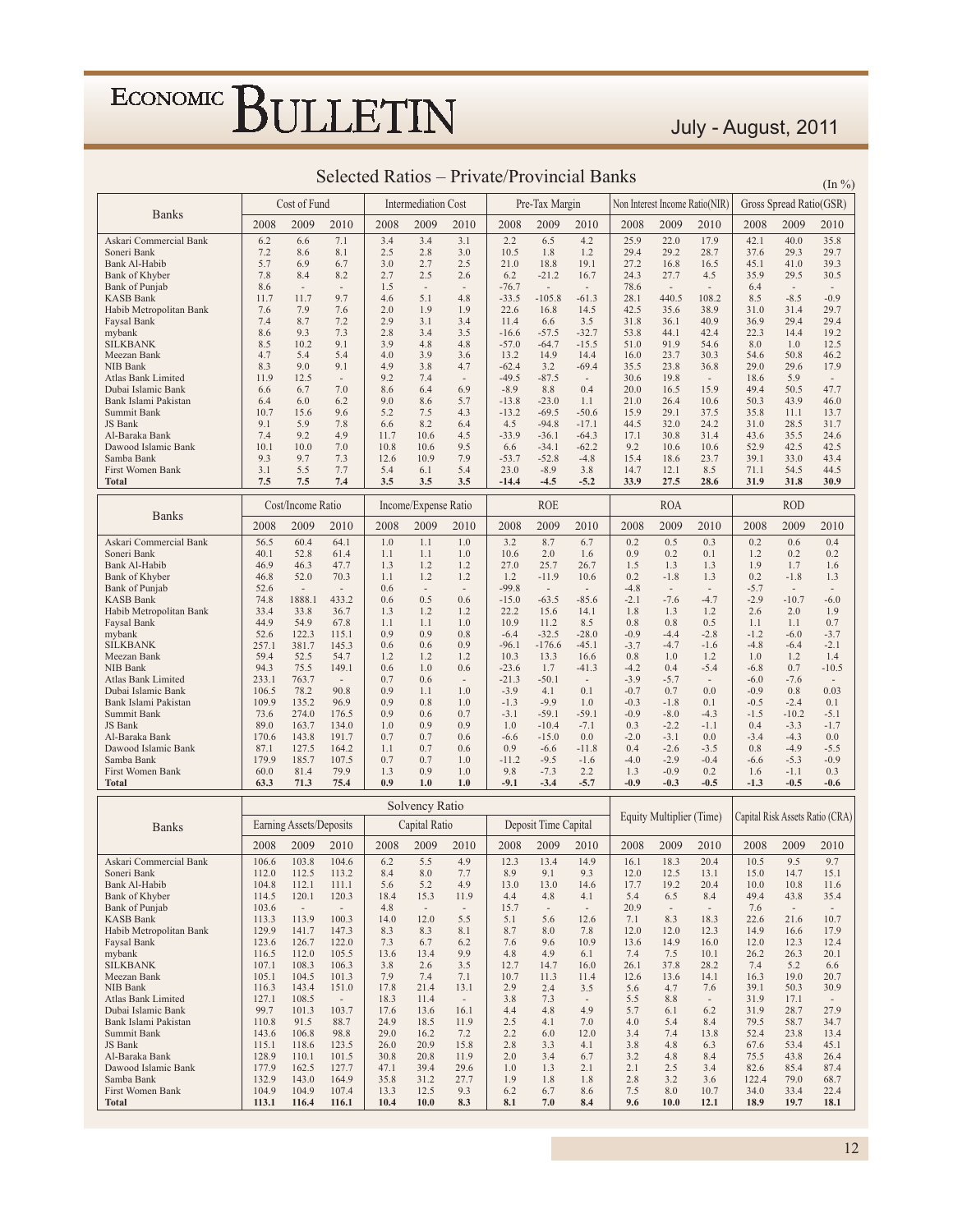July - August, 2011

| 2008<br>2009<br>2010<br>2008<br>2009<br>2010<br>2008<br>2009<br>2010<br>2008<br>2009<br>2010<br>2008<br>2009<br>2010<br>7.1<br>3.4<br>3.4<br>2.2<br>6.5<br>17.9<br>42.1<br>6.2<br>6.6<br>3.1<br>4.2<br>25.9<br>22.0<br>40.0<br>35.8<br>Askari Commercial Bank<br>7.2<br>8.1<br>2.5<br>3.0<br>10.5<br>1.8<br>37.6<br>29.7<br>Soneri Bank<br>8.6<br>2.8<br>1.2<br>29.4<br>29.2<br>28.7<br>29.3<br>5.7<br>2.5<br>39.3<br>Bank Al-Habib<br>6.9<br>6.7<br>3.0<br>2.7<br>21.0<br>18.8<br>19.1<br>27.2<br>16.8<br>16.5<br>45.1<br>41.0<br>7.8<br>2.7<br>6.2<br>Bank of Khyber<br>8.4<br>8.2<br>2.5<br>2.6<br>$-21.2$<br>16.7<br>24.3<br>27.7<br>4.5<br>35.9<br>29.5<br>30.5<br>1.5<br><b>Bank of Punjab</b><br>8.6<br>$-76.7$<br>78.6<br>6.4<br>$\sim$<br>$\sim$<br>$\overline{\phantom{a}}$<br>$\overline{\phantom{a}}$<br>$\overline{\phantom{a}}$<br>$\sim$<br>$\overline{\phantom{a}}$<br>$\overline{\phantom{a}}$<br>٠<br>$\sim$<br>9.7<br>5.1<br>$-105.8$<br>440.5<br>$-8.5$<br>$-0.9$<br>KASB Bank<br>11.7<br>11.7<br>4.6<br>4.8<br>$-33.5$<br>$-61.3$<br>28.1<br>108.2<br>8.5<br>2.0<br>22.6<br>42.5<br>Habib Metropolitan Bank<br>7.6<br>7.9<br>7.6<br>1.9<br>1.9<br>16.8<br>14.5<br>35.6<br>38.9<br>31.0<br>31.4<br>29.7<br>Faysal Bank<br>7.4<br>8.7<br>7.2<br>2.9<br>3.1<br>3.4<br>11.4<br>6.6<br>3.5<br>31.8<br>40.9<br>36.9<br>29.4<br>29.4<br>36.1<br>2.8<br>mybank<br>8.6<br>9.3<br>7.3<br>3.4<br>3.5<br>$-16.6$<br>$-57.5$<br>$-32.7$<br>53.8<br>44.1<br>42.4<br>22.3<br>14.4<br>19.2<br>$-57.0$<br>91.9<br><b>SILKBANK</b><br>8.5<br>10.2<br>9.1<br>3.9<br>4.8<br>4.8<br>$-64.7$<br>$-15.5$<br>51.0<br>54.6<br>8.0<br>1.0<br>12.5<br>Meezan Bank<br>4.7<br>5.4<br>5.4<br>4.0<br>3.9<br>3.6<br>13.2<br>14.9<br>16.0<br>23.7<br>30.3<br>54.6<br>50.8<br>46.2<br>14.4<br>4.9<br>29.0<br>29.6<br>NIB Bank<br>8.3<br>9.0<br>9.1<br>3.8<br>4.7<br>$-62.4$<br>3.2<br>$-69.4$<br>35.5<br>23.8<br>36.8<br>17.9<br>9.2<br>$-49.5$<br>11.9<br>12.5<br>7.4<br>$-87.5$<br>30.6<br>19.8<br>18.6<br>5.9<br>Atlas Bank Limited<br>÷,<br>$\overline{\phantom{a}}$<br>$\overline{\phantom{a}}$<br>6.9<br>$-8.9$<br>8.8<br>0.4<br>15.9<br>49.4<br>Dubai Islamic Bank<br>6.6<br>6.7<br>7.0<br>8.6<br>6.4<br>20.0<br>16.5<br>50.5<br>47.7<br>9.0<br>5.7<br>$-23.0$<br>21.0<br>26.4<br>50.3<br>43.9<br>Bank Islami Pakistan<br>6.4<br>6.0<br>6.2<br>8.6<br>$-13.8$<br>1.1<br>10.6<br>46.0<br>5.2<br>Summit Bank<br>10.7<br>15.6<br>9.6<br>7.5<br>4.3<br>$-13.2$<br>$-69.5$<br>$-50.6$<br>15.9<br>29.1<br>37.5<br>35.8<br>11.1<br>13.7<br>$-94.8$<br>JS Bank<br>9.1<br>5.9<br>7.8<br>6.6<br>8.2<br>6.4<br>4.5<br>$-17.1$<br>44.5<br>32.0<br>24.2<br>31.0<br>28.5<br>31.7<br>Al-Baraka Bank<br>7.4<br>9.2<br>4.9<br>11.7<br>10.6<br>4.5<br>$-33.9$<br>$-36.1$<br>$-64.3$<br>17.1<br>30.8<br>31.4<br>43.6<br>35.5<br>24.6<br>Dawood Islamic Bank<br>10.1<br>10.0<br>7.0<br>10.8<br>10.6<br>9.5<br>6.6<br>$-34.1$<br>$-62.2$<br>9.2<br>10.6<br>10.6<br>52.9<br>42.5<br>42.5<br>7.9<br>15.4<br>Samba Bank<br>9.3<br>9.7<br>7.3<br>12.6<br>10.9<br>$-53.7$<br>$-52.8$<br>$-4.8$<br>18.6<br>23.7<br>39.1<br>33.0<br>43.4<br>3.1<br>5.5<br>7.7<br>5.4<br>6.1<br>5.4<br>23.0<br>$-8.9$<br>3.8<br>14.7<br>12.1<br>71.1<br>54.5<br>44.5<br>First Women Bank<br>8.5<br>7.5<br>3.5<br>33.9<br>27.5<br>7.5<br>7.4<br>3.5<br>3.5<br>-14.4<br>$-4.5$<br>$-5.2$<br>28.6<br>31.9<br>31.8<br>30.9<br>Total<br><b>ROE</b><br><b>ROA</b><br><b>ROD</b><br>Cost/Income Ratio<br>Income/Expense Ratio<br><b>Banks</b><br>2009<br>2008<br>2010<br>2008<br>2010<br>2008<br>2009<br>2010<br>2008<br>2009<br>2010<br>2008<br>2009<br>2010<br>2009<br>56.5<br>1.0<br>1.1<br>3.2<br>8.7<br>0.5<br>0.6<br>0.4<br>Askari Commercial Bank<br>60.4<br>64.1<br>1.0<br>6.7<br>0.2<br>0.3<br>0.2<br>Soneri Bank<br>1.1<br>1.0<br>0.1<br>1.2<br>40.1<br>52.8<br>61.4<br>1.1<br>10.6<br>2.0<br>1.6<br>0.9<br>0.2<br>0.2<br>0.2<br>46.9<br>47.7<br>27.0<br>1.9<br>Bank Al-Habib<br>46.3<br>1.3<br>1.2<br>1.2<br>25.7<br>26.7<br>1.5<br>1.3<br>1.3<br>1.7<br>1.6<br>52.0<br>0.2<br>46.8<br>70.3<br>1.1<br>1.2<br>1.2<br>1.2<br>$-11.9$<br>10.6<br>0.2<br>$-1.8$<br>1.3<br>$-1.8$<br>1.3<br>Bank of Khyber<br>52.6<br>$-99.8$<br>$-5.7$<br><b>Bank of Punjab</b><br>0.6<br>$-4.8$<br>$\overline{\phantom{a}}$<br>$\sim$<br>$\sim$<br>$\sim$<br>$\overline{\phantom{a}}$<br>$\overline{\phantom{a}}$<br>$\overline{\phantom{a}}$<br>$\sim$<br>$\sim$<br>$\overline{\phantom{a}}$<br>0.5<br>$-15.0$<br>$-2.1$<br>$-2.9$<br>KASB Bank<br>74.8<br>1888.1<br>433.2<br>0.6<br>0.6<br>$-63.5$<br>$-85.6$<br>$-7.6$<br>$-4.7$<br>$-10.7$<br>$-6.0$<br>Habib Metropolitan Bank<br>33.4<br>33.8<br>1.3<br>1.2<br>1.2<br>22.2<br>1.3<br>1.2<br>2.6<br>1.9<br>36.7<br>15.6<br>14.1<br>1.8<br>2.0<br>44.9<br>10.9<br>Faysal Bank<br>54.9<br>67.8<br>1.1<br>1.1<br>1.0<br>11.2<br>8.5<br>0.8<br>0.8<br>0.5<br>1.1<br>1.1<br>0.7<br>52.6<br>0.9<br>mybank<br>122.3<br>115.1<br>0.9<br>0.8<br>$-6.4$<br>$-32.5$<br>$-28.0$<br>$-0.9$<br>$-4.4$<br>$-2.8$<br>$-1.2$<br>$-6.0$<br>$-3.7$<br>$-96.1$<br><b>SILKBANK</b><br>257.1<br>381.7<br>145.3<br>0.6<br>0.6<br>0.9<br>$-176.6$<br>$-45.1$<br>$-3.7$<br>$-4.7$<br>$-1.6$<br>$-4.8$<br>$-6.4$<br>$-2.1$<br>59.4<br>Meezan Bank<br>52.5<br>54.7<br>1.2<br>1.2<br>1.2<br>10.3<br>13.3<br>16.6<br>0.8<br>1.0<br>1.2<br>1.0<br>1.2<br>1.4<br>94.3<br>0.6<br>1.0<br>0.6<br>$-5.4$<br>NIB Bank<br>75.5<br>149.1<br>$-23.6$<br>1.7<br>$-41.3$<br>$-4.2$<br>0.4<br>$-6.8$<br>0.7<br>$-10.5$<br>233.1<br>763.7<br>0.7<br>0.6<br>$-21.3$<br>$-50.1$<br>$-3.9$<br>$-5.7$<br>$-7.6$<br>Atlas Bank Limited<br>$-6.0$<br>$\overline{\phantom{a}}$<br>$\sim$<br>$\overline{\phantom{a}}$<br>$\overline{\phantom{a}}$<br>$\sim$<br>78.2<br>90.8<br>0.9<br>1.0<br>$-3.9$<br>0.1<br>$-0.7$<br>0.0<br>$-0.9$<br>0.8<br>0.03<br>Dubai Islamic Bank<br>106.5<br>1.1<br>4.1<br>0.7<br>$-9.9$<br>$-0.3$<br>109.9<br>135.2<br>96.9<br>0.9<br>0.8<br>1.0<br>$-1.3$<br>1.0<br>$-1.8$<br>0.1<br>$-0.5$<br>$-2.4$<br>0.1<br>Bank Islami Pakistan<br>73.6<br>0.9<br>$-3.1$<br>$-0.9$<br>$-1.5$<br>Summit Bank<br>274.0<br>176.5<br>0.6<br>0.7<br>$-59.1$<br>$-59.1$<br>$-8.0$<br>$-4.3$<br>$-10.2$<br>$-5.1$<br>JS Bank<br>89.0<br>1.0<br>0.9<br>0.9<br>0.3<br>$-2.2$<br>$-1.1$<br>0.4<br>$-3.3$<br>163.7<br>134.0<br>1.0<br>$-10.4$<br>$-7.1$<br>$-1.7$<br>170.6<br>143.8<br>191.7<br>0.7<br>0.7<br>0.6<br>$-6.6$<br>$-15.0$<br>0.0<br>$-2.0$<br>$-3.1$<br>0.0<br>$-3.4$<br>$-4.3$<br>0.0<br>Al-Baraka Bank<br>0.9<br>0.4<br>0.8<br>Dawood Islamic Bank<br>87.1<br>127.5<br>164.2<br>1.1<br>0.7<br>0.6<br>$-6.6$<br>$-11.8$<br>$-2.6$<br>$-3.5$<br>$-4.9$<br>$-5.5$<br>Samba Bank<br>179.9<br>185.7<br>107.5<br>0.7<br>0.7<br>1.0<br>$-11.2$<br>$-9.5$<br>$-1.6$<br>$-4.0$<br>$-2.9$<br>$-0.4$<br>$-6.6$<br>$-5.3$<br>$-0.9$<br>1.3<br>9.8<br>2.2<br>0.3<br>First Women Bank<br>60.0<br>81.4<br>79.9<br>0.9<br>1.0<br>$-7.3$<br>1.3<br>$-0.9$<br>0.2<br>$-1.1$<br>1.6<br>0.9<br>1.0<br>$-9.1$<br>$-5.7$<br>$-0.9$<br>$-0.3$<br>$-0.5$<br>Total<br>63.3<br>71.3<br>75.4<br>1.0<br>$-3.4$<br>$-1.3$<br>$-0.5$<br>$-0.6$<br>Solvency Ratio<br>Equity Multiplier (Time)<br>Capital Risk Assets Ratio (CRA)<br>Deposit Time Capital<br>Earning Assets/Deposits<br>Capital Ratio<br><b>Banks</b><br>2009<br>2009<br>2008<br>2008<br>2009<br>2010<br>2008<br>2010<br>2008<br>2009<br>2010<br>2008<br>2010<br>2009<br>2010<br>5.5<br>9.5<br>9.7<br>106.6<br>103.8<br>104.6<br>6.2<br>4.9<br>12.3<br>13.4<br>14.9<br>16.1<br>18.3<br>20.4<br>10.5<br>Askari Commercial Bank<br>7.7<br>113.2<br>8.9<br>9.1<br>9.3<br>12.5<br>13.1<br>15.0<br>14.7<br>15.1<br>Soneri Bank<br>112.0<br>112.5<br>8.4<br>8.0<br>12.0<br>104.8<br>5.6<br>4.9<br>13.0<br>13.0<br>19.2<br>20.4<br>11.6<br>Bank Al-Habib<br>112.1<br>111.1<br>5.2<br>14.6<br>17.7<br>10.0<br>10.8<br>Bank of Khyber<br>120.1<br>120.3<br>18.4<br>15.3<br>11.9<br>5.4<br>49.4<br>114.5<br>4.4<br>4.8<br>4.1<br>6.5<br>8.4<br>43.8<br>35.4<br>Bank of Punjab<br>103.6<br>4.8<br>15.7<br>20.9<br>7.6<br>$\overline{\phantom{a}}$<br>$\sim$<br>$\overline{\phantom{a}}$<br>$\sim$<br>$\overline{\phantom{a}}$<br>$\sim$<br>$\sim$<br>$\sim$<br>$\sim$<br><b>KASB Bank</b><br>113.3<br>113.9<br>100.3<br>14.0<br>12.0<br>5.5<br>5.1<br>5.6<br>7.1<br>8.3<br>18.3<br>22.6<br>21.6<br>10.7<br>12.6<br>Habib Metropolitan Bank<br>129.9<br>141.7<br>147.3<br>8.3<br>8.7<br>12.0<br>12.0<br>14.9<br>17.9<br>8.3<br>8.1<br>8.0<br>7.8<br>12.3<br>16.6<br>Faysal Bank<br>123.6<br>126.7<br>122.0<br>7.3<br>9.6<br>10.9<br>13.6<br>14.9<br>16.0<br>12.0<br>6.7<br>6.2<br>7.6<br>12.3<br>12.4<br>mybank<br>116.5<br>112.0<br>105.5<br>13.6<br>13.4<br>9.9<br>4.8<br>4.9<br>6.1<br>7.4<br>7.5<br>10.1<br>26.2<br>26.3<br>20.1<br><b>SILKBANK</b><br>108.3<br>106.3<br>3.5<br>107.1<br>3.8<br>2.6<br>12.7<br>14.7<br>16.0<br>26.1<br>37.8<br>28.2<br>7.4<br>5.2<br>6.6<br>Meezan Bank<br>105.1<br>104.5<br>101.3<br>7.9<br>7.4<br>7.1<br>10.7<br>11.4<br>12.6<br>14.1<br>16.3<br>19.0<br>11.3<br>13.6<br>20.7<br>NIB Bank<br>143.4<br>151.0<br>17.8<br>21.4<br>2.9<br>3.5<br>39.1<br>30.9<br>116.3<br>13.1<br>2.4<br>5.6<br>4.7<br>7.6<br>50.3<br>Atlas Bank Limited<br>127.1<br>108.5<br>18.3<br>11.4<br>3.8<br>7.3<br>5.5<br>8.8<br>31.9<br>17.1<br>$\overline{\phantom{a}}$<br>$\overline{\phantom{a}}$<br>$\overline{\phantom{a}}$<br>$\overline{\phantom{a}}$<br>Dubai Islamic Bank<br>99.7<br>101.3<br>17.6<br>13.6<br>4.4<br>4.8<br>4.9<br>5.7<br>31.9<br>28.7<br>103.7<br>16.1<br>6.1<br>6.2<br>27.9<br>Bank Islami Pakistan<br>110.8<br>91.5<br>88.7<br>24.9<br>18.5<br>11.9<br>2.5<br>7.0<br>4.0<br>5.4<br>79.5<br>58.7<br>34.7<br>4.1<br>8.4<br>Summit Bank<br>143.6<br>106.8<br>98.8<br>29.0<br>16.2<br>7.2<br>2.2<br>6.0<br>12.0<br>3.4<br>7.4<br>52.4<br>23.8<br>13.8<br>13.4<br>JS Bank<br>115.1<br>26.0<br>20.9<br>15.8<br>2.8<br>4.1<br>4.8<br>118.6<br>123.5<br>3.3<br>3.8<br>6.3<br>67.6<br>53.4<br>45.1<br>Al-Baraka Bank<br>128.9<br>110.1<br>101.5<br>30.8<br>20.8<br>11.9<br>2.0<br>3.4<br>6.7<br>3.2<br>4.8<br>8.4<br>75.5<br>43.8<br>26.4<br>Dawood Islamic Bank<br>177.9<br>162.5<br>127.7<br>39.4<br>29.6<br>1.0<br>1.3<br>2.1<br>2.1<br>2.5<br>82.6<br>85.4<br>47.1<br>3.4<br>87.4<br>Samba Bank<br>132.9<br>143.0<br>164.9<br>31.2<br>27.7<br>1.9<br>2.8<br>3.2<br>122.4<br>35.8<br>1.8<br>1.8<br>3.6<br>79.0<br>68.7<br>First Women Bank<br>104.9<br>104.9<br>107.4<br>12.5<br>9.3<br>8.6<br>34.0<br>13.3<br>6.2<br>6.7<br>7.5<br>8.0<br>10.7<br>33.4<br>22.4<br><b>Total</b><br>113.1<br>116.4<br>116.1<br>10.4<br>10.0<br>8.3<br>8.1<br>7.0<br>8.4<br>9.6<br>10.0<br>12.1<br>18.9<br>19.7<br>18.1 |              | Cost of Fund |  | <b>Intermediation Cost</b> |  | Pre-Tax Margin |  | Non Interest Income Ratio(NIR) | Gross Spread Ratio(GSR) |  |
|------------------------------------------------------------------------------------------------------------------------------------------------------------------------------------------------------------------------------------------------------------------------------------------------------------------------------------------------------------------------------------------------------------------------------------------------------------------------------------------------------------------------------------------------------------------------------------------------------------------------------------------------------------------------------------------------------------------------------------------------------------------------------------------------------------------------------------------------------------------------------------------------------------------------------------------------------------------------------------------------------------------------------------------------------------------------------------------------------------------------------------------------------------------------------------------------------------------------------------------------------------------------------------------------------------------------------------------------------------------------------------------------------------------------------------------------------------------------------------------------------------------------------------------------------------------------------------------------------------------------------------------------------------------------------------------------------------------------------------------------------------------------------------------------------------------------------------------------------------------------------------------------------------------------------------------------------------------------------------------------------------------------------------------------------------------------------------------------------------------------------------------------------------------------------------------------------------------------------------------------------------------------------------------------------------------------------------------------------------------------------------------------------------------------------------------------------------------------------------------------------------------------------------------------------------------------------------------------------------------------------------------------------------------------------------------------------------------------------------------------------------------------------------------------------------------------------------------------------------------------------------------------------------------------------------------------------------------------------------------------------------------------------------------------------------------------------------------------------------------------------------------------------------------------------------------------------------------------------------------------------------------------------------------------------------------------------------------------------------------------------------------------------------------------------------------------------------------------------------------------------------------------------------------------------------------------------------------------------------------------------------------------------------------------------------------------------------------------------------------------------------------------------------------------------------------------------------------------------------------------------------------------------------------------------------------------------------------------------------------------------------------------------------------------------------------------------------------------------------------------------------------------------------------------------------------------------------------------------------------------------------------------------------------------------------------------------------------------------------------------------------------------------------------------------------------------------------------------------------------------------------------------------------------------------------------------------------------------------------------------------------------------------------------------------------------------------------------------------------------------------------------------------------------------------------------------------------------------------------------------------------------------------------------------------------------------------------------------------------------------------------------------------------------------------------------------------------------------------------------------------------------------------------------------------------------------------------------------------------------------------------------------------------------------------------------------------------------------------------------------------------------------------------------------------------------------------------------------------------------------------------------------------------------------------------------------------------------------------------------------------------------------------------------------------------------------------------------------------------------------------------------------------------------------------------------------------------------------------------------------------------------------------------------------------------------------------------------------------------------------------------------------------------------------------------------------------------------------------------------------------------------------------------------------------------------------------------------------------------------------------------------------------------------------------------------------------------------------------------------------------------------------------------------------------------------------------------------------------------------------------------------------------------------------------------------------------------------------------------------------------------------------------------------------------------------------------------------------------------------------------------------------------------------------------------------------------------------------------------------------------------------------------------------------------------------------------------------------------------------------------------------------------------------------------------------------------------------------------------------------------------------------------------------------------------------------------------------------------------------------------------------------------------------------------------------------------------------------------------------------------------------------------------------------------------------------------------------------------------------------------------------------------------------------------------------------------------------------------------------------------------------------------------------------------------------------------------------------------------------------------------------------------------------------------------------------------------------------------------------------------------------------------------------------------------------------------------------------------------------------------------------------------------------------------------------------------------------------------------------------------------------------------------------------------------------------------------------------------------------------------------------------------------------------------------------------------------------------------------------------------------------------------------------------------------------------------------------------------------------------------------------------------------------------------------------------------------------------------------------------------------------------------------------------------------------------------------------------------------------------------------------------------------------------------------------------------------------------------------------------------------------------------------------------------------------------------------------------------------------------------------------------------------------------------------------------------------------------------------------------------------------------------------------------------------------------------------------------------------------------------------------------------------------------------------------------------------------------------------------------------------------------------------------------------------------------------------------------------------------------------------------------------------------------------------------------------------------------------------------------------------------------------------------------------------------------------------------------------------------------------------------------------------------------------------------------------------------------------------------------------------------------------------------------------------------------------------------------------------------------------------------------------------------------------------------------------------------------------------------------------------------------------------------------------------------------------------------------------------------------------------------------------------------------------------------------------------------------------------------------------------------------------------------------------------------------------------------------------------------------------------------------------------------------------------------------------------------------------------------|--------------|--------------|--|----------------------------|--|----------------|--|--------------------------------|-------------------------|--|
|                                                                                                                                                                                                                                                                                                                                                                                                                                                                                                                                                                                                                                                                                                                                                                                                                                                                                                                                                                                                                                                                                                                                                                                                                                                                                                                                                                                                                                                                                                                                                                                                                                                                                                                                                                                                                                                                                                                                                                                                                                                                                                                                                                                                                                                                                                                                                                                                                                                                                                                                                                                                                                                                                                                                                                                                                                                                                                                                                                                                                                                                                                                                                                                                                                                                                                                                                                                                                                                                                                                                                                                                                                                                                                                                                                                                                                                                                                                                                                                                                                                                                                                                                                                                                                                                                                                                                                                                                                                                                                                                                                                                                                                                                                                                                                                                                                                                                                                                                                                                                                                                                                                                                                                                                                                                                                                                                                                                                                                                                                                                                                                                                                                                                                                                                                                                                                                                                                                                                                                                                                                                                                                                                                                                                                                                                                                                                                                                                                                                                                                                                                                                                                                                                                                                                                                                                                                                                                                                                                                                                                                                                                                                                                                                                                                                                                                                                                                                                                                                                                                                                                                                                                                                                                                                                                                                                                                                                                                                                                                                                                                                                                                                                                                                                                                                                                                                                                                                                                                                                                                                                                                                                                                                                                                                                                                                                                                                                                                                                                                                                                                                                                                                                                                                                                                                                                                                                                                                                                                                                                                                                                                                                                                                                                                                                                                                                                                                                                                                                                                                                                                                                                                                                                                                                                                                                                                                                                                                                                                                                                                                                                                                                  | <b>Banks</b> |              |  |                            |  |                |  |                                |                         |  |
|                                                                                                                                                                                                                                                                                                                                                                                                                                                                                                                                                                                                                                                                                                                                                                                                                                                                                                                                                                                                                                                                                                                                                                                                                                                                                                                                                                                                                                                                                                                                                                                                                                                                                                                                                                                                                                                                                                                                                                                                                                                                                                                                                                                                                                                                                                                                                                                                                                                                                                                                                                                                                                                                                                                                                                                                                                                                                                                                                                                                                                                                                                                                                                                                                                                                                                                                                                                                                                                                                                                                                                                                                                                                                                                                                                                                                                                                                                                                                                                                                                                                                                                                                                                                                                                                                                                                                                                                                                                                                                                                                                                                                                                                                                                                                                                                                                                                                                                                                                                                                                                                                                                                                                                                                                                                                                                                                                                                                                                                                                                                                                                                                                                                                                                                                                                                                                                                                                                                                                                                                                                                                                                                                                                                                                                                                                                                                                                                                                                                                                                                                                                                                                                                                                                                                                                                                                                                                                                                                                                                                                                                                                                                                                                                                                                                                                                                                                                                                                                                                                                                                                                                                                                                                                                                                                                                                                                                                                                                                                                                                                                                                                                                                                                                                                                                                                                                                                                                                                                                                                                                                                                                                                                                                                                                                                                                                                                                                                                                                                                                                                                                                                                                                                                                                                                                                                                                                                                                                                                                                                                                                                                                                                                                                                                                                                                                                                                                                                                                                                                                                                                                                                                                                                                                                                                                                                                                                                                                                                                                                                                                                                                                                  |              |              |  |                            |  |                |  |                                |                         |  |
|                                                                                                                                                                                                                                                                                                                                                                                                                                                                                                                                                                                                                                                                                                                                                                                                                                                                                                                                                                                                                                                                                                                                                                                                                                                                                                                                                                                                                                                                                                                                                                                                                                                                                                                                                                                                                                                                                                                                                                                                                                                                                                                                                                                                                                                                                                                                                                                                                                                                                                                                                                                                                                                                                                                                                                                                                                                                                                                                                                                                                                                                                                                                                                                                                                                                                                                                                                                                                                                                                                                                                                                                                                                                                                                                                                                                                                                                                                                                                                                                                                                                                                                                                                                                                                                                                                                                                                                                                                                                                                                                                                                                                                                                                                                                                                                                                                                                                                                                                                                                                                                                                                                                                                                                                                                                                                                                                                                                                                                                                                                                                                                                                                                                                                                                                                                                                                                                                                                                                                                                                                                                                                                                                                                                                                                                                                                                                                                                                                                                                                                                                                                                                                                                                                                                                                                                                                                                                                                                                                                                                                                                                                                                                                                                                                                                                                                                                                                                                                                                                                                                                                                                                                                                                                                                                                                                                                                                                                                                                                                                                                                                                                                                                                                                                                                                                                                                                                                                                                                                                                                                                                                                                                                                                                                                                                                                                                                                                                                                                                                                                                                                                                                                                                                                                                                                                                                                                                                                                                                                                                                                                                                                                                                                                                                                                                                                                                                                                                                                                                                                                                                                                                                                                                                                                                                                                                                                                                                                                                                                                                                                                                                                                  |              |              |  |                            |  |                |  |                                |                         |  |
|                                                                                                                                                                                                                                                                                                                                                                                                                                                                                                                                                                                                                                                                                                                                                                                                                                                                                                                                                                                                                                                                                                                                                                                                                                                                                                                                                                                                                                                                                                                                                                                                                                                                                                                                                                                                                                                                                                                                                                                                                                                                                                                                                                                                                                                                                                                                                                                                                                                                                                                                                                                                                                                                                                                                                                                                                                                                                                                                                                                                                                                                                                                                                                                                                                                                                                                                                                                                                                                                                                                                                                                                                                                                                                                                                                                                                                                                                                                                                                                                                                                                                                                                                                                                                                                                                                                                                                                                                                                                                                                                                                                                                                                                                                                                                                                                                                                                                                                                                                                                                                                                                                                                                                                                                                                                                                                                                                                                                                                                                                                                                                                                                                                                                                                                                                                                                                                                                                                                                                                                                                                                                                                                                                                                                                                                                                                                                                                                                                                                                                                                                                                                                                                                                                                                                                                                                                                                                                                                                                                                                                                                                                                                                                                                                                                                                                                                                                                                                                                                                                                                                                                                                                                                                                                                                                                                                                                                                                                                                                                                                                                                                                                                                                                                                                                                                                                                                                                                                                                                                                                                                                                                                                                                                                                                                                                                                                                                                                                                                                                                                                                                                                                                                                                                                                                                                                                                                                                                                                                                                                                                                                                                                                                                                                                                                                                                                                                                                                                                                                                                                                                                                                                                                                                                                                                                                                                                                                                                                                                                                                                                                                                                                  |              |              |  |                            |  |                |  |                                |                         |  |
|                                                                                                                                                                                                                                                                                                                                                                                                                                                                                                                                                                                                                                                                                                                                                                                                                                                                                                                                                                                                                                                                                                                                                                                                                                                                                                                                                                                                                                                                                                                                                                                                                                                                                                                                                                                                                                                                                                                                                                                                                                                                                                                                                                                                                                                                                                                                                                                                                                                                                                                                                                                                                                                                                                                                                                                                                                                                                                                                                                                                                                                                                                                                                                                                                                                                                                                                                                                                                                                                                                                                                                                                                                                                                                                                                                                                                                                                                                                                                                                                                                                                                                                                                                                                                                                                                                                                                                                                                                                                                                                                                                                                                                                                                                                                                                                                                                                                                                                                                                                                                                                                                                                                                                                                                                                                                                                                                                                                                                                                                                                                                                                                                                                                                                                                                                                                                                                                                                                                                                                                                                                                                                                                                                                                                                                                                                                                                                                                                                                                                                                                                                                                                                                                                                                                                                                                                                                                                                                                                                                                                                                                                                                                                                                                                                                                                                                                                                                                                                                                                                                                                                                                                                                                                                                                                                                                                                                                                                                                                                                                                                                                                                                                                                                                                                                                                                                                                                                                                                                                                                                                                                                                                                                                                                                                                                                                                                                                                                                                                                                                                                                                                                                                                                                                                                                                                                                                                                                                                                                                                                                                                                                                                                                                                                                                                                                                                                                                                                                                                                                                                                                                                                                                                                                                                                                                                                                                                                                                                                                                                                                                                                                                                  |              |              |  |                            |  |                |  |                                |                         |  |
|                                                                                                                                                                                                                                                                                                                                                                                                                                                                                                                                                                                                                                                                                                                                                                                                                                                                                                                                                                                                                                                                                                                                                                                                                                                                                                                                                                                                                                                                                                                                                                                                                                                                                                                                                                                                                                                                                                                                                                                                                                                                                                                                                                                                                                                                                                                                                                                                                                                                                                                                                                                                                                                                                                                                                                                                                                                                                                                                                                                                                                                                                                                                                                                                                                                                                                                                                                                                                                                                                                                                                                                                                                                                                                                                                                                                                                                                                                                                                                                                                                                                                                                                                                                                                                                                                                                                                                                                                                                                                                                                                                                                                                                                                                                                                                                                                                                                                                                                                                                                                                                                                                                                                                                                                                                                                                                                                                                                                                                                                                                                                                                                                                                                                                                                                                                                                                                                                                                                                                                                                                                                                                                                                                                                                                                                                                                                                                                                                                                                                                                                                                                                                                                                                                                                                                                                                                                                                                                                                                                                                                                                                                                                                                                                                                                                                                                                                                                                                                                                                                                                                                                                                                                                                                                                                                                                                                                                                                                                                                                                                                                                                                                                                                                                                                                                                                                                                                                                                                                                                                                                                                                                                                                                                                                                                                                                                                                                                                                                                                                                                                                                                                                                                                                                                                                                                                                                                                                                                                                                                                                                                                                                                                                                                                                                                                                                                                                                                                                                                                                                                                                                                                                                                                                                                                                                                                                                                                                                                                                                                                                                                                                                                  |              |              |  |                            |  |                |  |                                |                         |  |
|                                                                                                                                                                                                                                                                                                                                                                                                                                                                                                                                                                                                                                                                                                                                                                                                                                                                                                                                                                                                                                                                                                                                                                                                                                                                                                                                                                                                                                                                                                                                                                                                                                                                                                                                                                                                                                                                                                                                                                                                                                                                                                                                                                                                                                                                                                                                                                                                                                                                                                                                                                                                                                                                                                                                                                                                                                                                                                                                                                                                                                                                                                                                                                                                                                                                                                                                                                                                                                                                                                                                                                                                                                                                                                                                                                                                                                                                                                                                                                                                                                                                                                                                                                                                                                                                                                                                                                                                                                                                                                                                                                                                                                                                                                                                                                                                                                                                                                                                                                                                                                                                                                                                                                                                                                                                                                                                                                                                                                                                                                                                                                                                                                                                                                                                                                                                                                                                                                                                                                                                                                                                                                                                                                                                                                                                                                                                                                                                                                                                                                                                                                                                                                                                                                                                                                                                                                                                                                                                                                                                                                                                                                                                                                                                                                                                                                                                                                                                                                                                                                                                                                                                                                                                                                                                                                                                                                                                                                                                                                                                                                                                                                                                                                                                                                                                                                                                                                                                                                                                                                                                                                                                                                                                                                                                                                                                                                                                                                                                                                                                                                                                                                                                                                                                                                                                                                                                                                                                                                                                                                                                                                                                                                                                                                                                                                                                                                                                                                                                                                                                                                                                                                                                                                                                                                                                                                                                                                                                                                                                                                                                                                                                                  |              |              |  |                            |  |                |  |                                |                         |  |
|                                                                                                                                                                                                                                                                                                                                                                                                                                                                                                                                                                                                                                                                                                                                                                                                                                                                                                                                                                                                                                                                                                                                                                                                                                                                                                                                                                                                                                                                                                                                                                                                                                                                                                                                                                                                                                                                                                                                                                                                                                                                                                                                                                                                                                                                                                                                                                                                                                                                                                                                                                                                                                                                                                                                                                                                                                                                                                                                                                                                                                                                                                                                                                                                                                                                                                                                                                                                                                                                                                                                                                                                                                                                                                                                                                                                                                                                                                                                                                                                                                                                                                                                                                                                                                                                                                                                                                                                                                                                                                                                                                                                                                                                                                                                                                                                                                                                                                                                                                                                                                                                                                                                                                                                                                                                                                                                                                                                                                                                                                                                                                                                                                                                                                                                                                                                                                                                                                                                                                                                                                                                                                                                                                                                                                                                                                                                                                                                                                                                                                                                                                                                                                                                                                                                                                                                                                                                                                                                                                                                                                                                                                                                                                                                                                                                                                                                                                                                                                                                                                                                                                                                                                                                                                                                                                                                                                                                                                                                                                                                                                                                                                                                                                                                                                                                                                                                                                                                                                                                                                                                                                                                                                                                                                                                                                                                                                                                                                                                                                                                                                                                                                                                                                                                                                                                                                                                                                                                                                                                                                                                                                                                                                                                                                                                                                                                                                                                                                                                                                                                                                                                                                                                                                                                                                                                                                                                                                                                                                                                                                                                                                                                                  |              |              |  |                            |  |                |  |                                |                         |  |
|                                                                                                                                                                                                                                                                                                                                                                                                                                                                                                                                                                                                                                                                                                                                                                                                                                                                                                                                                                                                                                                                                                                                                                                                                                                                                                                                                                                                                                                                                                                                                                                                                                                                                                                                                                                                                                                                                                                                                                                                                                                                                                                                                                                                                                                                                                                                                                                                                                                                                                                                                                                                                                                                                                                                                                                                                                                                                                                                                                                                                                                                                                                                                                                                                                                                                                                                                                                                                                                                                                                                                                                                                                                                                                                                                                                                                                                                                                                                                                                                                                                                                                                                                                                                                                                                                                                                                                                                                                                                                                                                                                                                                                                                                                                                                                                                                                                                                                                                                                                                                                                                                                                                                                                                                                                                                                                                                                                                                                                                                                                                                                                                                                                                                                                                                                                                                                                                                                                                                                                                                                                                                                                                                                                                                                                                                                                                                                                                                                                                                                                                                                                                                                                                                                                                                                                                                                                                                                                                                                                                                                                                                                                                                                                                                                                                                                                                                                                                                                                                                                                                                                                                                                                                                                                                                                                                                                                                                                                                                                                                                                                                                                                                                                                                                                                                                                                                                                                                                                                                                                                                                                                                                                                                                                                                                                                                                                                                                                                                                                                                                                                                                                                                                                                                                                                                                                                                                                                                                                                                                                                                                                                                                                                                                                                                                                                                                                                                                                                                                                                                                                                                                                                                                                                                                                                                                                                                                                                                                                                                                                                                                                                                                  |              |              |  |                            |  |                |  |                                |                         |  |
|                                                                                                                                                                                                                                                                                                                                                                                                                                                                                                                                                                                                                                                                                                                                                                                                                                                                                                                                                                                                                                                                                                                                                                                                                                                                                                                                                                                                                                                                                                                                                                                                                                                                                                                                                                                                                                                                                                                                                                                                                                                                                                                                                                                                                                                                                                                                                                                                                                                                                                                                                                                                                                                                                                                                                                                                                                                                                                                                                                                                                                                                                                                                                                                                                                                                                                                                                                                                                                                                                                                                                                                                                                                                                                                                                                                                                                                                                                                                                                                                                                                                                                                                                                                                                                                                                                                                                                                                                                                                                                                                                                                                                                                                                                                                                                                                                                                                                                                                                                                                                                                                                                                                                                                                                                                                                                                                                                                                                                                                                                                                                                                                                                                                                                                                                                                                                                                                                                                                                                                                                                                                                                                                                                                                                                                                                                                                                                                                                                                                                                                                                                                                                                                                                                                                                                                                                                                                                                                                                                                                                                                                                                                                                                                                                                                                                                                                                                                                                                                                                                                                                                                                                                                                                                                                                                                                                                                                                                                                                                                                                                                                                                                                                                                                                                                                                                                                                                                                                                                                                                                                                                                                                                                                                                                                                                                                                                                                                                                                                                                                                                                                                                                                                                                                                                                                                                                                                                                                                                                                                                                                                                                                                                                                                                                                                                                                                                                                                                                                                                                                                                                                                                                                                                                                                                                                                                                                                                                                                                                                                                                                                                                                                  |              |              |  |                            |  |                |  |                                |                         |  |
|                                                                                                                                                                                                                                                                                                                                                                                                                                                                                                                                                                                                                                                                                                                                                                                                                                                                                                                                                                                                                                                                                                                                                                                                                                                                                                                                                                                                                                                                                                                                                                                                                                                                                                                                                                                                                                                                                                                                                                                                                                                                                                                                                                                                                                                                                                                                                                                                                                                                                                                                                                                                                                                                                                                                                                                                                                                                                                                                                                                                                                                                                                                                                                                                                                                                                                                                                                                                                                                                                                                                                                                                                                                                                                                                                                                                                                                                                                                                                                                                                                                                                                                                                                                                                                                                                                                                                                                                                                                                                                                                                                                                                                                                                                                                                                                                                                                                                                                                                                                                                                                                                                                                                                                                                                                                                                                                                                                                                                                                                                                                                                                                                                                                                                                                                                                                                                                                                                                                                                                                                                                                                                                                                                                                                                                                                                                                                                                                                                                                                                                                                                                                                                                                                                                                                                                                                                                                                                                                                                                                                                                                                                                                                                                                                                                                                                                                                                                                                                                                                                                                                                                                                                                                                                                                                                                                                                                                                                                                                                                                                                                                                                                                                                                                                                                                                                                                                                                                                                                                                                                                                                                                                                                                                                                                                                                                                                                                                                                                                                                                                                                                                                                                                                                                                                                                                                                                                                                                                                                                                                                                                                                                                                                                                                                                                                                                                                                                                                                                                                                                                                                                                                                                                                                                                                                                                                                                                                                                                                                                                                                                                                                                                  |              |              |  |                            |  |                |  |                                |                         |  |
|                                                                                                                                                                                                                                                                                                                                                                                                                                                                                                                                                                                                                                                                                                                                                                                                                                                                                                                                                                                                                                                                                                                                                                                                                                                                                                                                                                                                                                                                                                                                                                                                                                                                                                                                                                                                                                                                                                                                                                                                                                                                                                                                                                                                                                                                                                                                                                                                                                                                                                                                                                                                                                                                                                                                                                                                                                                                                                                                                                                                                                                                                                                                                                                                                                                                                                                                                                                                                                                                                                                                                                                                                                                                                                                                                                                                                                                                                                                                                                                                                                                                                                                                                                                                                                                                                                                                                                                                                                                                                                                                                                                                                                                                                                                                                                                                                                                                                                                                                                                                                                                                                                                                                                                                                                                                                                                                                                                                                                                                                                                                                                                                                                                                                                                                                                                                                                                                                                                                                                                                                                                                                                                                                                                                                                                                                                                                                                                                                                                                                                                                                                                                                                                                                                                                                                                                                                                                                                                                                                                                                                                                                                                                                                                                                                                                                                                                                                                                                                                                                                                                                                                                                                                                                                                                                                                                                                                                                                                                                                                                                                                                                                                                                                                                                                                                                                                                                                                                                                                                                                                                                                                                                                                                                                                                                                                                                                                                                                                                                                                                                                                                                                                                                                                                                                                                                                                                                                                                                                                                                                                                                                                                                                                                                                                                                                                                                                                                                                                                                                                                                                                                                                                                                                                                                                                                                                                                                                                                                                                                                                                                                                                                                  |              |              |  |                            |  |                |  |                                |                         |  |
|                                                                                                                                                                                                                                                                                                                                                                                                                                                                                                                                                                                                                                                                                                                                                                                                                                                                                                                                                                                                                                                                                                                                                                                                                                                                                                                                                                                                                                                                                                                                                                                                                                                                                                                                                                                                                                                                                                                                                                                                                                                                                                                                                                                                                                                                                                                                                                                                                                                                                                                                                                                                                                                                                                                                                                                                                                                                                                                                                                                                                                                                                                                                                                                                                                                                                                                                                                                                                                                                                                                                                                                                                                                                                                                                                                                                                                                                                                                                                                                                                                                                                                                                                                                                                                                                                                                                                                                                                                                                                                                                                                                                                                                                                                                                                                                                                                                                                                                                                                                                                                                                                                                                                                                                                                                                                                                                                                                                                                                                                                                                                                                                                                                                                                                                                                                                                                                                                                                                                                                                                                                                                                                                                                                                                                                                                                                                                                                                                                                                                                                                                                                                                                                                                                                                                                                                                                                                                                                                                                                                                                                                                                                                                                                                                                                                                                                                                                                                                                                                                                                                                                                                                                                                                                                                                                                                                                                                                                                                                                                                                                                                                                                                                                                                                                                                                                                                                                                                                                                                                                                                                                                                                                                                                                                                                                                                                                                                                                                                                                                                                                                                                                                                                                                                                                                                                                                                                                                                                                                                                                                                                                                                                                                                                                                                                                                                                                                                                                                                                                                                                                                                                                                                                                                                                                                                                                                                                                                                                                                                                                                                                                                                                  |              |              |  |                            |  |                |  |                                |                         |  |
|                                                                                                                                                                                                                                                                                                                                                                                                                                                                                                                                                                                                                                                                                                                                                                                                                                                                                                                                                                                                                                                                                                                                                                                                                                                                                                                                                                                                                                                                                                                                                                                                                                                                                                                                                                                                                                                                                                                                                                                                                                                                                                                                                                                                                                                                                                                                                                                                                                                                                                                                                                                                                                                                                                                                                                                                                                                                                                                                                                                                                                                                                                                                                                                                                                                                                                                                                                                                                                                                                                                                                                                                                                                                                                                                                                                                                                                                                                                                                                                                                                                                                                                                                                                                                                                                                                                                                                                                                                                                                                                                                                                                                                                                                                                                                                                                                                                                                                                                                                                                                                                                                                                                                                                                                                                                                                                                                                                                                                                                                                                                                                                                                                                                                                                                                                                                                                                                                                                                                                                                                                                                                                                                                                                                                                                                                                                                                                                                                                                                                                                                                                                                                                                                                                                                                                                                                                                                                                                                                                                                                                                                                                                                                                                                                                                                                                                                                                                                                                                                                                                                                                                                                                                                                                                                                                                                                                                                                                                                                                                                                                                                                                                                                                                                                                                                                                                                                                                                                                                                                                                                                                                                                                                                                                                                                                                                                                                                                                                                                                                                                                                                                                                                                                                                                                                                                                                                                                                                                                                                                                                                                                                                                                                                                                                                                                                                                                                                                                                                                                                                                                                                                                                                                                                                                                                                                                                                                                                                                                                                                                                                                                                                                  |              |              |  |                            |  |                |  |                                |                         |  |
|                                                                                                                                                                                                                                                                                                                                                                                                                                                                                                                                                                                                                                                                                                                                                                                                                                                                                                                                                                                                                                                                                                                                                                                                                                                                                                                                                                                                                                                                                                                                                                                                                                                                                                                                                                                                                                                                                                                                                                                                                                                                                                                                                                                                                                                                                                                                                                                                                                                                                                                                                                                                                                                                                                                                                                                                                                                                                                                                                                                                                                                                                                                                                                                                                                                                                                                                                                                                                                                                                                                                                                                                                                                                                                                                                                                                                                                                                                                                                                                                                                                                                                                                                                                                                                                                                                                                                                                                                                                                                                                                                                                                                                                                                                                                                                                                                                                                                                                                                                                                                                                                                                                                                                                                                                                                                                                                                                                                                                                                                                                                                                                                                                                                                                                                                                                                                                                                                                                                                                                                                                                                                                                                                                                                                                                                                                                                                                                                                                                                                                                                                                                                                                                                                                                                                                                                                                                                                                                                                                                                                                                                                                                                                                                                                                                                                                                                                                                                                                                                                                                                                                                                                                                                                                                                                                                                                                                                                                                                                                                                                                                                                                                                                                                                                                                                                                                                                                                                                                                                                                                                                                                                                                                                                                                                                                                                                                                                                                                                                                                                                                                                                                                                                                                                                                                                                                                                                                                                                                                                                                                                                                                                                                                                                                                                                                                                                                                                                                                                                                                                                                                                                                                                                                                                                                                                                                                                                                                                                                                                                                                                                                                                                  |              |              |  |                            |  |                |  |                                |                         |  |
|                                                                                                                                                                                                                                                                                                                                                                                                                                                                                                                                                                                                                                                                                                                                                                                                                                                                                                                                                                                                                                                                                                                                                                                                                                                                                                                                                                                                                                                                                                                                                                                                                                                                                                                                                                                                                                                                                                                                                                                                                                                                                                                                                                                                                                                                                                                                                                                                                                                                                                                                                                                                                                                                                                                                                                                                                                                                                                                                                                                                                                                                                                                                                                                                                                                                                                                                                                                                                                                                                                                                                                                                                                                                                                                                                                                                                                                                                                                                                                                                                                                                                                                                                                                                                                                                                                                                                                                                                                                                                                                                                                                                                                                                                                                                                                                                                                                                                                                                                                                                                                                                                                                                                                                                                                                                                                                                                                                                                                                                                                                                                                                                                                                                                                                                                                                                                                                                                                                                                                                                                                                                                                                                                                                                                                                                                                                                                                                                                                                                                                                                                                                                                                                                                                                                                                                                                                                                                                                                                                                                                                                                                                                                                                                                                                                                                                                                                                                                                                                                                                                                                                                                                                                                                                                                                                                                                                                                                                                                                                                                                                                                                                                                                                                                                                                                                                                                                                                                                                                                                                                                                                                                                                                                                                                                                                                                                                                                                                                                                                                                                                                                                                                                                                                                                                                                                                                                                                                                                                                                                                                                                                                                                                                                                                                                                                                                                                                                                                                                                                                                                                                                                                                                                                                                                                                                                                                                                                                                                                                                                                                                                                                                                  |              |              |  |                            |  |                |  |                                |                         |  |
|                                                                                                                                                                                                                                                                                                                                                                                                                                                                                                                                                                                                                                                                                                                                                                                                                                                                                                                                                                                                                                                                                                                                                                                                                                                                                                                                                                                                                                                                                                                                                                                                                                                                                                                                                                                                                                                                                                                                                                                                                                                                                                                                                                                                                                                                                                                                                                                                                                                                                                                                                                                                                                                                                                                                                                                                                                                                                                                                                                                                                                                                                                                                                                                                                                                                                                                                                                                                                                                                                                                                                                                                                                                                                                                                                                                                                                                                                                                                                                                                                                                                                                                                                                                                                                                                                                                                                                                                                                                                                                                                                                                                                                                                                                                                                                                                                                                                                                                                                                                                                                                                                                                                                                                                                                                                                                                                                                                                                                                                                                                                                                                                                                                                                                                                                                                                                                                                                                                                                                                                                                                                                                                                                                                                                                                                                                                                                                                                                                                                                                                                                                                                                                                                                                                                                                                                                                                                                                                                                                                                                                                                                                                                                                                                                                                                                                                                                                                                                                                                                                                                                                                                                                                                                                                                                                                                                                                                                                                                                                                                                                                                                                                                                                                                                                                                                                                                                                                                                                                                                                                                                                                                                                                                                                                                                                                                                                                                                                                                                                                                                                                                                                                                                                                                                                                                                                                                                                                                                                                                                                                                                                                                                                                                                                                                                                                                                                                                                                                                                                                                                                                                                                                                                                                                                                                                                                                                                                                                                                                                                                                                                                                                                  |              |              |  |                            |  |                |  |                                |                         |  |
|                                                                                                                                                                                                                                                                                                                                                                                                                                                                                                                                                                                                                                                                                                                                                                                                                                                                                                                                                                                                                                                                                                                                                                                                                                                                                                                                                                                                                                                                                                                                                                                                                                                                                                                                                                                                                                                                                                                                                                                                                                                                                                                                                                                                                                                                                                                                                                                                                                                                                                                                                                                                                                                                                                                                                                                                                                                                                                                                                                                                                                                                                                                                                                                                                                                                                                                                                                                                                                                                                                                                                                                                                                                                                                                                                                                                                                                                                                                                                                                                                                                                                                                                                                                                                                                                                                                                                                                                                                                                                                                                                                                                                                                                                                                                                                                                                                                                                                                                                                                                                                                                                                                                                                                                                                                                                                                                                                                                                                                                                                                                                                                                                                                                                                                                                                                                                                                                                                                                                                                                                                                                                                                                                                                                                                                                                                                                                                                                                                                                                                                                                                                                                                                                                                                                                                                                                                                                                                                                                                                                                                                                                                                                                                                                                                                                                                                                                                                                                                                                                                                                                                                                                                                                                                                                                                                                                                                                                                                                                                                                                                                                                                                                                                                                                                                                                                                                                                                                                                                                                                                                                                                                                                                                                                                                                                                                                                                                                                                                                                                                                                                                                                                                                                                                                                                                                                                                                                                                                                                                                                                                                                                                                                                                                                                                                                                                                                                                                                                                                                                                                                                                                                                                                                                                                                                                                                                                                                                                                                                                                                                                                                                                                  |              |              |  |                            |  |                |  |                                |                         |  |
|                                                                                                                                                                                                                                                                                                                                                                                                                                                                                                                                                                                                                                                                                                                                                                                                                                                                                                                                                                                                                                                                                                                                                                                                                                                                                                                                                                                                                                                                                                                                                                                                                                                                                                                                                                                                                                                                                                                                                                                                                                                                                                                                                                                                                                                                                                                                                                                                                                                                                                                                                                                                                                                                                                                                                                                                                                                                                                                                                                                                                                                                                                                                                                                                                                                                                                                                                                                                                                                                                                                                                                                                                                                                                                                                                                                                                                                                                                                                                                                                                                                                                                                                                                                                                                                                                                                                                                                                                                                                                                                                                                                                                                                                                                                                                                                                                                                                                                                                                                                                                                                                                                                                                                                                                                                                                                                                                                                                                                                                                                                                                                                                                                                                                                                                                                                                                                                                                                                                                                                                                                                                                                                                                                                                                                                                                                                                                                                                                                                                                                                                                                                                                                                                                                                                                                                                                                                                                                                                                                                                                                                                                                                                                                                                                                                                                                                                                                                                                                                                                                                                                                                                                                                                                                                                                                                                                                                                                                                                                                                                                                                                                                                                                                                                                                                                                                                                                                                                                                                                                                                                                                                                                                                                                                                                                                                                                                                                                                                                                                                                                                                                                                                                                                                                                                                                                                                                                                                                                                                                                                                                                                                                                                                                                                                                                                                                                                                                                                                                                                                                                                                                                                                                                                                                                                                                                                                                                                                                                                                                                                                                                                                                                  |              |              |  |                            |  |                |  |                                |                         |  |
|                                                                                                                                                                                                                                                                                                                                                                                                                                                                                                                                                                                                                                                                                                                                                                                                                                                                                                                                                                                                                                                                                                                                                                                                                                                                                                                                                                                                                                                                                                                                                                                                                                                                                                                                                                                                                                                                                                                                                                                                                                                                                                                                                                                                                                                                                                                                                                                                                                                                                                                                                                                                                                                                                                                                                                                                                                                                                                                                                                                                                                                                                                                                                                                                                                                                                                                                                                                                                                                                                                                                                                                                                                                                                                                                                                                                                                                                                                                                                                                                                                                                                                                                                                                                                                                                                                                                                                                                                                                                                                                                                                                                                                                                                                                                                                                                                                                                                                                                                                                                                                                                                                                                                                                                                                                                                                                                                                                                                                                                                                                                                                                                                                                                                                                                                                                                                                                                                                                                                                                                                                                                                                                                                                                                                                                                                                                                                                                                                                                                                                                                                                                                                                                                                                                                                                                                                                                                                                                                                                                                                                                                                                                                                                                                                                                                                                                                                                                                                                                                                                                                                                                                                                                                                                                                                                                                                                                                                                                                                                                                                                                                                                                                                                                                                                                                                                                                                                                                                                                                                                                                                                                                                                                                                                                                                                                                                                                                                                                                                                                                                                                                                                                                                                                                                                                                                                                                                                                                                                                                                                                                                                                                                                                                                                                                                                                                                                                                                                                                                                                                                                                                                                                                                                                                                                                                                                                                                                                                                                                                                                                                                                                                                  |              |              |  |                            |  |                |  |                                |                         |  |
|                                                                                                                                                                                                                                                                                                                                                                                                                                                                                                                                                                                                                                                                                                                                                                                                                                                                                                                                                                                                                                                                                                                                                                                                                                                                                                                                                                                                                                                                                                                                                                                                                                                                                                                                                                                                                                                                                                                                                                                                                                                                                                                                                                                                                                                                                                                                                                                                                                                                                                                                                                                                                                                                                                                                                                                                                                                                                                                                                                                                                                                                                                                                                                                                                                                                                                                                                                                                                                                                                                                                                                                                                                                                                                                                                                                                                                                                                                                                                                                                                                                                                                                                                                                                                                                                                                                                                                                                                                                                                                                                                                                                                                                                                                                                                                                                                                                                                                                                                                                                                                                                                                                                                                                                                                                                                                                                                                                                                                                                                                                                                                                                                                                                                                                                                                                                                                                                                                                                                                                                                                                                                                                                                                                                                                                                                                                                                                                                                                                                                                                                                                                                                                                                                                                                                                                                                                                                                                                                                                                                                                                                                                                                                                                                                                                                                                                                                                                                                                                                                                                                                                                                                                                                                                                                                                                                                                                                                                                                                                                                                                                                                                                                                                                                                                                                                                                                                                                                                                                                                                                                                                                                                                                                                                                                                                                                                                                                                                                                                                                                                                                                                                                                                                                                                                                                                                                                                                                                                                                                                                                                                                                                                                                                                                                                                                                                                                                                                                                                                                                                                                                                                                                                                                                                                                                                                                                                                                                                                                                                                                                                                                                                                  |              |              |  |                            |  |                |  |                                |                         |  |
|                                                                                                                                                                                                                                                                                                                                                                                                                                                                                                                                                                                                                                                                                                                                                                                                                                                                                                                                                                                                                                                                                                                                                                                                                                                                                                                                                                                                                                                                                                                                                                                                                                                                                                                                                                                                                                                                                                                                                                                                                                                                                                                                                                                                                                                                                                                                                                                                                                                                                                                                                                                                                                                                                                                                                                                                                                                                                                                                                                                                                                                                                                                                                                                                                                                                                                                                                                                                                                                                                                                                                                                                                                                                                                                                                                                                                                                                                                                                                                                                                                                                                                                                                                                                                                                                                                                                                                                                                                                                                                                                                                                                                                                                                                                                                                                                                                                                                                                                                                                                                                                                                                                                                                                                                                                                                                                                                                                                                                                                                                                                                                                                                                                                                                                                                                                                                                                                                                                                                                                                                                                                                                                                                                                                                                                                                                                                                                                                                                                                                                                                                                                                                                                                                                                                                                                                                                                                                                                                                                                                                                                                                                                                                                                                                                                                                                                                                                                                                                                                                                                                                                                                                                                                                                                                                                                                                                                                                                                                                                                                                                                                                                                                                                                                                                                                                                                                                                                                                                                                                                                                                                                                                                                                                                                                                                                                                                                                                                                                                                                                                                                                                                                                                                                                                                                                                                                                                                                                                                                                                                                                                                                                                                                                                                                                                                                                                                                                                                                                                                                                                                                                                                                                                                                                                                                                                                                                                                                                                                                                                                                                                                                                                  |              |              |  |                            |  |                |  |                                |                         |  |
|                                                                                                                                                                                                                                                                                                                                                                                                                                                                                                                                                                                                                                                                                                                                                                                                                                                                                                                                                                                                                                                                                                                                                                                                                                                                                                                                                                                                                                                                                                                                                                                                                                                                                                                                                                                                                                                                                                                                                                                                                                                                                                                                                                                                                                                                                                                                                                                                                                                                                                                                                                                                                                                                                                                                                                                                                                                                                                                                                                                                                                                                                                                                                                                                                                                                                                                                                                                                                                                                                                                                                                                                                                                                                                                                                                                                                                                                                                                                                                                                                                                                                                                                                                                                                                                                                                                                                                                                                                                                                                                                                                                                                                                                                                                                                                                                                                                                                                                                                                                                                                                                                                                                                                                                                                                                                                                                                                                                                                                                                                                                                                                                                                                                                                                                                                                                                                                                                                                                                                                                                                                                                                                                                                                                                                                                                                                                                                                                                                                                                                                                                                                                                                                                                                                                                                                                                                                                                                                                                                                                                                                                                                                                                                                                                                                                                                                                                                                                                                                                                                                                                                                                                                                                                                                                                                                                                                                                                                                                                                                                                                                                                                                                                                                                                                                                                                                                                                                                                                                                                                                                                                                                                                                                                                                                                                                                                                                                                                                                                                                                                                                                                                                                                                                                                                                                                                                                                                                                                                                                                                                                                                                                                                                                                                                                                                                                                                                                                                                                                                                                                                                                                                                                                                                                                                                                                                                                                                                                                                                                                                                                                                                                                  |              |              |  |                            |  |                |  |                                |                         |  |
|                                                                                                                                                                                                                                                                                                                                                                                                                                                                                                                                                                                                                                                                                                                                                                                                                                                                                                                                                                                                                                                                                                                                                                                                                                                                                                                                                                                                                                                                                                                                                                                                                                                                                                                                                                                                                                                                                                                                                                                                                                                                                                                                                                                                                                                                                                                                                                                                                                                                                                                                                                                                                                                                                                                                                                                                                                                                                                                                                                                                                                                                                                                                                                                                                                                                                                                                                                                                                                                                                                                                                                                                                                                                                                                                                                                                                                                                                                                                                                                                                                                                                                                                                                                                                                                                                                                                                                                                                                                                                                                                                                                                                                                                                                                                                                                                                                                                                                                                                                                                                                                                                                                                                                                                                                                                                                                                                                                                                                                                                                                                                                                                                                                                                                                                                                                                                                                                                                                                                                                                                                                                                                                                                                                                                                                                                                                                                                                                                                                                                                                                                                                                                                                                                                                                                                                                                                                                                                                                                                                                                                                                                                                                                                                                                                                                                                                                                                                                                                                                                                                                                                                                                                                                                                                                                                                                                                                                                                                                                                                                                                                                                                                                                                                                                                                                                                                                                                                                                                                                                                                                                                                                                                                                                                                                                                                                                                                                                                                                                                                                                                                                                                                                                                                                                                                                                                                                                                                                                                                                                                                                                                                                                                                                                                                                                                                                                                                                                                                                                                                                                                                                                                                                                                                                                                                                                                                                                                                                                                                                                                                                                                                                                  |              |              |  |                            |  |                |  |                                |                         |  |
|                                                                                                                                                                                                                                                                                                                                                                                                                                                                                                                                                                                                                                                                                                                                                                                                                                                                                                                                                                                                                                                                                                                                                                                                                                                                                                                                                                                                                                                                                                                                                                                                                                                                                                                                                                                                                                                                                                                                                                                                                                                                                                                                                                                                                                                                                                                                                                                                                                                                                                                                                                                                                                                                                                                                                                                                                                                                                                                                                                                                                                                                                                                                                                                                                                                                                                                                                                                                                                                                                                                                                                                                                                                                                                                                                                                                                                                                                                                                                                                                                                                                                                                                                                                                                                                                                                                                                                                                                                                                                                                                                                                                                                                                                                                                                                                                                                                                                                                                                                                                                                                                                                                                                                                                                                                                                                                                                                                                                                                                                                                                                                                                                                                                                                                                                                                                                                                                                                                                                                                                                                                                                                                                                                                                                                                                                                                                                                                                                                                                                                                                                                                                                                                                                                                                                                                                                                                                                                                                                                                                                                                                                                                                                                                                                                                                                                                                                                                                                                                                                                                                                                                                                                                                                                                                                                                                                                                                                                                                                                                                                                                                                                                                                                                                                                                                                                                                                                                                                                                                                                                                                                                                                                                                                                                                                                                                                                                                                                                                                                                                                                                                                                                                                                                                                                                                                                                                                                                                                                                                                                                                                                                                                                                                                                                                                                                                                                                                                                                                                                                                                                                                                                                                                                                                                                                                                                                                                                                                                                                                                                                                                                                                                  |              |              |  |                            |  |                |  |                                |                         |  |
|                                                                                                                                                                                                                                                                                                                                                                                                                                                                                                                                                                                                                                                                                                                                                                                                                                                                                                                                                                                                                                                                                                                                                                                                                                                                                                                                                                                                                                                                                                                                                                                                                                                                                                                                                                                                                                                                                                                                                                                                                                                                                                                                                                                                                                                                                                                                                                                                                                                                                                                                                                                                                                                                                                                                                                                                                                                                                                                                                                                                                                                                                                                                                                                                                                                                                                                                                                                                                                                                                                                                                                                                                                                                                                                                                                                                                                                                                                                                                                                                                                                                                                                                                                                                                                                                                                                                                                                                                                                                                                                                                                                                                                                                                                                                                                                                                                                                                                                                                                                                                                                                                                                                                                                                                                                                                                                                                                                                                                                                                                                                                                                                                                                                                                                                                                                                                                                                                                                                                                                                                                                                                                                                                                                                                                                                                                                                                                                                                                                                                                                                                                                                                                                                                                                                                                                                                                                                                                                                                                                                                                                                                                                                                                                                                                                                                                                                                                                                                                                                                                                                                                                                                                                                                                                                                                                                                                                                                                                                                                                                                                                                                                                                                                                                                                                                                                                                                                                                                                                                                                                                                                                                                                                                                                                                                                                                                                                                                                                                                                                                                                                                                                                                                                                                                                                                                                                                                                                                                                                                                                                                                                                                                                                                                                                                                                                                                                                                                                                                                                                                                                                                                                                                                                                                                                                                                                                                                                                                                                                                                                                                                                                                                  |              |              |  |                            |  |                |  |                                |                         |  |
|                                                                                                                                                                                                                                                                                                                                                                                                                                                                                                                                                                                                                                                                                                                                                                                                                                                                                                                                                                                                                                                                                                                                                                                                                                                                                                                                                                                                                                                                                                                                                                                                                                                                                                                                                                                                                                                                                                                                                                                                                                                                                                                                                                                                                                                                                                                                                                                                                                                                                                                                                                                                                                                                                                                                                                                                                                                                                                                                                                                                                                                                                                                                                                                                                                                                                                                                                                                                                                                                                                                                                                                                                                                                                                                                                                                                                                                                                                                                                                                                                                                                                                                                                                                                                                                                                                                                                                                                                                                                                                                                                                                                                                                                                                                                                                                                                                                                                                                                                                                                                                                                                                                                                                                                                                                                                                                                                                                                                                                                                                                                                                                                                                                                                                                                                                                                                                                                                                                                                                                                                                                                                                                                                                                                                                                                                                                                                                                                                                                                                                                                                                                                                                                                                                                                                                                                                                                                                                                                                                                                                                                                                                                                                                                                                                                                                                                                                                                                                                                                                                                                                                                                                                                                                                                                                                                                                                                                                                                                                                                                                                                                                                                                                                                                                                                                                                                                                                                                                                                                                                                                                                                                                                                                                                                                                                                                                                                                                                                                                                                                                                                                                                                                                                                                                                                                                                                                                                                                                                                                                                                                                                                                                                                                                                                                                                                                                                                                                                                                                                                                                                                                                                                                                                                                                                                                                                                                                                                                                                                                                                                                                                                                                  |              |              |  |                            |  |                |  |                                |                         |  |
|                                                                                                                                                                                                                                                                                                                                                                                                                                                                                                                                                                                                                                                                                                                                                                                                                                                                                                                                                                                                                                                                                                                                                                                                                                                                                                                                                                                                                                                                                                                                                                                                                                                                                                                                                                                                                                                                                                                                                                                                                                                                                                                                                                                                                                                                                                                                                                                                                                                                                                                                                                                                                                                                                                                                                                                                                                                                                                                                                                                                                                                                                                                                                                                                                                                                                                                                                                                                                                                                                                                                                                                                                                                                                                                                                                                                                                                                                                                                                                                                                                                                                                                                                                                                                                                                                                                                                                                                                                                                                                                                                                                                                                                                                                                                                                                                                                                                                                                                                                                                                                                                                                                                                                                                                                                                                                                                                                                                                                                                                                                                                                                                                                                                                                                                                                                                                                                                                                                                                                                                                                                                                                                                                                                                                                                                                                                                                                                                                                                                                                                                                                                                                                                                                                                                                                                                                                                                                                                                                                                                                                                                                                                                                                                                                                                                                                                                                                                                                                                                                                                                                                                                                                                                                                                                                                                                                                                                                                                                                                                                                                                                                                                                                                                                                                                                                                                                                                                                                                                                                                                                                                                                                                                                                                                                                                                                                                                                                                                                                                                                                                                                                                                                                                                                                                                                                                                                                                                                                                                                                                                                                                                                                                                                                                                                                                                                                                                                                                                                                                                                                                                                                                                                                                                                                                                                                                                                                                                                                                                                                                                                                                                                                  |              |              |  |                            |  |                |  |                                |                         |  |
|                                                                                                                                                                                                                                                                                                                                                                                                                                                                                                                                                                                                                                                                                                                                                                                                                                                                                                                                                                                                                                                                                                                                                                                                                                                                                                                                                                                                                                                                                                                                                                                                                                                                                                                                                                                                                                                                                                                                                                                                                                                                                                                                                                                                                                                                                                                                                                                                                                                                                                                                                                                                                                                                                                                                                                                                                                                                                                                                                                                                                                                                                                                                                                                                                                                                                                                                                                                                                                                                                                                                                                                                                                                                                                                                                                                                                                                                                                                                                                                                                                                                                                                                                                                                                                                                                                                                                                                                                                                                                                                                                                                                                                                                                                                                                                                                                                                                                                                                                                                                                                                                                                                                                                                                                                                                                                                                                                                                                                                                                                                                                                                                                                                                                                                                                                                                                                                                                                                                                                                                                                                                                                                                                                                                                                                                                                                                                                                                                                                                                                                                                                                                                                                                                                                                                                                                                                                                                                                                                                                                                                                                                                                                                                                                                                                                                                                                                                                                                                                                                                                                                                                                                                                                                                                                                                                                                                                                                                                                                                                                                                                                                                                                                                                                                                                                                                                                                                                                                                                                                                                                                                                                                                                                                                                                                                                                                                                                                                                                                                                                                                                                                                                                                                                                                                                                                                                                                                                                                                                                                                                                                                                                                                                                                                                                                                                                                                                                                                                                                                                                                                                                                                                                                                                                                                                                                                                                                                                                                                                                                                                                                                                                                  |              |              |  |                            |  |                |  |                                |                         |  |
|                                                                                                                                                                                                                                                                                                                                                                                                                                                                                                                                                                                                                                                                                                                                                                                                                                                                                                                                                                                                                                                                                                                                                                                                                                                                                                                                                                                                                                                                                                                                                                                                                                                                                                                                                                                                                                                                                                                                                                                                                                                                                                                                                                                                                                                                                                                                                                                                                                                                                                                                                                                                                                                                                                                                                                                                                                                                                                                                                                                                                                                                                                                                                                                                                                                                                                                                                                                                                                                                                                                                                                                                                                                                                                                                                                                                                                                                                                                                                                                                                                                                                                                                                                                                                                                                                                                                                                                                                                                                                                                                                                                                                                                                                                                                                                                                                                                                                                                                                                                                                                                                                                                                                                                                                                                                                                                                                                                                                                                                                                                                                                                                                                                                                                                                                                                                                                                                                                                                                                                                                                                                                                                                                                                                                                                                                                                                                                                                                                                                                                                                                                                                                                                                                                                                                                                                                                                                                                                                                                                                                                                                                                                                                                                                                                                                                                                                                                                                                                                                                                                                                                                                                                                                                                                                                                                                                                                                                                                                                                                                                                                                                                                                                                                                                                                                                                                                                                                                                                                                                                                                                                                                                                                                                                                                                                                                                                                                                                                                                                                                                                                                                                                                                                                                                                                                                                                                                                                                                                                                                                                                                                                                                                                                                                                                                                                                                                                                                                                                                                                                                                                                                                                                                                                                                                                                                                                                                                                                                                                                                                                                                                                                                  |              |              |  |                            |  |                |  |                                |                         |  |
|                                                                                                                                                                                                                                                                                                                                                                                                                                                                                                                                                                                                                                                                                                                                                                                                                                                                                                                                                                                                                                                                                                                                                                                                                                                                                                                                                                                                                                                                                                                                                                                                                                                                                                                                                                                                                                                                                                                                                                                                                                                                                                                                                                                                                                                                                                                                                                                                                                                                                                                                                                                                                                                                                                                                                                                                                                                                                                                                                                                                                                                                                                                                                                                                                                                                                                                                                                                                                                                                                                                                                                                                                                                                                                                                                                                                                                                                                                                                                                                                                                                                                                                                                                                                                                                                                                                                                                                                                                                                                                                                                                                                                                                                                                                                                                                                                                                                                                                                                                                                                                                                                                                                                                                                                                                                                                                                                                                                                                                                                                                                                                                                                                                                                                                                                                                                                                                                                                                                                                                                                                                                                                                                                                                                                                                                                                                                                                                                                                                                                                                                                                                                                                                                                                                                                                                                                                                                                                                                                                                                                                                                                                                                                                                                                                                                                                                                                                                                                                                                                                                                                                                                                                                                                                                                                                                                                                                                                                                                                                                                                                                                                                                                                                                                                                                                                                                                                                                                                                                                                                                                                                                                                                                                                                                                                                                                                                                                                                                                                                                                                                                                                                                                                                                                                                                                                                                                                                                                                                                                                                                                                                                                                                                                                                                                                                                                                                                                                                                                                                                                                                                                                                                                                                                                                                                                                                                                                                                                                                                                                                                                                                                                                  |              |              |  |                            |  |                |  |                                |                         |  |
|                                                                                                                                                                                                                                                                                                                                                                                                                                                                                                                                                                                                                                                                                                                                                                                                                                                                                                                                                                                                                                                                                                                                                                                                                                                                                                                                                                                                                                                                                                                                                                                                                                                                                                                                                                                                                                                                                                                                                                                                                                                                                                                                                                                                                                                                                                                                                                                                                                                                                                                                                                                                                                                                                                                                                                                                                                                                                                                                                                                                                                                                                                                                                                                                                                                                                                                                                                                                                                                                                                                                                                                                                                                                                                                                                                                                                                                                                                                                                                                                                                                                                                                                                                                                                                                                                                                                                                                                                                                                                                                                                                                                                                                                                                                                                                                                                                                                                                                                                                                                                                                                                                                                                                                                                                                                                                                                                                                                                                                                                                                                                                                                                                                                                                                                                                                                                                                                                                                                                                                                                                                                                                                                                                                                                                                                                                                                                                                                                                                                                                                                                                                                                                                                                                                                                                                                                                                                                                                                                                                                                                                                                                                                                                                                                                                                                                                                                                                                                                                                                                                                                                                                                                                                                                                                                                                                                                                                                                                                                                                                                                                                                                                                                                                                                                                                                                                                                                                                                                                                                                                                                                                                                                                                                                                                                                                                                                                                                                                                                                                                                                                                                                                                                                                                                                                                                                                                                                                                                                                                                                                                                                                                                                                                                                                                                                                                                                                                                                                                                                                                                                                                                                                                                                                                                                                                                                                                                                                                                                                                                                                                                                                                                  |              |              |  |                            |  |                |  |                                |                         |  |
|                                                                                                                                                                                                                                                                                                                                                                                                                                                                                                                                                                                                                                                                                                                                                                                                                                                                                                                                                                                                                                                                                                                                                                                                                                                                                                                                                                                                                                                                                                                                                                                                                                                                                                                                                                                                                                                                                                                                                                                                                                                                                                                                                                                                                                                                                                                                                                                                                                                                                                                                                                                                                                                                                                                                                                                                                                                                                                                                                                                                                                                                                                                                                                                                                                                                                                                                                                                                                                                                                                                                                                                                                                                                                                                                                                                                                                                                                                                                                                                                                                                                                                                                                                                                                                                                                                                                                                                                                                                                                                                                                                                                                                                                                                                                                                                                                                                                                                                                                                                                                                                                                                                                                                                                                                                                                                                                                                                                                                                                                                                                                                                                                                                                                                                                                                                                                                                                                                                                                                                                                                                                                                                                                                                                                                                                                                                                                                                                                                                                                                                                                                                                                                                                                                                                                                                                                                                                                                                                                                                                                                                                                                                                                                                                                                                                                                                                                                                                                                                                                                                                                                                                                                                                                                                                                                                                                                                                                                                                                                                                                                                                                                                                                                                                                                                                                                                                                                                                                                                                                                                                                                                                                                                                                                                                                                                                                                                                                                                                                                                                                                                                                                                                                                                                                                                                                                                                                                                                                                                                                                                                                                                                                                                                                                                                                                                                                                                                                                                                                                                                                                                                                                                                                                                                                                                                                                                                                                                                                                                                                                                                                                                                                  |              |              |  |                            |  |                |  |                                |                         |  |
|                                                                                                                                                                                                                                                                                                                                                                                                                                                                                                                                                                                                                                                                                                                                                                                                                                                                                                                                                                                                                                                                                                                                                                                                                                                                                                                                                                                                                                                                                                                                                                                                                                                                                                                                                                                                                                                                                                                                                                                                                                                                                                                                                                                                                                                                                                                                                                                                                                                                                                                                                                                                                                                                                                                                                                                                                                                                                                                                                                                                                                                                                                                                                                                                                                                                                                                                                                                                                                                                                                                                                                                                                                                                                                                                                                                                                                                                                                                                                                                                                                                                                                                                                                                                                                                                                                                                                                                                                                                                                                                                                                                                                                                                                                                                                                                                                                                                                                                                                                                                                                                                                                                                                                                                                                                                                                                                                                                                                                                                                                                                                                                                                                                                                                                                                                                                                                                                                                                                                                                                                                                                                                                                                                                                                                                                                                                                                                                                                                                                                                                                                                                                                                                                                                                                                                                                                                                                                                                                                                                                                                                                                                                                                                                                                                                                                                                                                                                                                                                                                                                                                                                                                                                                                                                                                                                                                                                                                                                                                                                                                                                                                                                                                                                                                                                                                                                                                                                                                                                                                                                                                                                                                                                                                                                                                                                                                                                                                                                                                                                                                                                                                                                                                                                                                                                                                                                                                                                                                                                                                                                                                                                                                                                                                                                                                                                                                                                                                                                                                                                                                                                                                                                                                                                                                                                                                                                                                                                                                                                                                                                                                                                                                  |              |              |  |                            |  |                |  |                                |                         |  |
|                                                                                                                                                                                                                                                                                                                                                                                                                                                                                                                                                                                                                                                                                                                                                                                                                                                                                                                                                                                                                                                                                                                                                                                                                                                                                                                                                                                                                                                                                                                                                                                                                                                                                                                                                                                                                                                                                                                                                                                                                                                                                                                                                                                                                                                                                                                                                                                                                                                                                                                                                                                                                                                                                                                                                                                                                                                                                                                                                                                                                                                                                                                                                                                                                                                                                                                                                                                                                                                                                                                                                                                                                                                                                                                                                                                                                                                                                                                                                                                                                                                                                                                                                                                                                                                                                                                                                                                                                                                                                                                                                                                                                                                                                                                                                                                                                                                                                                                                                                                                                                                                                                                                                                                                                                                                                                                                                                                                                                                                                                                                                                                                                                                                                                                                                                                                                                                                                                                                                                                                                                                                                                                                                                                                                                                                                                                                                                                                                                                                                                                                                                                                                                                                                                                                                                                                                                                                                                                                                                                                                                                                                                                                                                                                                                                                                                                                                                                                                                                                                                                                                                                                                                                                                                                                                                                                                                                                                                                                                                                                                                                                                                                                                                                                                                                                                                                                                                                                                                                                                                                                                                                                                                                                                                                                                                                                                                                                                                                                                                                                                                                                                                                                                                                                                                                                                                                                                                                                                                                                                                                                                                                                                                                                                                                                                                                                                                                                                                                                                                                                                                                                                                                                                                                                                                                                                                                                                                                                                                                                                                                                                                                                                  |              |              |  |                            |  |                |  |                                |                         |  |
|                                                                                                                                                                                                                                                                                                                                                                                                                                                                                                                                                                                                                                                                                                                                                                                                                                                                                                                                                                                                                                                                                                                                                                                                                                                                                                                                                                                                                                                                                                                                                                                                                                                                                                                                                                                                                                                                                                                                                                                                                                                                                                                                                                                                                                                                                                                                                                                                                                                                                                                                                                                                                                                                                                                                                                                                                                                                                                                                                                                                                                                                                                                                                                                                                                                                                                                                                                                                                                                                                                                                                                                                                                                                                                                                                                                                                                                                                                                                                                                                                                                                                                                                                                                                                                                                                                                                                                                                                                                                                                                                                                                                                                                                                                                                                                                                                                                                                                                                                                                                                                                                                                                                                                                                                                                                                                                                                                                                                                                                                                                                                                                                                                                                                                                                                                                                                                                                                                                                                                                                                                                                                                                                                                                                                                                                                                                                                                                                                                                                                                                                                                                                                                                                                                                                                                                                                                                                                                                                                                                                                                                                                                                                                                                                                                                                                                                                                                                                                                                                                                                                                                                                                                                                                                                                                                                                                                                                                                                                                                                                                                                                                                                                                                                                                                                                                                                                                                                                                                                                                                                                                                                                                                                                                                                                                                                                                                                                                                                                                                                                                                                                                                                                                                                                                                                                                                                                                                                                                                                                                                                                                                                                                                                                                                                                                                                                                                                                                                                                                                                                                                                                                                                                                                                                                                                                                                                                                                                                                                                                                                                                                                                                                  |              |              |  |                            |  |                |  |                                |                         |  |
|                                                                                                                                                                                                                                                                                                                                                                                                                                                                                                                                                                                                                                                                                                                                                                                                                                                                                                                                                                                                                                                                                                                                                                                                                                                                                                                                                                                                                                                                                                                                                                                                                                                                                                                                                                                                                                                                                                                                                                                                                                                                                                                                                                                                                                                                                                                                                                                                                                                                                                                                                                                                                                                                                                                                                                                                                                                                                                                                                                                                                                                                                                                                                                                                                                                                                                                                                                                                                                                                                                                                                                                                                                                                                                                                                                                                                                                                                                                                                                                                                                                                                                                                                                                                                                                                                                                                                                                                                                                                                                                                                                                                                                                                                                                                                                                                                                                                                                                                                                                                                                                                                                                                                                                                                                                                                                                                                                                                                                                                                                                                                                                                                                                                                                                                                                                                                                                                                                                                                                                                                                                                                                                                                                                                                                                                                                                                                                                                                                                                                                                                                                                                                                                                                                                                                                                                                                                                                                                                                                                                                                                                                                                                                                                                                                                                                                                                                                                                                                                                                                                                                                                                                                                                                                                                                                                                                                                                                                                                                                                                                                                                                                                                                                                                                                                                                                                                                                                                                                                                                                                                                                                                                                                                                                                                                                                                                                                                                                                                                                                                                                                                                                                                                                                                                                                                                                                                                                                                                                                                                                                                                                                                                                                                                                                                                                                                                                                                                                                                                                                                                                                                                                                                                                                                                                                                                                                                                                                                                                                                                                                                                                                                                  |              |              |  |                            |  |                |  |                                |                         |  |
|                                                                                                                                                                                                                                                                                                                                                                                                                                                                                                                                                                                                                                                                                                                                                                                                                                                                                                                                                                                                                                                                                                                                                                                                                                                                                                                                                                                                                                                                                                                                                                                                                                                                                                                                                                                                                                                                                                                                                                                                                                                                                                                                                                                                                                                                                                                                                                                                                                                                                                                                                                                                                                                                                                                                                                                                                                                                                                                                                                                                                                                                                                                                                                                                                                                                                                                                                                                                                                                                                                                                                                                                                                                                                                                                                                                                                                                                                                                                                                                                                                                                                                                                                                                                                                                                                                                                                                                                                                                                                                                                                                                                                                                                                                                                                                                                                                                                                                                                                                                                                                                                                                                                                                                                                                                                                                                                                                                                                                                                                                                                                                                                                                                                                                                                                                                                                                                                                                                                                                                                                                                                                                                                                                                                                                                                                                                                                                                                                                                                                                                                                                                                                                                                                                                                                                                                                                                                                                                                                                                                                                                                                                                                                                                                                                                                                                                                                                                                                                                                                                                                                                                                                                                                                                                                                                                                                                                                                                                                                                                                                                                                                                                                                                                                                                                                                                                                                                                                                                                                                                                                                                                                                                                                                                                                                                                                                                                                                                                                                                                                                                                                                                                                                                                                                                                                                                                                                                                                                                                                                                                                                                                                                                                                                                                                                                                                                                                                                                                                                                                                                                                                                                                                                                                                                                                                                                                                                                                                                                                                                                                                                                                                                  |              |              |  |                            |  |                |  |                                |                         |  |
|                                                                                                                                                                                                                                                                                                                                                                                                                                                                                                                                                                                                                                                                                                                                                                                                                                                                                                                                                                                                                                                                                                                                                                                                                                                                                                                                                                                                                                                                                                                                                                                                                                                                                                                                                                                                                                                                                                                                                                                                                                                                                                                                                                                                                                                                                                                                                                                                                                                                                                                                                                                                                                                                                                                                                                                                                                                                                                                                                                                                                                                                                                                                                                                                                                                                                                                                                                                                                                                                                                                                                                                                                                                                                                                                                                                                                                                                                                                                                                                                                                                                                                                                                                                                                                                                                                                                                                                                                                                                                                                                                                                                                                                                                                                                                                                                                                                                                                                                                                                                                                                                                                                                                                                                                                                                                                                                                                                                                                                                                                                                                                                                                                                                                                                                                                                                                                                                                                                                                                                                                                                                                                                                                                                                                                                                                                                                                                                                                                                                                                                                                                                                                                                                                                                                                                                                                                                                                                                                                                                                                                                                                                                                                                                                                                                                                                                                                                                                                                                                                                                                                                                                                                                                                                                                                                                                                                                                                                                                                                                                                                                                                                                                                                                                                                                                                                                                                                                                                                                                                                                                                                                                                                                                                                                                                                                                                                                                                                                                                                                                                                                                                                                                                                                                                                                                                                                                                                                                                                                                                                                                                                                                                                                                                                                                                                                                                                                                                                                                                                                                                                                                                                                                                                                                                                                                                                                                                                                                                                                                                                                                                                                                                  |              |              |  |                            |  |                |  |                                |                         |  |
|                                                                                                                                                                                                                                                                                                                                                                                                                                                                                                                                                                                                                                                                                                                                                                                                                                                                                                                                                                                                                                                                                                                                                                                                                                                                                                                                                                                                                                                                                                                                                                                                                                                                                                                                                                                                                                                                                                                                                                                                                                                                                                                                                                                                                                                                                                                                                                                                                                                                                                                                                                                                                                                                                                                                                                                                                                                                                                                                                                                                                                                                                                                                                                                                                                                                                                                                                                                                                                                                                                                                                                                                                                                                                                                                                                                                                                                                                                                                                                                                                                                                                                                                                                                                                                                                                                                                                                                                                                                                                                                                                                                                                                                                                                                                                                                                                                                                                                                                                                                                                                                                                                                                                                                                                                                                                                                                                                                                                                                                                                                                                                                                                                                                                                                                                                                                                                                                                                                                                                                                                                                                                                                                                                                                                                                                                                                                                                                                                                                                                                                                                                                                                                                                                                                                                                                                                                                                                                                                                                                                                                                                                                                                                                                                                                                                                                                                                                                                                                                                                                                                                                                                                                                                                                                                                                                                                                                                                                                                                                                                                                                                                                                                                                                                                                                                                                                                                                                                                                                                                                                                                                                                                                                                                                                                                                                                                                                                                                                                                                                                                                                                                                                                                                                                                                                                                                                                                                                                                                                                                                                                                                                                                                                                                                                                                                                                                                                                                                                                                                                                                                                                                                                                                                                                                                                                                                                                                                                                                                                                                                                                                                                                                  |              |              |  |                            |  |                |  |                                |                         |  |
|                                                                                                                                                                                                                                                                                                                                                                                                                                                                                                                                                                                                                                                                                                                                                                                                                                                                                                                                                                                                                                                                                                                                                                                                                                                                                                                                                                                                                                                                                                                                                                                                                                                                                                                                                                                                                                                                                                                                                                                                                                                                                                                                                                                                                                                                                                                                                                                                                                                                                                                                                                                                                                                                                                                                                                                                                                                                                                                                                                                                                                                                                                                                                                                                                                                                                                                                                                                                                                                                                                                                                                                                                                                                                                                                                                                                                                                                                                                                                                                                                                                                                                                                                                                                                                                                                                                                                                                                                                                                                                                                                                                                                                                                                                                                                                                                                                                                                                                                                                                                                                                                                                                                                                                                                                                                                                                                                                                                                                                                                                                                                                                                                                                                                                                                                                                                                                                                                                                                                                                                                                                                                                                                                                                                                                                                                                                                                                                                                                                                                                                                                                                                                                                                                                                                                                                                                                                                                                                                                                                                                                                                                                                                                                                                                                                                                                                                                                                                                                                                                                                                                                                                                                                                                                                                                                                                                                                                                                                                                                                                                                                                                                                                                                                                                                                                                                                                                                                                                                                                                                                                                                                                                                                                                                                                                                                                                                                                                                                                                                                                                                                                                                                                                                                                                                                                                                                                                                                                                                                                                                                                                                                                                                                                                                                                                                                                                                                                                                                                                                                                                                                                                                                                                                                                                                                                                                                                                                                                                                                                                                                                                                                                                  |              |              |  |                            |  |                |  |                                |                         |  |
|                                                                                                                                                                                                                                                                                                                                                                                                                                                                                                                                                                                                                                                                                                                                                                                                                                                                                                                                                                                                                                                                                                                                                                                                                                                                                                                                                                                                                                                                                                                                                                                                                                                                                                                                                                                                                                                                                                                                                                                                                                                                                                                                                                                                                                                                                                                                                                                                                                                                                                                                                                                                                                                                                                                                                                                                                                                                                                                                                                                                                                                                                                                                                                                                                                                                                                                                                                                                                                                                                                                                                                                                                                                                                                                                                                                                                                                                                                                                                                                                                                                                                                                                                                                                                                                                                                                                                                                                                                                                                                                                                                                                                                                                                                                                                                                                                                                                                                                                                                                                                                                                                                                                                                                                                                                                                                                                                                                                                                                                                                                                                                                                                                                                                                                                                                                                                                                                                                                                                                                                                                                                                                                                                                                                                                                                                                                                                                                                                                                                                                                                                                                                                                                                                                                                                                                                                                                                                                                                                                                                                                                                                                                                                                                                                                                                                                                                                                                                                                                                                                                                                                                                                                                                                                                                                                                                                                                                                                                                                                                                                                                                                                                                                                                                                                                                                                                                                                                                                                                                                                                                                                                                                                                                                                                                                                                                                                                                                                                                                                                                                                                                                                                                                                                                                                                                                                                                                                                                                                                                                                                                                                                                                                                                                                                                                                                                                                                                                                                                                                                                                                                                                                                                                                                                                                                                                                                                                                                                                                                                                                                                                                                                                  |              |              |  |                            |  |                |  |                                |                         |  |
|                                                                                                                                                                                                                                                                                                                                                                                                                                                                                                                                                                                                                                                                                                                                                                                                                                                                                                                                                                                                                                                                                                                                                                                                                                                                                                                                                                                                                                                                                                                                                                                                                                                                                                                                                                                                                                                                                                                                                                                                                                                                                                                                                                                                                                                                                                                                                                                                                                                                                                                                                                                                                                                                                                                                                                                                                                                                                                                                                                                                                                                                                                                                                                                                                                                                                                                                                                                                                                                                                                                                                                                                                                                                                                                                                                                                                                                                                                                                                                                                                                                                                                                                                                                                                                                                                                                                                                                                                                                                                                                                                                                                                                                                                                                                                                                                                                                                                                                                                                                                                                                                                                                                                                                                                                                                                                                                                                                                                                                                                                                                                                                                                                                                                                                                                                                                                                                                                                                                                                                                                                                                                                                                                                                                                                                                                                                                                                                                                                                                                                                                                                                                                                                                                                                                                                                                                                                                                                                                                                                                                                                                                                                                                                                                                                                                                                                                                                                                                                                                                                                                                                                                                                                                                                                                                                                                                                                                                                                                                                                                                                                                                                                                                                                                                                                                                                                                                                                                                                                                                                                                                                                                                                                                                                                                                                                                                                                                                                                                                                                                                                                                                                                                                                                                                                                                                                                                                                                                                                                                                                                                                                                                                                                                                                                                                                                                                                                                                                                                                                                                                                                                                                                                                                                                                                                                                                                                                                                                                                                                                                                                                                                                                  |              |              |  |                            |  |                |  |                                |                         |  |
|                                                                                                                                                                                                                                                                                                                                                                                                                                                                                                                                                                                                                                                                                                                                                                                                                                                                                                                                                                                                                                                                                                                                                                                                                                                                                                                                                                                                                                                                                                                                                                                                                                                                                                                                                                                                                                                                                                                                                                                                                                                                                                                                                                                                                                                                                                                                                                                                                                                                                                                                                                                                                                                                                                                                                                                                                                                                                                                                                                                                                                                                                                                                                                                                                                                                                                                                                                                                                                                                                                                                                                                                                                                                                                                                                                                                                                                                                                                                                                                                                                                                                                                                                                                                                                                                                                                                                                                                                                                                                                                                                                                                                                                                                                                                                                                                                                                                                                                                                                                                                                                                                                                                                                                                                                                                                                                                                                                                                                                                                                                                                                                                                                                                                                                                                                                                                                                                                                                                                                                                                                                                                                                                                                                                                                                                                                                                                                                                                                                                                                                                                                                                                                                                                                                                                                                                                                                                                                                                                                                                                                                                                                                                                                                                                                                                                                                                                                                                                                                                                                                                                                                                                                                                                                                                                                                                                                                                                                                                                                                                                                                                                                                                                                                                                                                                                                                                                                                                                                                                                                                                                                                                                                                                                                                                                                                                                                                                                                                                                                                                                                                                                                                                                                                                                                                                                                                                                                                                                                                                                                                                                                                                                                                                                                                                                                                                                                                                                                                                                                                                                                                                                                                                                                                                                                                                                                                                                                                                                                                                                                                                                                                                                  |              |              |  |                            |  |                |  |                                |                         |  |
|                                                                                                                                                                                                                                                                                                                                                                                                                                                                                                                                                                                                                                                                                                                                                                                                                                                                                                                                                                                                                                                                                                                                                                                                                                                                                                                                                                                                                                                                                                                                                                                                                                                                                                                                                                                                                                                                                                                                                                                                                                                                                                                                                                                                                                                                                                                                                                                                                                                                                                                                                                                                                                                                                                                                                                                                                                                                                                                                                                                                                                                                                                                                                                                                                                                                                                                                                                                                                                                                                                                                                                                                                                                                                                                                                                                                                                                                                                                                                                                                                                                                                                                                                                                                                                                                                                                                                                                                                                                                                                                                                                                                                                                                                                                                                                                                                                                                                                                                                                                                                                                                                                                                                                                                                                                                                                                                                                                                                                                                                                                                                                                                                                                                                                                                                                                                                                                                                                                                                                                                                                                                                                                                                                                                                                                                                                                                                                                                                                                                                                                                                                                                                                                                                                                                                                                                                                                                                                                                                                                                                                                                                                                                                                                                                                                                                                                                                                                                                                                                                                                                                                                                                                                                                                                                                                                                                                                                                                                                                                                                                                                                                                                                                                                                                                                                                                                                                                                                                                                                                                                                                                                                                                                                                                                                                                                                                                                                                                                                                                                                                                                                                                                                                                                                                                                                                                                                                                                                                                                                                                                                                                                                                                                                                                                                                                                                                                                                                                                                                                                                                                                                                                                                                                                                                                                                                                                                                                                                                                                                                                                                                                                                                  |              |              |  |                            |  |                |  |                                |                         |  |
|                                                                                                                                                                                                                                                                                                                                                                                                                                                                                                                                                                                                                                                                                                                                                                                                                                                                                                                                                                                                                                                                                                                                                                                                                                                                                                                                                                                                                                                                                                                                                                                                                                                                                                                                                                                                                                                                                                                                                                                                                                                                                                                                                                                                                                                                                                                                                                                                                                                                                                                                                                                                                                                                                                                                                                                                                                                                                                                                                                                                                                                                                                                                                                                                                                                                                                                                                                                                                                                                                                                                                                                                                                                                                                                                                                                                                                                                                                                                                                                                                                                                                                                                                                                                                                                                                                                                                                                                                                                                                                                                                                                                                                                                                                                                                                                                                                                                                                                                                                                                                                                                                                                                                                                                                                                                                                                                                                                                                                                                                                                                                                                                                                                                                                                                                                                                                                                                                                                                                                                                                                                                                                                                                                                                                                                                                                                                                                                                                                                                                                                                                                                                                                                                                                                                                                                                                                                                                                                                                                                                                                                                                                                                                                                                                                                                                                                                                                                                                                                                                                                                                                                                                                                                                                                                                                                                                                                                                                                                                                                                                                                                                                                                                                                                                                                                                                                                                                                                                                                                                                                                                                                                                                                                                                                                                                                                                                                                                                                                                                                                                                                                                                                                                                                                                                                                                                                                                                                                                                                                                                                                                                                                                                                                                                                                                                                                                                                                                                                                                                                                                                                                                                                                                                                                                                                                                                                                                                                                                                                                                                                                                                                                                  |              |              |  |                            |  |                |  |                                |                         |  |
|                                                                                                                                                                                                                                                                                                                                                                                                                                                                                                                                                                                                                                                                                                                                                                                                                                                                                                                                                                                                                                                                                                                                                                                                                                                                                                                                                                                                                                                                                                                                                                                                                                                                                                                                                                                                                                                                                                                                                                                                                                                                                                                                                                                                                                                                                                                                                                                                                                                                                                                                                                                                                                                                                                                                                                                                                                                                                                                                                                                                                                                                                                                                                                                                                                                                                                                                                                                                                                                                                                                                                                                                                                                                                                                                                                                                                                                                                                                                                                                                                                                                                                                                                                                                                                                                                                                                                                                                                                                                                                                                                                                                                                                                                                                                                                                                                                                                                                                                                                                                                                                                                                                                                                                                                                                                                                                                                                                                                                                                                                                                                                                                                                                                                                                                                                                                                                                                                                                                                                                                                                                                                                                                                                                                                                                                                                                                                                                                                                                                                                                                                                                                                                                                                                                                                                                                                                                                                                                                                                                                                                                                                                                                                                                                                                                                                                                                                                                                                                                                                                                                                                                                                                                                                                                                                                                                                                                                                                                                                                                                                                                                                                                                                                                                                                                                                                                                                                                                                                                                                                                                                                                                                                                                                                                                                                                                                                                                                                                                                                                                                                                                                                                                                                                                                                                                                                                                                                                                                                                                                                                                                                                                                                                                                                                                                                                                                                                                                                                                                                                                                                                                                                                                                                                                                                                                                                                                                                                                                                                                                                                                                                                                                  |              |              |  |                            |  |                |  |                                |                         |  |
|                                                                                                                                                                                                                                                                                                                                                                                                                                                                                                                                                                                                                                                                                                                                                                                                                                                                                                                                                                                                                                                                                                                                                                                                                                                                                                                                                                                                                                                                                                                                                                                                                                                                                                                                                                                                                                                                                                                                                                                                                                                                                                                                                                                                                                                                                                                                                                                                                                                                                                                                                                                                                                                                                                                                                                                                                                                                                                                                                                                                                                                                                                                                                                                                                                                                                                                                                                                                                                                                                                                                                                                                                                                                                                                                                                                                                                                                                                                                                                                                                                                                                                                                                                                                                                                                                                                                                                                                                                                                                                                                                                                                                                                                                                                                                                                                                                                                                                                                                                                                                                                                                                                                                                                                                                                                                                                                                                                                                                                                                                                                                                                                                                                                                                                                                                                                                                                                                                                                                                                                                                                                                                                                                                                                                                                                                                                                                                                                                                                                                                                                                                                                                                                                                                                                                                                                                                                                                                                                                                                                                                                                                                                                                                                                                                                                                                                                                                                                                                                                                                                                                                                                                                                                                                                                                                                                                                                                                                                                                                                                                                                                                                                                                                                                                                                                                                                                                                                                                                                                                                                                                                                                                                                                                                                                                                                                                                                                                                                                                                                                                                                                                                                                                                                                                                                                                                                                                                                                                                                                                                                                                                                                                                                                                                                                                                                                                                                                                                                                                                                                                                                                                                                                                                                                                                                                                                                                                                                                                                                                                                                                                                                                                  |              |              |  |                            |  |                |  |                                |                         |  |
|                                                                                                                                                                                                                                                                                                                                                                                                                                                                                                                                                                                                                                                                                                                                                                                                                                                                                                                                                                                                                                                                                                                                                                                                                                                                                                                                                                                                                                                                                                                                                                                                                                                                                                                                                                                                                                                                                                                                                                                                                                                                                                                                                                                                                                                                                                                                                                                                                                                                                                                                                                                                                                                                                                                                                                                                                                                                                                                                                                                                                                                                                                                                                                                                                                                                                                                                                                                                                                                                                                                                                                                                                                                                                                                                                                                                                                                                                                                                                                                                                                                                                                                                                                                                                                                                                                                                                                                                                                                                                                                                                                                                                                                                                                                                                                                                                                                                                                                                                                                                                                                                                                                                                                                                                                                                                                                                                                                                                                                                                                                                                                                                                                                                                                                                                                                                                                                                                                                                                                                                                                                                                                                                                                                                                                                                                                                                                                                                                                                                                                                                                                                                                                                                                                                                                                                                                                                                                                                                                                                                                                                                                                                                                                                                                                                                                                                                                                                                                                                                                                                                                                                                                                                                                                                                                                                                                                                                                                                                                                                                                                                                                                                                                                                                                                                                                                                                                                                                                                                                                                                                                                                                                                                                                                                                                                                                                                                                                                                                                                                                                                                                                                                                                                                                                                                                                                                                                                                                                                                                                                                                                                                                                                                                                                                                                                                                                                                                                                                                                                                                                                                                                                                                                                                                                                                                                                                                                                                                                                                                                                                                                                                                                  |              |              |  |                            |  |                |  |                                |                         |  |
|                                                                                                                                                                                                                                                                                                                                                                                                                                                                                                                                                                                                                                                                                                                                                                                                                                                                                                                                                                                                                                                                                                                                                                                                                                                                                                                                                                                                                                                                                                                                                                                                                                                                                                                                                                                                                                                                                                                                                                                                                                                                                                                                                                                                                                                                                                                                                                                                                                                                                                                                                                                                                                                                                                                                                                                                                                                                                                                                                                                                                                                                                                                                                                                                                                                                                                                                                                                                                                                                                                                                                                                                                                                                                                                                                                                                                                                                                                                                                                                                                                                                                                                                                                                                                                                                                                                                                                                                                                                                                                                                                                                                                                                                                                                                                                                                                                                                                                                                                                                                                                                                                                                                                                                                                                                                                                                                                                                                                                                                                                                                                                                                                                                                                                                                                                                                                                                                                                                                                                                                                                                                                                                                                                                                                                                                                                                                                                                                                                                                                                                                                                                                                                                                                                                                                                                                                                                                                                                                                                                                                                                                                                                                                                                                                                                                                                                                                                                                                                                                                                                                                                                                                                                                                                                                                                                                                                                                                                                                                                                                                                                                                                                                                                                                                                                                                                                                                                                                                                                                                                                                                                                                                                                                                                                                                                                                                                                                                                                                                                                                                                                                                                                                                                                                                                                                                                                                                                                                                                                                                                                                                                                                                                                                                                                                                                                                                                                                                                                                                                                                                                                                                                                                                                                                                                                                                                                                                                                                                                                                                                                                                                                                                  |              |              |  |                            |  |                |  |                                |                         |  |
|                                                                                                                                                                                                                                                                                                                                                                                                                                                                                                                                                                                                                                                                                                                                                                                                                                                                                                                                                                                                                                                                                                                                                                                                                                                                                                                                                                                                                                                                                                                                                                                                                                                                                                                                                                                                                                                                                                                                                                                                                                                                                                                                                                                                                                                                                                                                                                                                                                                                                                                                                                                                                                                                                                                                                                                                                                                                                                                                                                                                                                                                                                                                                                                                                                                                                                                                                                                                                                                                                                                                                                                                                                                                                                                                                                                                                                                                                                                                                                                                                                                                                                                                                                                                                                                                                                                                                                                                                                                                                                                                                                                                                                                                                                                                                                                                                                                                                                                                                                                                                                                                                                                                                                                                                                                                                                                                                                                                                                                                                                                                                                                                                                                                                                                                                                                                                                                                                                                                                                                                                                                                                                                                                                                                                                                                                                                                                                                                                                                                                                                                                                                                                                                                                                                                                                                                                                                                                                                                                                                                                                                                                                                                                                                                                                                                                                                                                                                                                                                                                                                                                                                                                                                                                                                                                                                                                                                                                                                                                                                                                                                                                                                                                                                                                                                                                                                                                                                                                                                                                                                                                                                                                                                                                                                                                                                                                                                                                                                                                                                                                                                                                                                                                                                                                                                                                                                                                                                                                                                                                                                                                                                                                                                                                                                                                                                                                                                                                                                                                                                                                                                                                                                                                                                                                                                                                                                                                                                                                                                                                                                                                                                                                  |              |              |  |                            |  |                |  |                                |                         |  |
|                                                                                                                                                                                                                                                                                                                                                                                                                                                                                                                                                                                                                                                                                                                                                                                                                                                                                                                                                                                                                                                                                                                                                                                                                                                                                                                                                                                                                                                                                                                                                                                                                                                                                                                                                                                                                                                                                                                                                                                                                                                                                                                                                                                                                                                                                                                                                                                                                                                                                                                                                                                                                                                                                                                                                                                                                                                                                                                                                                                                                                                                                                                                                                                                                                                                                                                                                                                                                                                                                                                                                                                                                                                                                                                                                                                                                                                                                                                                                                                                                                                                                                                                                                                                                                                                                                                                                                                                                                                                                                                                                                                                                                                                                                                                                                                                                                                                                                                                                                                                                                                                                                                                                                                                                                                                                                                                                                                                                                                                                                                                                                                                                                                                                                                                                                                                                                                                                                                                                                                                                                                                                                                                                                                                                                                                                                                                                                                                                                                                                                                                                                                                                                                                                                                                                                                                                                                                                                                                                                                                                                                                                                                                                                                                                                                                                                                                                                                                                                                                                                                                                                                                                                                                                                                                                                                                                                                                                                                                                                                                                                                                                                                                                                                                                                                                                                                                                                                                                                                                                                                                                                                                                                                                                                                                                                                                                                                                                                                                                                                                                                                                                                                                                                                                                                                                                                                                                                                                                                                                                                                                                                                                                                                                                                                                                                                                                                                                                                                                                                                                                                                                                                                                                                                                                                                                                                                                                                                                                                                                                                                                                                                                                  |              |              |  |                            |  |                |  |                                |                         |  |
|                                                                                                                                                                                                                                                                                                                                                                                                                                                                                                                                                                                                                                                                                                                                                                                                                                                                                                                                                                                                                                                                                                                                                                                                                                                                                                                                                                                                                                                                                                                                                                                                                                                                                                                                                                                                                                                                                                                                                                                                                                                                                                                                                                                                                                                                                                                                                                                                                                                                                                                                                                                                                                                                                                                                                                                                                                                                                                                                                                                                                                                                                                                                                                                                                                                                                                                                                                                                                                                                                                                                                                                                                                                                                                                                                                                                                                                                                                                                                                                                                                                                                                                                                                                                                                                                                                                                                                                                                                                                                                                                                                                                                                                                                                                                                                                                                                                                                                                                                                                                                                                                                                                                                                                                                                                                                                                                                                                                                                                                                                                                                                                                                                                                                                                                                                                                                                                                                                                                                                                                                                                                                                                                                                                                                                                                                                                                                                                                                                                                                                                                                                                                                                                                                                                                                                                                                                                                                                                                                                                                                                                                                                                                                                                                                                                                                                                                                                                                                                                                                                                                                                                                                                                                                                                                                                                                                                                                                                                                                                                                                                                                                                                                                                                                                                                                                                                                                                                                                                                                                                                                                                                                                                                                                                                                                                                                                                                                                                                                                                                                                                                                                                                                                                                                                                                                                                                                                                                                                                                                                                                                                                                                                                                                                                                                                                                                                                                                                                                                                                                                                                                                                                                                                                                                                                                                                                                                                                                                                                                                                                                                                                                                                  |              |              |  |                            |  |                |  |                                |                         |  |
|                                                                                                                                                                                                                                                                                                                                                                                                                                                                                                                                                                                                                                                                                                                                                                                                                                                                                                                                                                                                                                                                                                                                                                                                                                                                                                                                                                                                                                                                                                                                                                                                                                                                                                                                                                                                                                                                                                                                                                                                                                                                                                                                                                                                                                                                                                                                                                                                                                                                                                                                                                                                                                                                                                                                                                                                                                                                                                                                                                                                                                                                                                                                                                                                                                                                                                                                                                                                                                                                                                                                                                                                                                                                                                                                                                                                                                                                                                                                                                                                                                                                                                                                                                                                                                                                                                                                                                                                                                                                                                                                                                                                                                                                                                                                                                                                                                                                                                                                                                                                                                                                                                                                                                                                                                                                                                                                                                                                                                                                                                                                                                                                                                                                                                                                                                                                                                                                                                                                                                                                                                                                                                                                                                                                                                                                                                                                                                                                                                                                                                                                                                                                                                                                                                                                                                                                                                                                                                                                                                                                                                                                                                                                                                                                                                                                                                                                                                                                                                                                                                                                                                                                                                                                                                                                                                                                                                                                                                                                                                                                                                                                                                                                                                                                                                                                                                                                                                                                                                                                                                                                                                                                                                                                                                                                                                                                                                                                                                                                                                                                                                                                                                                                                                                                                                                                                                                                                                                                                                                                                                                                                                                                                                                                                                                                                                                                                                                                                                                                                                                                                                                                                                                                                                                                                                                                                                                                                                                                                                                                                                                                                                                                                  |              |              |  |                            |  |                |  |                                |                         |  |
|                                                                                                                                                                                                                                                                                                                                                                                                                                                                                                                                                                                                                                                                                                                                                                                                                                                                                                                                                                                                                                                                                                                                                                                                                                                                                                                                                                                                                                                                                                                                                                                                                                                                                                                                                                                                                                                                                                                                                                                                                                                                                                                                                                                                                                                                                                                                                                                                                                                                                                                                                                                                                                                                                                                                                                                                                                                                                                                                                                                                                                                                                                                                                                                                                                                                                                                                                                                                                                                                                                                                                                                                                                                                                                                                                                                                                                                                                                                                                                                                                                                                                                                                                                                                                                                                                                                                                                                                                                                                                                                                                                                                                                                                                                                                                                                                                                                                                                                                                                                                                                                                                                                                                                                                                                                                                                                                                                                                                                                                                                                                                                                                                                                                                                                                                                                                                                                                                                                                                                                                                                                                                                                                                                                                                                                                                                                                                                                                                                                                                                                                                                                                                                                                                                                                                                                                                                                                                                                                                                                                                                                                                                                                                                                                                                                                                                                                                                                                                                                                                                                                                                                                                                                                                                                                                                                                                                                                                                                                                                                                                                                                                                                                                                                                                                                                                                                                                                                                                                                                                                                                                                                                                                                                                                                                                                                                                                                                                                                                                                                                                                                                                                                                                                                                                                                                                                                                                                                                                                                                                                                                                                                                                                                                                                                                                                                                                                                                                                                                                                                                                                                                                                                                                                                                                                                                                                                                                                                                                                                                                                                                                                                                                  |              |              |  |                            |  |                |  |                                |                         |  |
|                                                                                                                                                                                                                                                                                                                                                                                                                                                                                                                                                                                                                                                                                                                                                                                                                                                                                                                                                                                                                                                                                                                                                                                                                                                                                                                                                                                                                                                                                                                                                                                                                                                                                                                                                                                                                                                                                                                                                                                                                                                                                                                                                                                                                                                                                                                                                                                                                                                                                                                                                                                                                                                                                                                                                                                                                                                                                                                                                                                                                                                                                                                                                                                                                                                                                                                                                                                                                                                                                                                                                                                                                                                                                                                                                                                                                                                                                                                                                                                                                                                                                                                                                                                                                                                                                                                                                                                                                                                                                                                                                                                                                                                                                                                                                                                                                                                                                                                                                                                                                                                                                                                                                                                                                                                                                                                                                                                                                                                                                                                                                                                                                                                                                                                                                                                                                                                                                                                                                                                                                                                                                                                                                                                                                                                                                                                                                                                                                                                                                                                                                                                                                                                                                                                                                                                                                                                                                                                                                                                                                                                                                                                                                                                                                                                                                                                                                                                                                                                                                                                                                                                                                                                                                                                                                                                                                                                                                                                                                                                                                                                                                                                                                                                                                                                                                                                                                                                                                                                                                                                                                                                                                                                                                                                                                                                                                                                                                                                                                                                                                                                                                                                                                                                                                                                                                                                                                                                                                                                                                                                                                                                                                                                                                                                                                                                                                                                                                                                                                                                                                                                                                                                                                                                                                                                                                                                                                                                                                                                                                                                                                                                                                  |              |              |  |                            |  |                |  |                                |                         |  |
|                                                                                                                                                                                                                                                                                                                                                                                                                                                                                                                                                                                                                                                                                                                                                                                                                                                                                                                                                                                                                                                                                                                                                                                                                                                                                                                                                                                                                                                                                                                                                                                                                                                                                                                                                                                                                                                                                                                                                                                                                                                                                                                                                                                                                                                                                                                                                                                                                                                                                                                                                                                                                                                                                                                                                                                                                                                                                                                                                                                                                                                                                                                                                                                                                                                                                                                                                                                                                                                                                                                                                                                                                                                                                                                                                                                                                                                                                                                                                                                                                                                                                                                                                                                                                                                                                                                                                                                                                                                                                                                                                                                                                                                                                                                                                                                                                                                                                                                                                                                                                                                                                                                                                                                                                                                                                                                                                                                                                                                                                                                                                                                                                                                                                                                                                                                                                                                                                                                                                                                                                                                                                                                                                                                                                                                                                                                                                                                                                                                                                                                                                                                                                                                                                                                                                                                                                                                                                                                                                                                                                                                                                                                                                                                                                                                                                                                                                                                                                                                                                                                                                                                                                                                                                                                                                                                                                                                                                                                                                                                                                                                                                                                                                                                                                                                                                                                                                                                                                                                                                                                                                                                                                                                                                                                                                                                                                                                                                                                                                                                                                                                                                                                                                                                                                                                                                                                                                                                                                                                                                                                                                                                                                                                                                                                                                                                                                                                                                                                                                                                                                                                                                                                                                                                                                                                                                                                                                                                                                                                                                                                                                                                                                  |              |              |  |                            |  |                |  |                                |                         |  |
|                                                                                                                                                                                                                                                                                                                                                                                                                                                                                                                                                                                                                                                                                                                                                                                                                                                                                                                                                                                                                                                                                                                                                                                                                                                                                                                                                                                                                                                                                                                                                                                                                                                                                                                                                                                                                                                                                                                                                                                                                                                                                                                                                                                                                                                                                                                                                                                                                                                                                                                                                                                                                                                                                                                                                                                                                                                                                                                                                                                                                                                                                                                                                                                                                                                                                                                                                                                                                                                                                                                                                                                                                                                                                                                                                                                                                                                                                                                                                                                                                                                                                                                                                                                                                                                                                                                                                                                                                                                                                                                                                                                                                                                                                                                                                                                                                                                                                                                                                                                                                                                                                                                                                                                                                                                                                                                                                                                                                                                                                                                                                                                                                                                                                                                                                                                                                                                                                                                                                                                                                                                                                                                                                                                                                                                                                                                                                                                                                                                                                                                                                                                                                                                                                                                                                                                                                                                                                                                                                                                                                                                                                                                                                                                                                                                                                                                                                                                                                                                                                                                                                                                                                                                                                                                                                                                                                                                                                                                                                                                                                                                                                                                                                                                                                                                                                                                                                                                                                                                                                                                                                                                                                                                                                                                                                                                                                                                                                                                                                                                                                                                                                                                                                                                                                                                                                                                                                                                                                                                                                                                                                                                                                                                                                                                                                                                                                                                                                                                                                                                                                                                                                                                                                                                                                                                                                                                                                                                                                                                                                                                                                                                                                  |              |              |  |                            |  |                |  |                                |                         |  |

#### Selected Ratios – Private/Provincial Banks  $_{(In \%)}$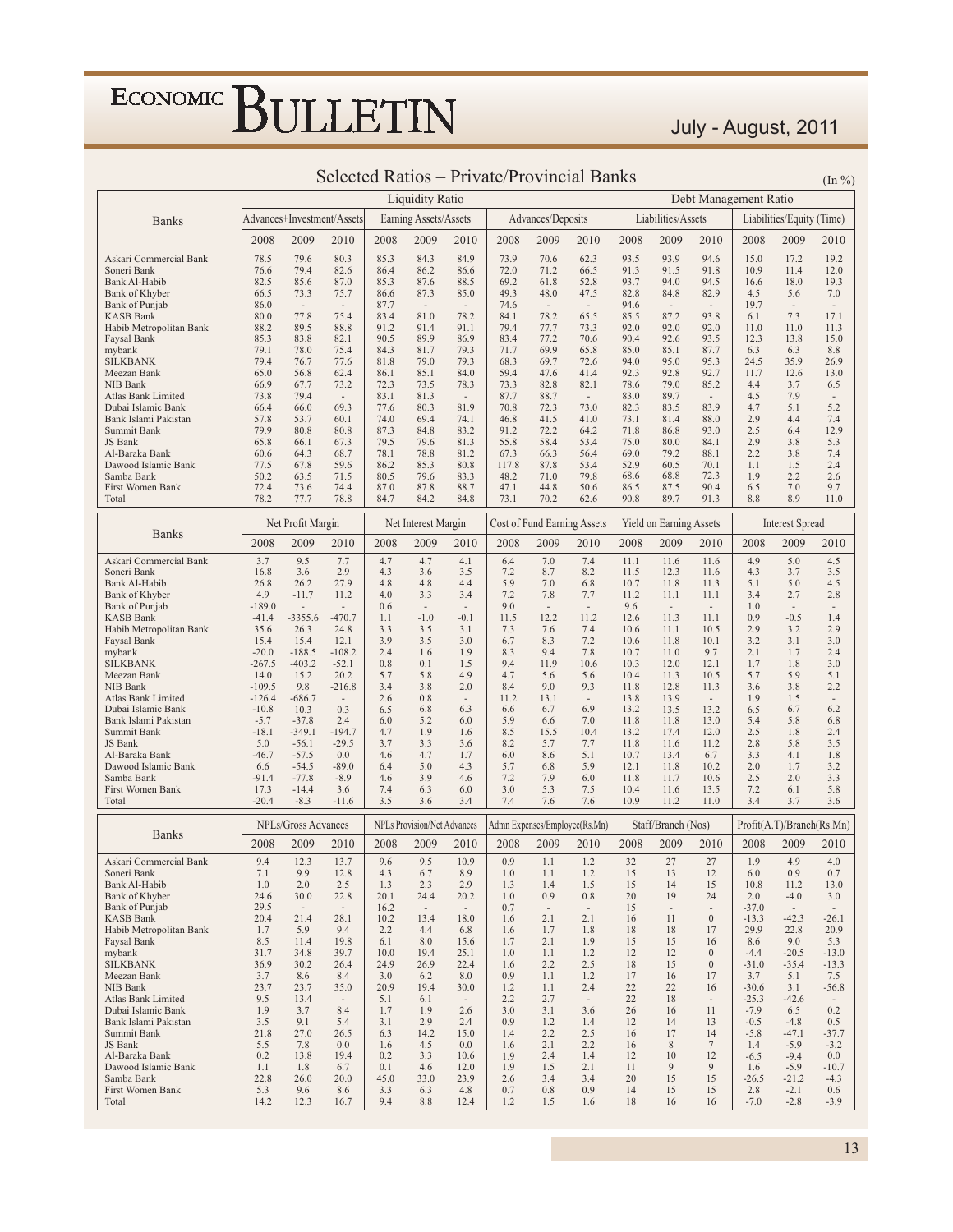#### July - August, 2011

|                                            |                     |                            |                                  |              | <b>Liquidity Ratio</b>             |                                  |               |                                 |                                  |              |                                |                                    | Debt Management Ratio |                           | (                               |
|--------------------------------------------|---------------------|----------------------------|----------------------------------|--------------|------------------------------------|----------------------------------|---------------|---------------------------------|----------------------------------|--------------|--------------------------------|------------------------------------|-----------------------|---------------------------|---------------------------------|
|                                            |                     | Advances+Investment/Assets |                                  |              | Earning Assets/Assets              |                                  |               | Advances/Deposits               |                                  |              | Liabilities/Assets             |                                    |                       | Liabilities/Equity (Time) |                                 |
| <b>Banks</b>                               |                     |                            |                                  |              |                                    |                                  |               |                                 |                                  |              |                                |                                    |                       |                           |                                 |
|                                            | 2008                | 2009                       | 2010                             | 2008         | 2009                               | 2010                             | 2008          | 2009                            | 2010                             | 2008         | 2009                           | 2010                               | 2008                  | 2009                      | 2010                            |
| Askari Commercial Bank                     | 78.5                | 79.6                       | 80.3                             | 85.3         | 84.3                               | 84.9                             | 73.9          | 70.6                            | 62.3                             | 93.5         | 93.9                           | 94.6                               | 15.0                  | 17.2                      | 19.2                            |
| Soneri Bank<br>Bank Al-Habib               | 76.6<br>82.5        | 79.4<br>85.6               | 82.6<br>87.0                     | 86.4<br>85.3 | 86.2<br>87.6                       | 86.6<br>88.5                     | 72.0<br>69.2  | 71.2<br>61.8                    | 66.5<br>52.8                     | 91.3<br>93.7 | 91.5<br>94.0                   | 91.8<br>94.5                       | 10.9<br>16.6          | 11.4<br>18.0              | 12.0<br>19.3                    |
| Bank of Khyber                             | 66.5                | 73.3                       | 75.7                             | 86.6         | 87.3                               | 85.0                             | 49.3          | 48.0                            | 47.5                             | 82.8         | 84.8                           | 82.9                               | 4.5                   | 5.6                       | 7.0                             |
| Bank of Punjab                             | 86.0                | $\sim$                     | $\overline{\phantom{a}}$         | 87.7         | $\sim$                             | $\overline{\phantom{a}}$         | 74.6          | $\overline{\phantom{a}}$        | $\overline{\phantom{a}}$         | 94.6         | $\sim$                         | $\overline{\phantom{a}}$           | 19.7                  | $\overline{\phantom{a}}$  | $\overline{\phantom{a}}$        |
| <b>KASB Bank</b>                           | 80.0                | 77.8                       | 75.4                             | 83.4         | 81.0                               | 78.2                             | 84.1          | 78.2                            | 65.5                             | 85.5         | 87.2                           | 93.8                               | 6.1                   | 7.3                       | 17.1                            |
| Habib Metropolitan Bank                    | 88.2<br>85.3        | 89.5<br>83.8               | 88.8<br>82.1                     | 91.2<br>90.5 | 91.4<br>89.9                       | 91.1<br>86.9                     | 79.4<br>83.4  | 77.7<br>77.2                    | 73.3<br>70.6                     | 92.0<br>90.4 | 92.0<br>92.6                   | 92.0<br>93.5                       | 11.0<br>12.3          | 11.0<br>13.8              | 11.3<br>15.0                    |
| Faysal Bank<br>mybank                      | 79.1                | 78.0                       | 75.4                             | 84.3         | 81.7                               | 79.3                             | 71.7          | 69.9                            | 65.8                             | 85.0         | 85.1                           | 87.7                               | 6.3                   | 6.3                       | 8.8                             |
| <b>SILKBANK</b>                            | 79.4                | 76.7                       | 77.6                             | 81.8         | 79.0                               | 79.3                             | 68.3          | 69.7                            | 72.6                             | 94.0         | 95.0                           | 95.3                               | 24.5                  | 35.9                      | 26.9                            |
| Meezan Bank                                | 65.0                | 56.8                       | 62.4                             | 86.1         | 85.1                               | 84.0                             | 59.4          | 47.6                            | 41.4                             | 92.3         | 92.8                           | 92.7                               | 11.7                  | 12.6                      | 13.0                            |
| <b>NIB Bank</b>                            | 66.9                | 67.7                       | 73.2                             | 72.3         | 73.5                               | 78.3                             | 73.3          | 82.8                            | 82.1                             | 78.6         | 79.0                           | 85.2                               | 4.4                   | 3.7                       | 6.5                             |
| Atlas Bank Limited<br>Dubai Islamic Bank   | 73.8<br>66.4        | 79.4<br>66.0               | 69.3                             | 83.1<br>77.6 | 81.3<br>80.3                       | $\overline{\phantom{a}}$<br>81.9 | 87.7<br>70.8  | 88.7<br>72.3                    | $\overline{\phantom{a}}$<br>73.0 | 83.0<br>82.3 | 89.7<br>83.5                   | $\overline{\phantom{a}}$<br>83.9   | 4.5<br>4.7            | 7.9<br>5.1                | $\overline{\phantom{a}}$<br>5.2 |
| Bank Islami Pakistan                       | 57.8                | 53.7                       | 60.1                             | 74.0         | 69.4                               | 74.1                             | 46.8          | 41.5                            | 41.0                             | 73.1         | 81.4                           | 88.0                               | 2.9                   | 4.4                       | 7.4                             |
| Summit Bank                                | 79.9                | 80.8                       | 80.8                             | 87.3         | 84.8                               | 83.2                             | 91.2          | 72.2                            | 64.2                             | 71.8         | 86.8                           | 93.0                               | 2.5                   | 6.4                       | 12.9                            |
| <b>JS</b> Bank                             | 65.8                | 66.1                       | 67.3                             | 79.5         | 79.6                               | 81.3                             | 55.8          | 58.4                            | 53.4                             | 75.0         | 80.0                           | 84.1                               | 2.9                   | 3.8                       | 5.3                             |
| Al-Baraka Bank<br>Dawood Islamic Bank      | 60.6<br>77.5        | 64.3<br>67.8               | 68.7<br>59.6                     | 78.1<br>86.2 | 78.8<br>85.3                       | 81.2<br>80.8                     | 67.3<br>117.8 | 66.3<br>87.8                    | 56.4<br>53.4                     | 69.0<br>52.9 | 79.2<br>60.5                   | 88.1<br>70.1                       | 2.2<br>1.1            | 3.8<br>1.5                | 7.4<br>2.4                      |
| Samba Bank                                 | 50.2                | 63.5                       | 71.5                             | 80.5         | 79.6                               | 83.3                             | 48.2          | 71.0                            | 79.8                             | 68.6         | 68.8                           | 72.3                               | 1.9                   | 2.2                       | 2.6                             |
| First Women Bank                           | 72.4                | 73.6                       | 74.4                             | 87.0         | 87.8                               | 88.7                             | 47.1          | 44.8                            | 50.6                             | 86.5         | 87.5                           | 90.4                               | 6.5                   | 7.0                       | 9.7                             |
| Total                                      | 78.2                | 77.7                       | 78.8                             | 84.7         | 84.2                               | 84.8                             | 73.1          | 70.2                            | 62.6                             | 90.8         | 89.7                           | 91.3                               | 8.8                   | 8.9                       | 11.0                            |
|                                            |                     | Net Profit Margin          |                                  |              | Net Interest Margin                |                                  |               | Cost of Fund Earning Assets     |                                  |              | Yield on Earning Assets        |                                    |                       | <b>Interest Spread</b>    |                                 |
| <b>Banks</b>                               | 2008                | 2009                       | 2010                             | 2008         | 2009                               | 2010                             | 2008          | 2009                            | 2010                             | 2008         | 2009                           | 2010                               | 2008                  | 2009                      | 2010                            |
| Askari Commercial Bank                     | 3.7                 | 9.5                        | 7.7                              | 4.7          | 4.7                                | 4.1                              | 6.4           | $7.0\,$                         | 7.4                              | 11.1         | 11.6                           | 11.6                               | 4.9                   | 5.0                       | 4.5                             |
| Soneri Bank<br><b>Bank Al-Habib</b>        | 16.8                | 3.6                        | 2.9                              | 4.3          | 3.6                                | 3.5                              | 7.2           | 8.7                             | 8.2                              | 11.5         | 12.3                           | 11.6                               | 4.3                   | 3.7                       | 3.5                             |
| Bank of Khyber                             | 26.8<br>4.9         | 26.2<br>$-11.7$            | 27.9<br>11.2                     | 4.8<br>4.0   | 4.8<br>3.3                         | 4.4<br>3.4                       | 5.9<br>7.2    | 7.0<br>7.8                      | 6.8<br>7.7                       | 10.7<br>11.2 | 11.8<br>11.1                   | 11.3<br>11.1                       | 5.1<br>3.4            | 5.0<br>2.7                | 4.5<br>2.8                      |
| Bank of Punjab                             | $-189.0$            | ٠                          | ×                                | 0.6          | $\sim$                             | $\overline{\phantom{a}}$         | 9.0           | $\overline{\phantom{a}}$        | $\sim$                           | 9.6          | $\sim$                         | $\sim$                             | 1.0                   | $\overline{\phantom{a}}$  | $\overline{\phantom{a}}$        |
| <b>KASB Bank</b>                           | $-41.4$             | $-3355.6$                  | $-470.7$                         | 1.1          | $-1.0$                             | $-0.1$                           | 11.5          | 12.2                            | 11.2                             | 12.6         | 11.3                           | 11.1                               | 0.9                   | $-0.5$                    | 1.4                             |
| Habib Metropolitan Bank                    | 35.6                | 26.3<br>15.4               | 24.8                             | 3.3          | 3.5                                | 3.1                              | 7.3           | 7.6<br>8.3                      | 7.4<br>7.2                       | 10.6<br>10.6 | 11.1                           | 10.5                               | 2.9                   | 3.2                       | 2.9<br>3.0                      |
| Faysal Bank<br>mybank                      | 15.4<br>$-20.0$     | $-188.5$                   | 12.1<br>$-108.2$                 | 3.9<br>2.4   | 3.5<br>1.6                         | 3.0<br>1.9                       | 6.7<br>8.3    | 9.4                             | 7.8                              | 10.7         | 11.8<br>11.0                   | 10.1<br>9.7                        | 3.2<br>2.1            | 3.1<br>1.7                | 2.4                             |
| <b>SILKBANK</b>                            | $-267.5$            | $-403.2$                   | $-52.1$                          | 0.8          | 0.1                                | 1.5                              | 9.4           | 11.9                            | 10.6                             | 10.3         | 12.0                           | 12.1                               | 1.7                   | 1.8                       | 3.0                             |
| Meezan Bank                                | 14.0                | 15.2                       | 20.2                             | 5.7          | 5.8                                | 4.9                              | 4.7           | 5.6                             | 5.6                              | 10.4         | 11.3                           | 10.5                               | 5.7                   | 5.9                       | 5.1                             |
| NIB Bank                                   | $-109.5$            | 9.8                        | $-216.8$                         | 3.4          | 3.8                                | 2.0                              | 8.4           | 9.0                             | 9.3<br>$\sim$                    | 11.8         | 12.8                           | 11.3                               | 3.6                   | 3.8                       | 2.2                             |
| Atlas Bank Limited<br>Dubai Islamic Bank   | $-126.4$<br>$-10.8$ | $-686.7$<br>10.3           | ÷,<br>0.3                        | 2.6<br>6.5   | 0.8<br>6.8                         | $\overline{\phantom{a}}$<br>6.3  | 11.2<br>6.6   | 13.1<br>6.7                     | 6.9                              | 13.8<br>13.2 | 13.9<br>13.5                   | $\sim$<br>13.2                     | 1.9<br>6.5            | 1.5<br>6.7                | $\overline{\phantom{a}}$<br>6.2 |
| Bank Islami Pakistan                       | $-5.7$              | $-37.8$                    | 2.4                              | 6.0          | 5.2                                | 6.0                              | 5.9           | 6.6                             | 7.0                              | 11.8         | 11.8                           | 13.0                               | 5.4                   | 5.8                       | 6.8                             |
| Summit Bank                                | $-18.1$             | -349.1                     | $-194.7$                         | 4.7          | 1.9                                | 1.6                              | 8.5           | 15.5                            | 10.4                             | 13.2         | 17.4                           | 12.0                               | 2.5                   | 1.8                       | 2.4                             |
| JS Bank                                    | 5.0                 | $-56.1$                    | $-29.5$                          | 3.7          | 3.3                                | 3.6                              | 8.2           | 5.7                             | 7.7                              | 11.8         | 11.6                           | 11.2                               | 2.8                   | 5.8                       | 3.5                             |
| Al-Baraka Bank<br>Dawood Islamic Bank      | $-46.7$<br>6.6      | $-57.5$<br>$-54.5$         | 0.0<br>$-89.0$                   | 4.6<br>6.4   | 4.7<br>5.0                         | 1.7<br>4.3                       | 6.0<br>5.7    | 8.6<br>6.8                      | 5.1<br>5.9                       | 10.7<br>12.1 | 13.4<br>11.8                   | 6.7<br>10.2                        | 3.3<br>2.0            | 4.1<br>1.7                | 1.8<br>3.2                      |
| Samba Bank                                 | $-91.4$             | $-77.8$                    | $-8.9$                           | 4.6          | 3.9                                | 4.6                              | 7.2           | 7.9                             | 6.0                              | 11.8         | 11.7                           | 10.6                               | 2.5                   | 2.0                       | 3.3                             |
| First Women Bank                           | 17.3                | $-14.4$                    | 3.6                              | 7.4          | 6.3                                | 6.0                              | 3.0           | 5.3                             | 7.5                              | 10.4         | 11.6                           | 13.5                               | 7.2                   | 6.1                       | 5.8                             |
| Total                                      | $-20.4$             | $-8.3$                     | $-11.6$                          | 3.5          | 3.6                                | 3.4                              | 7.4           | 7.6                             | 7.6                              | 10.9         | 11.2                           | 11.0                               | 3.4                   | 3.7                       | 3.6                             |
|                                            |                     | NPLs/Gross Advances        |                                  |              | <b>NPLs Provision/Net Advances</b> |                                  |               |                                 | Admn Expenses/Employee(Rs.Mn)    |              | Staff/Branch (Nos)             |                                    |                       | Profit(A.T)/Branch(Rs.Mn) |                                 |
| <b>Banks</b>                               | 2008                | 2009                       | 2010                             | 2008         | 2009                               | 2010                             | 2008          | 2009                            | 2010                             | 2008         | 2009                           | 2010                               | 2008                  | 2009                      | 2010                            |
| Askari Commercial Bank                     | 9.4                 | 12.3                       | 13.7                             | 9.6          | 9.5                                | 10.9                             | 0.9           | 1.1                             | 1.2                              | 32           | 27                             | 27                                 | 1.9                   | 4.9                       | 4.0                             |
| Soneri Bank                                | 7.1                 | 9.9                        | 12.8                             | 4.3          | 6.7                                | 8.9                              | 1.0           | 1.1                             | 1.2                              | 15           | 13                             | 12                                 | 6.0                   | 0.9                       | 0.7                             |
| Bank Al-Habib                              | 1.0                 | 2.0                        | 2.5                              | 1.3          | 2.3                                | 2.9                              | 1.3           | 1.4                             | 1.5                              | 15           | 14                             | 15                                 | 10.8                  | 11.2                      | 13.0                            |
| Bank of Khyber<br>Bank of Punjab           | 24.6<br>29.5        | 30.0<br>$\sim$             | 22.8<br>$\overline{\phantom{a}}$ | 20.1<br>16.2 | 24.4<br>$\sim$                     | 20.2<br>$\sim$                   | 1.0<br>0.7    | 0.9<br>$\overline{\phantom{a}}$ | 0.8<br>$\sim$                    | 20<br>15     | 19<br>$\overline{\phantom{a}}$ | 24<br>$\overline{\phantom{a}}$     | 2.0<br>$-37.0$        | $-4.0$<br>$\sim$          | 3.0<br>$\overline{\phantom{a}}$ |
| <b>KASB Bank</b>                           | 20.4                | 21.4                       | 28.1                             | 10.2         | 13.4                               | 18.0                             | 1.6           | 2.1                             | 2.1                              | 16           | 11                             | $\boldsymbol{0}$                   | $-13.3$               | $-42.3$                   | $-26.1$                         |
| Habib Metropolitan Bank                    | 1.7                 | 5.9                        | 9.4                              | 2.2          | 4.4                                | 6.8                              | 1.6           | 1.7                             | 1.8                              | 18           | 18                             | 17                                 | 29.9                  | 22.8                      | 20.9                            |
| Faysal Bank                                | 8.5                 | 11.4                       | 19.8                             | 6.1          | 8.0                                | 15.6                             | 1.7           | 2.1                             | 1.9                              | 15           | 15                             | 16                                 | 8.6                   | 9.0                       | 5.3                             |
| mybank<br><b>SILKBANK</b>                  | 31.7<br>36.9        | 34.8<br>30.2               | 39.7<br>26.4                     | 10.0<br>24.9 | 19.4<br>26.9                       | 25.1<br>22.4                     | 1.0<br>1.6    | 1.1<br>2.2                      | 1.2<br>2.5                       | 12<br>18     | 12<br>15                       | $\boldsymbol{0}$<br>$\overline{0}$ | $-4.4$<br>$-31.0$     | $-20.5$<br>$-35.4$        | $-13.0$<br>$-13.3$              |
| Meezan Bank                                | 3.7                 | 8.6                        | 8.4                              | 3.0          | 6.2                                | 8.0                              | 0.9           | 1.1                             | 1.2                              | 17           | 16                             | 17                                 | 3.7                   | 5.1                       | 7.5                             |
| <b>NIB Bank</b>                            | 23.7                | 23.7                       | 35.0                             | 20.9         | 19.4                               | 30.0                             | 1.2           | 1.1                             | 2.4                              | 22           | 22                             | 16                                 | $-30.6$               | 3.1                       | $-56.8$                         |
| Atlas Bank Limited                         | 9.5                 | 13.4                       | $\overline{\phantom{a}}$         | 5.1          | 6.1                                | $\overline{\phantom{a}}$         | 2.2           | 2.7                             | $\overline{\phantom{a}}$         | 22           | 18                             | $\overline{\phantom{a}}$           | $-25.3$               | $-42.6$                   | $\overline{\phantom{a}}$        |
| Dubai Islamic Bank<br>Bank Islami Pakistan | 1.9<br>3.5          | 3.7<br>9.1                 | 8.4<br>5.4                       | 1.7<br>3.1   | 1.9<br>2.9                         | 2.6<br>2.4                       | 3.0<br>0.9    | 3.1<br>1.2                      | 3.6<br>1.4                       | 26<br>12     | 16<br>14                       | 11                                 | $-7.9$                | 6.5<br>$-4.8$             | 0.2                             |
| Summit Bank                                | 21.8                | 27.0                       | 26.5                             | 6.3          | 14.2                               | 15.0                             | 1.4           | 2.2                             | 2.5                              | 16           | 17                             | 13<br>14                           | $-0.5$<br>$-5.8$      | $-47.1$                   | 0.5<br>$-37.7$                  |
| JS Bank                                    | 5.5                 | 7.8                        | 0.0                              | 1.6          | 4.5                                | 0.0                              | 1.6           | 2.1                             | 2.2                              | 16           | 8                              | $\overline{7}$                     | 1.4                   | $-5.9$                    | $-3.2$                          |
| Al-Baraka Bank                             | 0.2                 | 13.8                       | 19.4                             | 0.2          | 3.3                                | 10.6                             | 1.9           | 2.4                             | 1.4                              | 12           | 10                             | 12                                 | $-6.5$                | $-9.4$                    | 0.0                             |
| Dawood Islamic Bank<br>Samba Bank          | 1.1<br>22.8         | 1.8<br>26.0                | 6.7                              | 0.1<br>45.0  | 4.6                                | 12.0                             | 1.9           | 1.5                             | 2.1                              | 11<br>20     | 9                              | 9                                  | 1.6                   | $-5.9$                    | $-10.7$                         |
| First Women Bank                           | 5.3                 | 9.6                        | 20.0<br>8.6                      | 3.3          | 33.0<br>6.3                        | 23.9<br>4.8                      | 2.6<br>0.7    | 3.4<br>0.8                      | 3.4<br>0.9                       | 14           | 15<br>15                       | 15<br>15                           | $-26.5$<br>2.8        | $-21.2$<br>$-2.1$         | $-4.3$<br>0.6                   |
| Total                                      | 14.2                | 12.3                       | 16.7                             | 9.4          | 8.8                                | 12.4                             | 1.2           | 1.5                             | 1.6                              | 18           | 16                             | 16                                 | $-7.0$                | $-2.8$                    | $-3.9$                          |
|                                            |                     |                            |                                  |              |                                    |                                  |               |                                 |                                  |              |                                |                                    |                       |                           |                                 |

#### Selected Ratios – Private/Provincial Banks  $_{(In \%)}$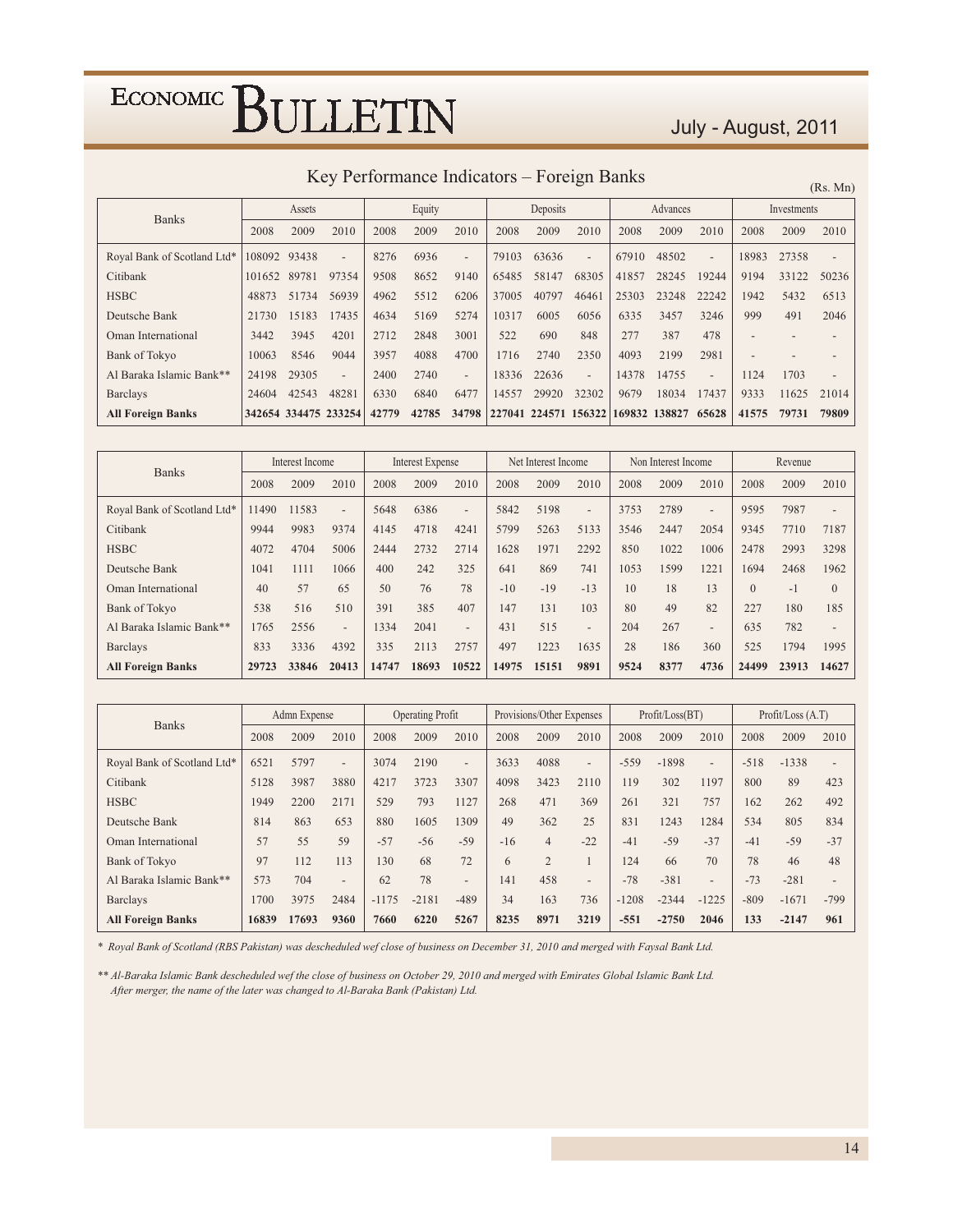#### July - August, 2011

Key Performance Indicators - Foreign Banks

 $(Rs. Mn)$ 

| <b>Banks</b>                |        | Assets               |       |       | Equity |                          |       | Deposits |                | Advances |                                    |                          | Investments |       |       |
|-----------------------------|--------|----------------------|-------|-------|--------|--------------------------|-------|----------|----------------|----------|------------------------------------|--------------------------|-------------|-------|-------|
|                             | 2008   | 2009                 | 2010  | 2008  | 2009   | 2010                     | 2008  | 2009     | 2010           | 2008     | 2009                               | 2010                     | 2008        | 2009  | 2010  |
| Royal Bank of Scotland Ltd* | 108092 | 93438                |       | 8276  | 6936   | $\overline{\phantom{a}}$ | 79103 | 63636    | $\overline{a}$ | 67910    | 48502                              | $\overline{\phantom{0}}$ | 18983       | 27358 |       |
| Citibank                    | 101652 | 89781                | 97354 | 9508  | 8652   | 9140                     | 65485 | 58147    | 68305          | 41857    | 28245                              | 19244                    | 9194        | 33122 | 50236 |
| <b>HSBC</b>                 | 48873  | 51734                | 56939 | 4962  | 5512   | 6206                     | 37005 | 40797    | 46461          | 25303    | 23248                              | 22242                    | 1942        | 5432  | 6513  |
| Deutsche Bank               | 21730  | 15183                | 17435 | 4634  | 5169   | 5274                     | 10317 | 6005     | 6056           | 6335     | 3457                               | 3246                     | 999         | 491   | 2046  |
| Oman International          | 3442   | 3945                 | 4201  | 2712  | 2848   | 3001                     | 522   | 690      | 848            | 277      | 387                                | 478                      |             |       |       |
| Bank of Tokyo               | 10063  | 8546                 | 9044  | 3957  | 4088   | 4700                     | 1716  | 2740     | 2350           | 4093     | 2199                               | 2981                     |             |       |       |
| Al Baraka Islamic Bank**    | 24198  | 29305                |       | 2400  | 2740   | $\overline{\phantom{a}}$ | 18336 | 22636    | $\overline{a}$ | 14378    | 14755                              | $\overline{a}$           | 1124        | 1703  |       |
| <b>Barclays</b>             | 24604  | 42543                | 48281 | 6330  | 6840   | 6477                     | 14557 | 29920    | 32302          | 9679     | 18034                              | 17437                    | 9333        | 11625 | 21014 |
| <b>All Foreign Banks</b>    |        | 342654 334475 233254 |       | 42779 | 42785  | 34798                    |       |          |                |          | 227041 224571 156322 169832 138827 | 65628                    | 41575       | 79731 | 79809 |

| <b>Banks</b>                |       | Interest Income |                          |       | <b>Interest Expense</b> |                          | Net Interest Income<br>Non Interest Income |       |                          | Revenue |      |                          |          |       |                          |
|-----------------------------|-------|-----------------|--------------------------|-------|-------------------------|--------------------------|--------------------------------------------|-------|--------------------------|---------|------|--------------------------|----------|-------|--------------------------|
|                             | 2008  | 2009            | 2010                     | 2008  | 2009                    | 2010                     | 2008                                       | 2009  | 2010                     | 2008    | 2009 | 2010                     | 2008     | 2009  | 2010                     |
| Royal Bank of Scotland Ltd* | 11490 | 11583           | $\overline{a}$           | 5648  | 6386                    | $\overline{\phantom{a}}$ | 5842                                       | 5198  | $\overline{\phantom{0}}$ | 3753    | 2789 | $\overline{\phantom{0}}$ | 9595     | 7987  | $\overline{\phantom{a}}$ |
| Citibank                    | 9944  | 9983            | 9374                     | 4145  | 4718                    | 4241                     | 5799                                       | 5263  | 5133                     | 3546    | 2447 | 2054                     | 9345     | 7710  | 7187                     |
| <b>HSBC</b>                 | 4072  | 4704            | 5006                     | 2444  | 2732                    | 2714                     | 1628                                       | 1971  | 2292                     | 850     | 1022 | 1006                     | 2478     | 2993  | 3298                     |
| Deutsche Bank               | 1041  | 1111            | 1066                     | 400   | 242                     | 325                      | 641                                        | 869   | 741                      | 1053    | 1599 | 1221                     | 1694     | 2468  | 1962                     |
| Oman International          | 40    | 57              | 65                       | 50    | 76                      | 78                       | $-10$                                      | $-19$ | $-13$                    | 10      | 18   | 13                       | $\Omega$ | $-1$  | $\mathbf{0}$             |
| Bank of Tokyo               | 538   | 516             | 510                      | 391   | 385                     | 407                      | 147                                        | 131   | 103                      | 80      | 49   | 82                       | 227      | 180   | 185                      |
| Al Baraka Islamic Bank**    | 1765  | 2556            | $\overline{\phantom{0}}$ | 334   | 2041                    | $\overline{\phantom{a}}$ | 431                                        | 515   | $\overline{\phantom{0}}$ | 204     | 267  | $\overline{\phantom{0}}$ | 635      | 782   | $\overline{\phantom{a}}$ |
| <b>Barclays</b>             | 833   | 3336            | 4392                     | 335   | 2113                    | 2757                     | 497                                        | 1223  | 1635                     | 28      | 186  | 360                      | 525      | 1794  | 1995                     |
| <b>All Foreign Banks</b>    | 29723 | 33846           | 20413                    | 14747 | 18693                   | 10522                    | 14975                                      | 15151 | 9891                     | 9524    | 8377 | 4736                     | 24499    | 23913 | 14627                    |

| <b>Banks</b>                |       | Admn Expense |                          |         | <b>Operating Profit</b> |                          |       | Provisions/Other Expenses |                          |         | Profit / Loss (BT) |                          | Profit / Loss (A.T) |         |                          |
|-----------------------------|-------|--------------|--------------------------|---------|-------------------------|--------------------------|-------|---------------------------|--------------------------|---------|--------------------|--------------------------|---------------------|---------|--------------------------|
|                             | 2008  | 2009         | 2010                     | 2008    | 2009                    | 2010                     | 2008  | 2009                      | 2010                     | 2008    | 2009               | 2010                     | 2008                | 2009    | 2010                     |
| Royal Bank of Scotland Ltd* | 6521  | 5797         | $\overline{\phantom{a}}$ | 3074    | 2190                    | $\overline{\phantom{a}}$ | 3633  | 4088                      | $\overline{\phantom{a}}$ | $-559$  | $-1898$            | $\overline{\phantom{a}}$ | $-518$              | $-1338$ | $\overline{\phantom{a}}$ |
| Citibank                    | 5128  | 3987         | 3880                     | 4217    | 3723                    | 3307                     | 4098  | 3423                      | 2110                     | 119     | 302                | 1197                     | 800                 | 89      | 423                      |
| <b>HSBC</b>                 | 1949  | 2200         | 2171                     | 529     | 793                     | 1127                     | 268   | 471                       | 369                      | 261     | 321                | 757                      | 162                 | 262     | 492                      |
| Deutsche Bank               | 814   | 863          | 653                      | 880     | 1605                    | 1309                     | 49    | 362                       | 25                       | 831     | 1243               | 1284                     | 534                 | 805     | 834                      |
| Oman International          | 57    | 55           | 59                       | $-57$   | $-56$                   | $-59$                    | $-16$ | $\overline{4}$            | $-22$                    | $-41$   | $-59$              | $-37$                    | $-41$               | $-59$   | $-37$                    |
| <b>Bank of Tokyo</b>        | 97    | 112          | 113                      | 130     | 68                      | 72                       | 6     | $\overline{2}$            |                          | 124     | 66                 | 70                       | 78                  | 46      | 48                       |
| Al Baraka Islamic Bank**    | 573   | 704          | $\overline{\phantom{a}}$ | 62      | 78                      | $\overline{\phantom{0}}$ | 141   | 458                       | $\overline{\phantom{0}}$ | $-78$   | $-381$             | $\overline{\phantom{0}}$ | $-73$               | $-281$  |                          |
| <b>Barclays</b>             | 1700  | 3975         | 2484                     | $-1175$ | $-2181$                 | $-489$                   | 34    | 163                       | 736                      | $-1208$ | $-2344$            | $-1225$                  | $-809$              | $-1671$ | $-799$                   |
| <b>All Foreign Banks</b>    | 16839 | 17693        | 9360                     | 7660    | 6220                    | 5267                     | 8235  | 8971                      | 3219                     | $-551$  | $-2750$            | 2046                     | 133                 | $-2147$ | 961                      |

\* Royal Bank of Scotland (RBS Pakistan) was descheduled wef close of business on December 31, 2010 and merged with Faysal Bank Ltd.

\*\* Al-Baraka Islamic Bank descheduled wef the close of business on October 29, 2010 and merged with Emirates Global Islamic Bank Ltd. After merger, the name of the later was changed to Al-Baraka Bank (Pakistan) Ltd.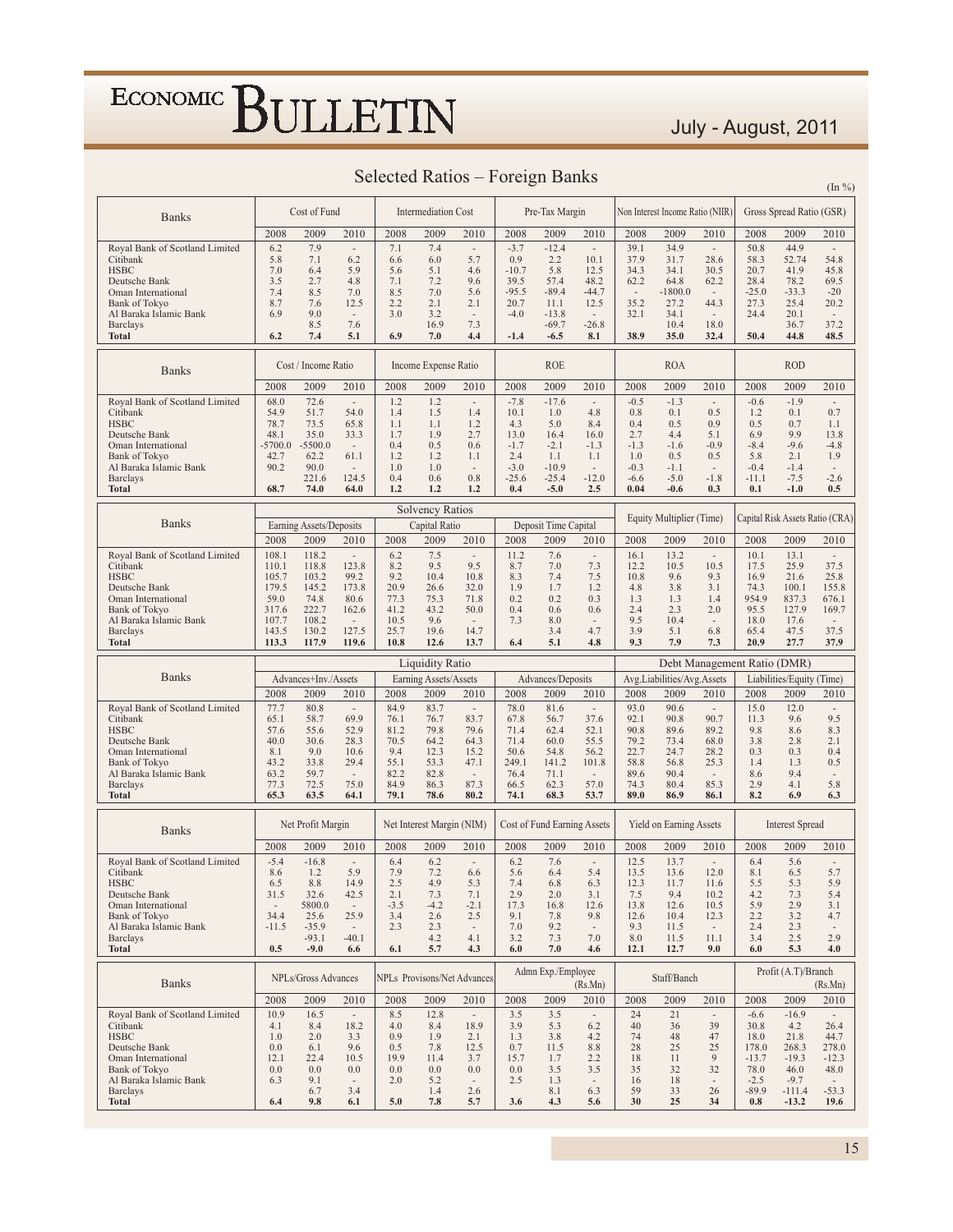#### July - August, 2011

| Selected Ratios – Foreign Banks | $(\ln \frac{9}{6})$ |
|---------------------------------|---------------------|
|                                 |                     |

| <b>Banks</b>                                                                                                                                                                   |                                                                                    | Cost of Fund                                                                    |                                                                                                          |                                                                     | <b>Intermediation Cost</b>                                            |                                                                                   |                                                                       | Pre-Tax Margin                                                         |                                                                                                               |                                                                          | Non Interest Income Ratio (NIIR)                                     |                                                                                                       |                                                                                        | Gross Spread Ratio (GSR)                                                                    |                                                                                                         |
|--------------------------------------------------------------------------------------------------------------------------------------------------------------------------------|------------------------------------------------------------------------------------|---------------------------------------------------------------------------------|----------------------------------------------------------------------------------------------------------|---------------------------------------------------------------------|-----------------------------------------------------------------------|-----------------------------------------------------------------------------------|-----------------------------------------------------------------------|------------------------------------------------------------------------|---------------------------------------------------------------------------------------------------------------|--------------------------------------------------------------------------|----------------------------------------------------------------------|-------------------------------------------------------------------------------------------------------|----------------------------------------------------------------------------------------|---------------------------------------------------------------------------------------------|---------------------------------------------------------------------------------------------------------|
|                                                                                                                                                                                | 2008                                                                               | 2009                                                                            | 2010                                                                                                     | 2008                                                                | 2009                                                                  | 2010                                                                              | 2008                                                                  | 2009                                                                   | 2010                                                                                                          | 2008                                                                     | 2009                                                                 | 2010                                                                                                  | 2008                                                                                   | 2009                                                                                        | 2010                                                                                                    |
| Royal Bank of Scotland Limited<br>Citibank<br><b>HSBC</b><br>Deutsche Bank<br>Oman International<br><b>Bank of Tokvo</b><br>Al Baraka Islamic Bank                             | 6.2<br>5.8<br>7.0<br>3.5<br>7.4<br>8.7<br>6.9                                      | 7.9<br>7.1<br>6.4<br>2.7<br>8.5<br>7.6<br>9.0<br>8.5                            | $\overline{\phantom{a}}$<br>6.2<br>5.9<br>4.8<br>7.0<br>12.5<br>$\overline{\phantom{a}}$<br>7.6          | 7.1<br>6.6<br>5.6<br>7.1<br>8.5<br>2.2<br>3.0                       | 7.4<br>6.0<br>5.1<br>7.2<br>7.0<br>2.1<br>3.2<br>16.9                 | $\sim$<br>5.7<br>4.6<br>9.6<br>5.6<br>2.1<br>$\sim$<br>7.3                        | $-3.7$<br>0.9<br>$-10.7$<br>39.5<br>$-95.5$<br>20.7<br>$-4.0$         | $-12.4$<br>2.2<br>5.8<br>57.4<br>$-89.4$<br>11.1<br>$-13.8$<br>$-69.7$ | ÷,<br>10.1<br>12.5<br>48.2<br>$-44.7$<br>12.5<br>$\sim$<br>$-26.8$                                            | 39.1<br>37.9<br>34.3<br>62.2<br>$\overline{\phantom{a}}$<br>35.2<br>32.1 | 34.9<br>31.7<br>34.1<br>64.8<br>$-1800.0$<br>27.2<br>34.1<br>10.4    | $\bar{a}$<br>28.6<br>30.5<br>62.2<br>44.3<br>$\overline{\phantom{a}}$<br>18.0                         | 50.8<br>58.3<br>20.7<br>28.4<br>$-25.0$<br>27.3<br>24.4                                | 44.9<br>52.74<br>41.9<br>78.2<br>$-33.3$<br>25.4<br>20.1                                    | $\sim$<br>54.8<br>45.8<br>69.5<br>$-20$<br>20.2<br>$\sim$<br>37.2                                       |
| <b>Barclays</b><br><b>Total</b>                                                                                                                                                | 6.2                                                                                | 7.4                                                                             | 5.1                                                                                                      | 6.9                                                                 | 7.0                                                                   | 4.4                                                                               | $-1.4$                                                                | $-6.5$                                                                 | 8.1                                                                                                           | 38.9                                                                     | 35.0                                                                 | 32.4                                                                                                  | 50.4                                                                                   | 36.7<br>44.8                                                                                | 48.5                                                                                                    |
| <b>Banks</b>                                                                                                                                                                   |                                                                                    | Cost / Income Ratio                                                             |                                                                                                          |                                                                     | Income Expense Ratio                                                  |                                                                                   |                                                                       | <b>ROE</b>                                                             |                                                                                                               |                                                                          | <b>ROA</b>                                                           |                                                                                                       |                                                                                        | <b>ROD</b>                                                                                  |                                                                                                         |
|                                                                                                                                                                                | 2008<br>68.0                                                                       | 2009<br>72.6                                                                    | 2010<br>$\overline{\phantom{a}}$                                                                         | 2008<br>1.2                                                         | 2009<br>1.2                                                           | 2010<br>$\sim$                                                                    | 2008<br>$-7.8$                                                        | 2009<br>$-17.6$                                                        | 2010<br>$\sim$                                                                                                | 2008<br>$-0.5$                                                           | 2009<br>$-1.3$                                                       | 2010<br>$\overline{\phantom{a}}$                                                                      | 2008<br>$-0.6$                                                                         | 2009<br>$-1.9$                                                                              | 2010<br>$\bar{a}$                                                                                       |
| Royal Bank of Scotland Limited<br>Citibank<br><b>HSBC</b><br>Deutsche Bank<br>Oman International<br>Bank of Tokyo<br>Al Baraka Islamic Bank<br><b>Barclays</b><br><b>Total</b> | 54.9<br>78.7<br>48.1<br>$-5700.0$<br>42.7<br>90.2<br>68.7                          | 51.7<br>73.5<br>35.0<br>$-5500.0$<br>62.2<br>90.0<br>221.6<br>74.0              | 54.0<br>65.8<br>33.3<br>$\overline{\phantom{a}}$<br>61.1<br>$\overline{\phantom{a}}$<br>124.5<br>64.0    | 1.4<br>1.1<br>1.7<br>0.4<br>1.2<br>1.0<br>0.4<br>1.2                | 1.5<br>1.1<br>1.9<br>0.5<br>1.2<br>1.0<br>0.6<br>1.2                  | 1.4<br>1.2<br>2.7<br>0.6<br>1.1<br>$\sim$<br>0.8<br>1.2                           | 10.1<br>4.3<br>13.0<br>$-1.7$<br>2.4<br>$-3.0$<br>$-25.6$<br>0.4      | 1.0<br>5.0<br>16.4<br>$-2.1$<br>1.1<br>$-10.9$<br>$-25.4$<br>$-5.0$    | 4.8<br>8.4<br>16.0<br>$-1.3$<br>1.1<br>$\sim$<br>$-12.0$<br>2.5                                               | 0.8<br>0.4<br>2.7<br>$-1.3$<br>1.0<br>$-0.3$<br>$-6.6$<br>0.04           | 0.1<br>0.5<br>4.4<br>$-1.6$<br>0.5<br>$-1.1$<br>$-5.0$<br>$-0.6$     | 0.5<br>0.9<br>5.1<br>$-0.9$<br>0.5<br>$\overline{\phantom{a}}$<br>$-1.8$<br>0.3                       | 1.2<br>0.5<br>6.9<br>$-8.4$<br>5.8<br>$-0.4$<br>$-11.1$<br>0.1                         | 0.1<br>0.7<br>9.9<br>$-9.6$<br>2.1<br>$-1.4$<br>$-7.5$<br>$-1.0$                            | 0.7<br>1.1<br>13.8<br>$-4.8$<br>1.9<br>$\overline{\phantom{a}}$<br>$-2.6$<br>0.5                        |
|                                                                                                                                                                                |                                                                                    |                                                                                 |                                                                                                          |                                                                     | <b>Solvency Ratios</b>                                                |                                                                                   |                                                                       |                                                                        |                                                                                                               |                                                                          |                                                                      |                                                                                                       |                                                                                        |                                                                                             |                                                                                                         |
| <b>Banks</b>                                                                                                                                                                   | 2008                                                                               | Earning Assets/Deposits<br>2009                                                 | 2010                                                                                                     | 2008                                                                | Capital Ratio<br>2009                                                 | 2010                                                                              | 2008                                                                  | Deposit Time Capital<br>2009                                           | 2010                                                                                                          | 2008                                                                     | Equity Multiplier (Time)<br>2009                                     | 2010                                                                                                  | 2008                                                                                   | 2009                                                                                        | Capital Risk Assets Ratio (CRA)<br>2010                                                                 |
| Royal Bank of Scotland Limited<br>Citibank<br><b>HSBC</b><br>Deutsche Bank<br>Oman International<br><b>Bank of Tokyo</b><br>Al Baraka Islamic Bank<br><b>Barclays</b>          | 108.1<br>110.1<br>105.7<br>179.5<br>59.0<br>317.6<br>107.7<br>143.5                | 118.2<br>118.8<br>103.2<br>145.2<br>74.8<br>222.7<br>108.2<br>130.2             | $\overline{\phantom{a}}$<br>123.8<br>99.2<br>173.8<br>80.6<br>162.6<br>$\overline{\phantom{a}}$<br>127.5 | 6.2<br>8.2<br>9.2<br>20.9<br>77.3<br>41.2<br>10.5<br>25.7           | 7.5<br>9.5<br>10.4<br>26.6<br>75.3<br>43.2<br>9.6<br>19.6             | $\overline{\phantom{a}}$<br>9.5<br>10.8<br>32.0<br>71.8<br>50.0<br>$\sim$<br>14.7 | 11.2<br>8.7<br>8.3<br>1.9<br>0.2<br>0.4<br>7.3                        | 7.6<br>7.0<br>7.4<br>1.7<br>0.2<br>0.6<br>8.0<br>3.4                   | $\overline{\phantom{a}}$<br>7.3<br>7.5<br>1.2<br>0.3<br>0.6<br>4.7                                            | 16.1<br>12.2<br>10.8<br>4.8<br>1.3<br>2.4<br>9.5<br>3.9                  | 13.2<br>10.5<br>9.6<br>3.8<br>1.3<br>2.3<br>10.4<br>5.1              | $\overline{\phantom{a}}$<br>10.5<br>9.3<br>3.1<br>1.4<br>2.0<br>$\overline{\phantom{a}}$<br>6.8       | 10.1<br>17.5<br>16.9<br>74.3<br>954.9<br>95.5<br>18.0<br>65.4                          | 13.1<br>25.9<br>21.6<br>100.1<br>837.3<br>127.9<br>17.6<br>47.5                             | $\overline{\phantom{a}}$<br>37.5<br>25.8<br>155.8<br>676.1<br>169.7<br>$\overline{\phantom{a}}$<br>37.5 |
|                                                                                                                                                                                |                                                                                    | 117.9                                                                           | 119.6                                                                                                    | 10.8                                                                | 12.6                                                                  | 13.7                                                                              | 6.4                                                                   | 5.1                                                                    | 4.8                                                                                                           | 9.3                                                                      | 7.9                                                                  | 7.3                                                                                                   | 20.9                                                                                   | 27.7                                                                                        | 37.9                                                                                                    |
| <b>Total</b>                                                                                                                                                                   | 113.3                                                                              |                                                                                 |                                                                                                          |                                                                     |                                                                       |                                                                                   |                                                                       |                                                                        |                                                                                                               |                                                                          |                                                                      |                                                                                                       |                                                                                        |                                                                                             |                                                                                                         |
|                                                                                                                                                                                |                                                                                    |                                                                                 |                                                                                                          |                                                                     | <b>Liquidity Ratio</b>                                                |                                                                                   |                                                                       |                                                                        |                                                                                                               |                                                                          |                                                                      |                                                                                                       | Debt Management Ratio (DMR)                                                            |                                                                                             |                                                                                                         |
| <b>Banks</b>                                                                                                                                                                   |                                                                                    | Advances+Inv./Assets                                                            |                                                                                                          |                                                                     | Earning Assets/Assets                                                 |                                                                                   |                                                                       | Advances/Deposits                                                      |                                                                                                               |                                                                          | Avg.Liabilities/Avg.Assets                                           |                                                                                                       |                                                                                        | Liabilities/Equity (Time)                                                                   |                                                                                                         |
| Royal Bank of Scotland Limited<br>Citibank<br><b>HSBC</b><br>Deutsche Bank<br>Oman International<br><b>Bank of Tokyo</b><br>Al Baraka Islamic Bank<br><b>Barclays</b>          | 2008<br>77.7<br>65.1<br>57.6<br>40.0<br>8.1<br>43.2<br>63.2<br>77.3                | 2009<br>80.8<br>58.7<br>55.6<br>30.6<br>9.0<br>33.8<br>59.7<br>72.5             | 2010<br>$\sim$<br>69.9<br>52.9<br>28.3<br>10.6<br>29.4<br>$\overline{\phantom{a}}$<br>75.0               | 2008<br>84.9<br>76.1<br>81.2<br>70.5<br>9.4<br>55.1<br>82.2<br>84.9 | 2009<br>83.7<br>76.7<br>79.8<br>64.2<br>12.3<br>53.3<br>82.8<br>86.3  | 2010<br>$\sim$<br>83.7<br>79.6<br>64.3<br>15.2<br>47.1<br>$\sim$<br>87.3          | 2008<br>78.0<br>67.8<br>71.4<br>71.4<br>50.6<br>249.1<br>76.4<br>66.5 | 2009<br>81.6<br>56.7<br>62.4<br>60.0<br>54.8<br>141.2<br>71.1<br>62.3  | 2010<br>$\overline{\phantom{a}}$<br>37.6<br>52.1<br>55.5<br>56.2<br>101.8<br>$\overline{\phantom{a}}$<br>57.0 | 2008<br>93.0<br>92.1<br>90.8<br>79.2<br>22.7<br>58.8<br>89.6<br>74.3     | 2009<br>90.6<br>90.8<br>89.6<br>73.4<br>24.7<br>56.8<br>90.4<br>80.4 | 2010<br>$\sim$<br>90.7<br>89.2<br>68.0<br>28.2<br>25.3<br>$\overline{\phantom{a}}$<br>85.3            | 2008<br>15.0<br>11.3<br>9.8<br>3.8<br>0.3<br>1.4<br>8.6<br>2.9                         | 2009<br>12.0<br>9.6<br>8.6<br>2.8<br>0.3<br>1.3<br>9.4<br>4.1                               | 2010<br>$\overline{\phantom{a}}$<br>9.5<br>8.3<br>2.1<br>0.4<br>0.5<br>$\overline{\phantom{a}}$<br>5.8  |
| <b>Total</b>                                                                                                                                                                   | 65.3                                                                               | 63.5                                                                            | 64.1                                                                                                     | 79.1                                                                | 78.6                                                                  | 80.2                                                                              | 74.1                                                                  | 68.3                                                                   | 53.7                                                                                                          | 89.0                                                                     | 86.9                                                                 | 86.1                                                                                                  | 8.2                                                                                    | 6.9                                                                                         | 6.3                                                                                                     |
| <b>Banks</b>                                                                                                                                                                   | 2008                                                                               | Net Profit Margin<br>2009                                                       | 2010                                                                                                     | 2008                                                                | Net Interest Margin (NIM)<br>2009                                     | 2010                                                                              | 2008                                                                  | Cost of Fund Earning Assets<br>2009                                    | 2010                                                                                                          | 2008                                                                     | Yield on Earning Assets<br>2009                                      | 2010                                                                                                  | 2008                                                                                   | <b>Interest Spread</b><br>2009                                                              | 2010                                                                                                    |
| Royal Bank of Scotland Limited<br>Citibank<br><b>HSBC</b><br>Deutsche Bank<br>Oman International<br>Bank of Tokyo<br>Al Baraka Islamic Bank<br><b>Barclays</b><br><b>Total</b> | $-5.4$<br>8.6<br>6.5<br>31.5<br>$\overline{\phantom{a}}$<br>34.4<br>$-11.5$<br>0.5 | $-16.8$<br>1.2<br>8.8<br>32.6<br>5800.0<br>25.6<br>$-35.9$<br>$-93.1$<br>$-9.0$ | $\overline{\phantom{a}}$<br>5.9<br>14.9<br>42.5<br>$\overline{\phantom{a}}$<br>25.9<br>$-40.1$<br>6.6    | 6.4<br>7.9<br>2.5<br>2.1<br>$-3.5$<br>3.4<br>2.3<br>6.1             | 6.2<br>7.2<br>4.9<br>7.3<br>$-4.2$<br>2.6<br>2.3<br>4.2<br>5.7        | $\sim$<br>6.6<br>5.3<br>7.1<br>$-2.1$<br>2.5<br>$\sim$<br>4.1<br>4.3              | 6.2<br>5.6<br>7.4<br>2.9<br>17.3<br>9.1<br>7.0<br>3.2<br>6.0          | 7.6<br>6.4<br>6.8<br>2.0<br>16.8<br>7.8<br>9.2<br>7.3<br>7.0           | $\overline{\phantom{a}}$<br>5.4<br>6.3<br>3.1<br>12.6<br>9.8<br>7.0<br>4.6                                    | 12.5<br>13.5<br>12.3<br>7.5<br>13.8<br>12.6<br>9.3<br>8.0<br>12.1        | 13.7<br>13.6<br>11.7<br>9.4<br>12.6<br>10.4<br>11.5<br>11.5<br>12.7  | $\overline{\phantom{a}}$<br>12.0<br>11.6<br>10.2<br>10.5<br>12.3<br>11.1<br>9.0                       | 6.4<br>8.1<br>5.5<br>4.2<br>5.9<br>2.2<br>2.4<br>3.4<br>6.0                            | 5.6<br>6.5<br>5.3<br>7.3<br>2.9<br>3.2<br>2.3<br>2.5<br>5.3                                 | 5.7<br>5.9<br>5.4<br>3.1<br>4.7<br>2.9<br>4.0                                                           |
|                                                                                                                                                                                |                                                                                    |                                                                                 |                                                                                                          |                                                                     |                                                                       |                                                                                   |                                                                       | Admn Exp./Employee                                                     |                                                                                                               |                                                                          |                                                                      |                                                                                                       |                                                                                        | Profit (A.T)/Branch                                                                         |                                                                                                         |
| <b>Banks</b>                                                                                                                                                                   |                                                                                    | NPLs/Gross Advances                                                             |                                                                                                          |                                                                     |                                                                       | NPLs Provisons/Net Advances                                                       |                                                                       |                                                                        | (Rs.Mn)                                                                                                       |                                                                          | Staff/Banch                                                          |                                                                                                       |                                                                                        |                                                                                             | (Rs.Mn)                                                                                                 |
| Royal Bank of Scotland Limited<br>Citibank<br><b>HSBC</b><br>Deutsche Bank<br>Oman International<br>Bank of Tokyo<br>Al Baraka Islamic Bank<br><b>Barclays</b><br>Total        | 2008<br>10.9<br>4.1<br>1.0<br>0.0<br>12.1<br>0.0<br>6.3<br>6.4                     | 2009<br>16.5<br>8.4<br>2.0<br>6.1<br>22.4<br>0.0<br>9.1<br>6.7<br>9.8           | 2010<br>$\sim$<br>18.2<br>3.3<br>9.6<br>10.5<br>0.0<br>$\overline{\phantom{a}}$<br>3.4<br>6.1            | 2008<br>8.5<br>4.0<br>0.9<br>0.5<br>19.9<br>0.0<br>2.0<br>5.0       | 2009<br>12.8<br>8.4<br>1.9<br>7.8<br>11.4<br>0.0<br>5.2<br>1.4<br>7.8 | 2010<br>$\sim$<br>18.9<br>2.1<br>12.5<br>3.7<br>0.0<br>$\sim$<br>2.6<br>5.7       | 2008<br>3.5<br>3.9<br>1.3<br>0.7<br>15.7<br>0.0<br>2.5<br>3.6         | 2009<br>3.5<br>5.3<br>3.8<br>11.5<br>1.7<br>3.5<br>1.3<br>8.1<br>4.3   | 2010<br>6.2<br>4.2<br>8.8<br>2.2<br>3.5<br>$\overline{\phantom{a}}$<br>6.3<br>5.6                             | 2008<br>24<br>40<br>74<br>28<br>18<br>35<br>16<br>59<br>30               | 2009<br>21<br>36<br>48<br>25<br>11<br>32<br>18<br>33<br>25           | 2010<br>$\overline{\phantom{a}}$<br>39<br>47<br>25<br>9<br>32<br>$\overline{\phantom{a}}$<br>26<br>34 | 2008<br>$-6.6$<br>30.8<br>18.0<br>178.0<br>$-13.7$<br>78.0<br>$-2.5$<br>$-89.9$<br>0.8 | 2009<br>$-16.9$<br>4.2<br>21.8<br>268.3<br>$-19.3$<br>46.0<br>$-9.7$<br>$-111.4$<br>$-13.2$ | 2010<br>26.4<br>44.7<br>278.0<br>$-12.3$<br>48.0<br>$-53.3$<br>19.6                                     |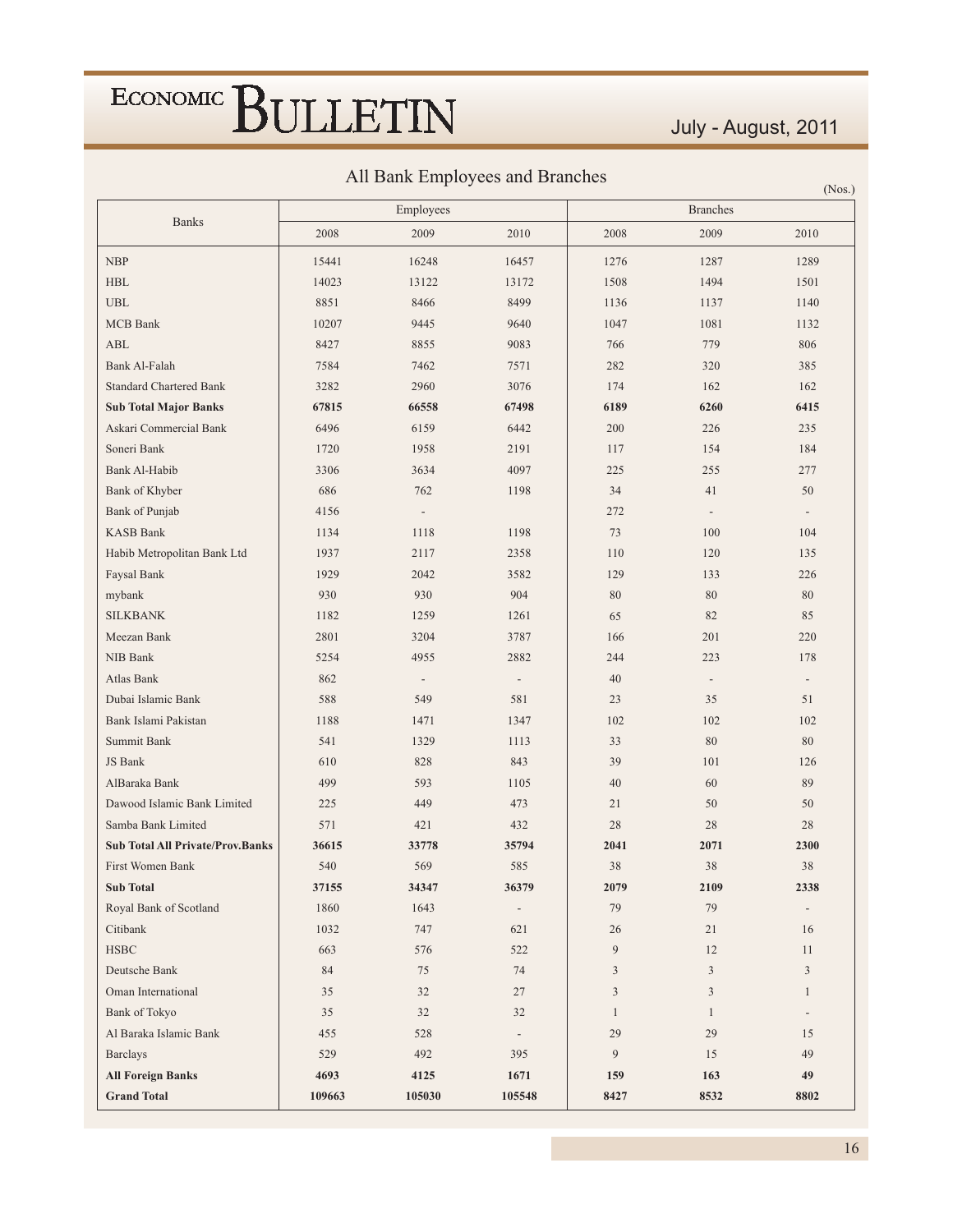### July - August, 2011

All Bank Employees and Branches

|                                         |        | THE Daily Employees and Diamenes |                          |                |                          | (Nos.)                   |
|-----------------------------------------|--------|----------------------------------|--------------------------|----------------|--------------------------|--------------------------|
| <b>Banks</b>                            |        | Employees                        |                          |                | <b>Branches</b>          |                          |
|                                         | 2008   | 2009                             | 2010                     | 2008           | 2009                     | 2010                     |
| NBP                                     | 15441  | 16248                            | 16457                    | 1276           | 1287                     | 1289                     |
| $\operatorname{HBL}$                    | 14023  | 13122                            | 13172                    | 1508           | 1494                     | 1501                     |
| <b>UBL</b>                              | 8851   | 8466                             | 8499                     | 1136           | 1137                     | 1140                     |
| <b>MCB</b> Bank                         | 10207  | 9445                             | 9640                     | 1047           | 1081                     | 1132                     |
| <b>ABL</b>                              | 8427   | 8855                             | 9083                     | 766            | 779                      | 806                      |
| Bank Al-Falah                           | 7584   | 7462                             | 7571                     | 282            | 320                      | 385                      |
| <b>Standard Chartered Bank</b>          | 3282   | 2960                             | 3076                     | 174            | 162                      | 162                      |
| <b>Sub Total Major Banks</b>            | 67815  | 66558                            | 67498                    | 6189           | 6260                     | 6415                     |
| Askari Commercial Bank                  | 6496   | 6159                             | 6442                     | 200            | 226                      | 235                      |
| Soneri Bank                             | 1720   | 1958                             | 2191                     | 117            | 154                      | 184                      |
| Bank Al-Habib                           | 3306   | 3634                             | 4097                     | 225            | 255                      | 277                      |
| Bank of Khyber                          | 686    | 762                              | 1198                     | 34             | 41                       | 50                       |
| Bank of Punjab                          | 4156   | $\overline{\phantom{a}}$         |                          | 272            | $\overline{\phantom{a}}$ | $\overline{\phantom{a}}$ |
| <b>KASB Bank</b>                        | 1134   | 1118                             | 1198                     | 73             | 100                      | 104                      |
| Habib Metropolitan Bank Ltd             | 1937   | 2117                             | 2358                     | 110            | 120                      | 135                      |
| Faysal Bank                             | 1929   | 2042                             | 3582                     | 129            | 133                      | 226                      |
| mybank                                  | 930    | 930                              | 904                      | 80             | $80\,$                   | 80                       |
| <b>SILKBANK</b>                         | 1182   | 1259                             | 1261                     | 65             | 82                       | 85                       |
| Meezan Bank                             | 2801   | 3204                             | 3787                     | 166            | 201                      | 220                      |
| NIB Bank                                | 5254   | 4955                             | 2882                     | 244            | 223                      | 178                      |
| Atlas Bank                              | 862    | $\overline{\phantom{a}}$         | $\overline{\phantom{a}}$ | 40             | $\overline{\phantom{a}}$ | $\overline{\phantom{a}}$ |
| Dubai Islamic Bank                      | 588    | 549                              | 581                      | 23             | 35                       | 51                       |
| Bank Islami Pakistan                    | 1188   | 1471                             | 1347                     | 102            | 102                      | 102                      |
| Summit Bank                             | 541    | 1329                             | 1113                     | 33             | 80                       | 80                       |
| JS Bank                                 | 610    | 828                              | 843                      | 39             | 101                      | 126                      |
| AlBaraka Bank                           | 499    | 593                              | 1105                     | 40             | 60                       | 89                       |
| Dawood Islamic Bank Limited             | 225    | 449                              | 473                      | 21             | 50                       | 50                       |
| Samba Bank Limited                      | 571    | 421                              | 432                      | 28             | 28                       | 28                       |
| <b>Sub Total All Private/Prov.Banks</b> | 36615  | 33778                            | 35794                    | 2041           | 2071                     | 2300                     |
| First Women Bank                        | 540    | 569                              | 585                      | 38             | 38                       | 38                       |
| <b>Sub Total</b>                        | 37155  | 34347                            | 36379                    | 2079           | 2109                     | 2338                     |
| Royal Bank of Scotland                  | 1860   | 1643                             | $\overline{\phantom{a}}$ | 79             | 79                       |                          |
| Citibank                                | 1032   | 747                              | 621                      | 26             | 21                       | 16                       |
| $_{\rm HSBC}$                           | 663    | 576                              | 522                      | 9              | 12                       | 11                       |
| Deutsche Bank                           | 84     | 75                               | 74                       | 3              | $\mathfrak{Z}$           | $\mathfrak{Z}$           |
| Oman International                      | 35     | 32                               | 27                       | $\overline{3}$ | $\mathfrak{Z}$           | $\mathbf{1}$             |
| Bank of Tokyo                           | 35     | 32                               | 32                       | $\mathbf{1}$   | $\mathbf{1}$             | $\overline{\phantom{a}}$ |
| Al Baraka Islamic Bank                  | 455    | 528                              | $\overline{\phantom{a}}$ | 29             | 29                       | 15                       |
| <b>Barclays</b>                         | 529    | 492                              | 395                      | 9              | 15                       | 49                       |
| <b>All Foreign Banks</b>                | 4693   | 4125                             | 1671                     | 159            | 163                      | 49                       |
| <b>Grand Total</b>                      | 109663 | 105030                           | 105548                   | 8427           | 8532                     | 8802                     |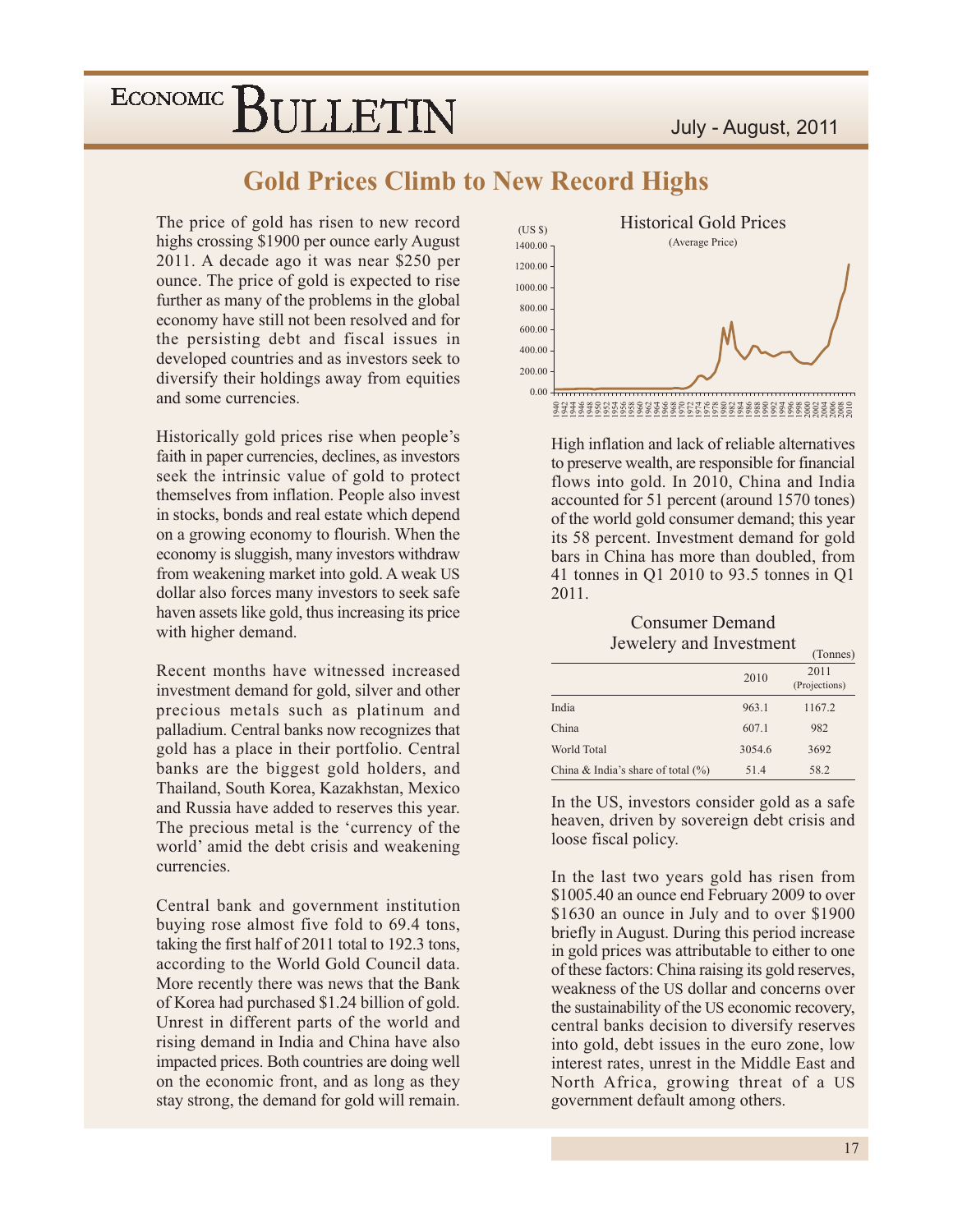### **Gold Prices Climb to New Record Highs**

The price of gold has risen to new record highs crossing \$1900 per ounce early August 2011. A decade ago it was near \$250 per ounce. The price of gold is expected to rise further as many of the problems in the global economy have still not been resolved and for the persisting debt and fiscal issues in developed countries and as investors seek to diversify their holdings away from equities and some currencies.

Historically gold prices rise when people's faith in paper currencies, declines, as investors seek the intrinsic value of gold to protect themselves from inflation. People also invest in stocks, bonds and real estate which depend on a growing economy to flourish. When the economy is sluggish, many investors withdraw from weakening market into gold. A weak US dollar also forces many investors to seek safe haven assets like gold, thus increasing its price with higher demand.

Recent months have witnessed increased investment demand for gold, silver and other precious metals such as platinum and palladium. Central banks now recognizes that gold has a place in their portfolio. Central banks are the biggest gold holders, and Thailand, South Korea, Kazakhstan, Mexico and Russia have added to reserves this year. The precious metal is the 'currency of the world' amid the debt crisis and weakening currencies.

Central bank and government institution buying rose almost five fold to 69.4 tons, taking the first half of 2011 total to 192.3 tons, according to the World Gold Council data. More recently there was news that the Bank of Korea had purchased \$1.24 billion of gold. Unrest in different parts of the world and rising demand in India and China have also impacted prices. Both countries are doing well on the economic front, and as long as they stay strong, the demand for gold will remain.



High inflation and lack of reliable alternatives to preserve wealth, are responsible for financial flows into gold. In 2010, China and India accounted for 51 percent (around 1570 tones) of the world gold consumer demand; this year its 58 percent. Investment demand for gold bars in China has more than doubled, from 41 tonnes in Q1 2010 to 93.5 tonnes in Q1 2011.

#### **Consumer Demand** Jewelery and Investment

|                                       |        | (Tonnes)              |
|---------------------------------------|--------|-----------------------|
|                                       | 2010   | 2011<br>(Projections) |
| India                                 | 963.1  | 1167.2                |
| China                                 | 607.1  | 982                   |
| World Total                           | 3054.6 | 3692                  |
| China & India's share of total $(\%)$ | 51.4   | 58.2                  |

In the US, investors consider gold as a safe heaven, driven by sovereign debt crisis and loose fiscal policy.

In the last two years gold has risen from \$1005.40 an ounce end February 2009 to over \$1630 an ounce in July and to over \$1900 briefly in August. During this period increase in gold prices was attributable to either to one of these factors: China raising its gold reserves, weakness of the US dollar and concerns over the sustainability of the US economic recovery, central banks decision to diversify reserves into gold, debt issues in the euro zone, low interest rates, unrest in the Middle East and North Africa, growing threat of a US government default among others.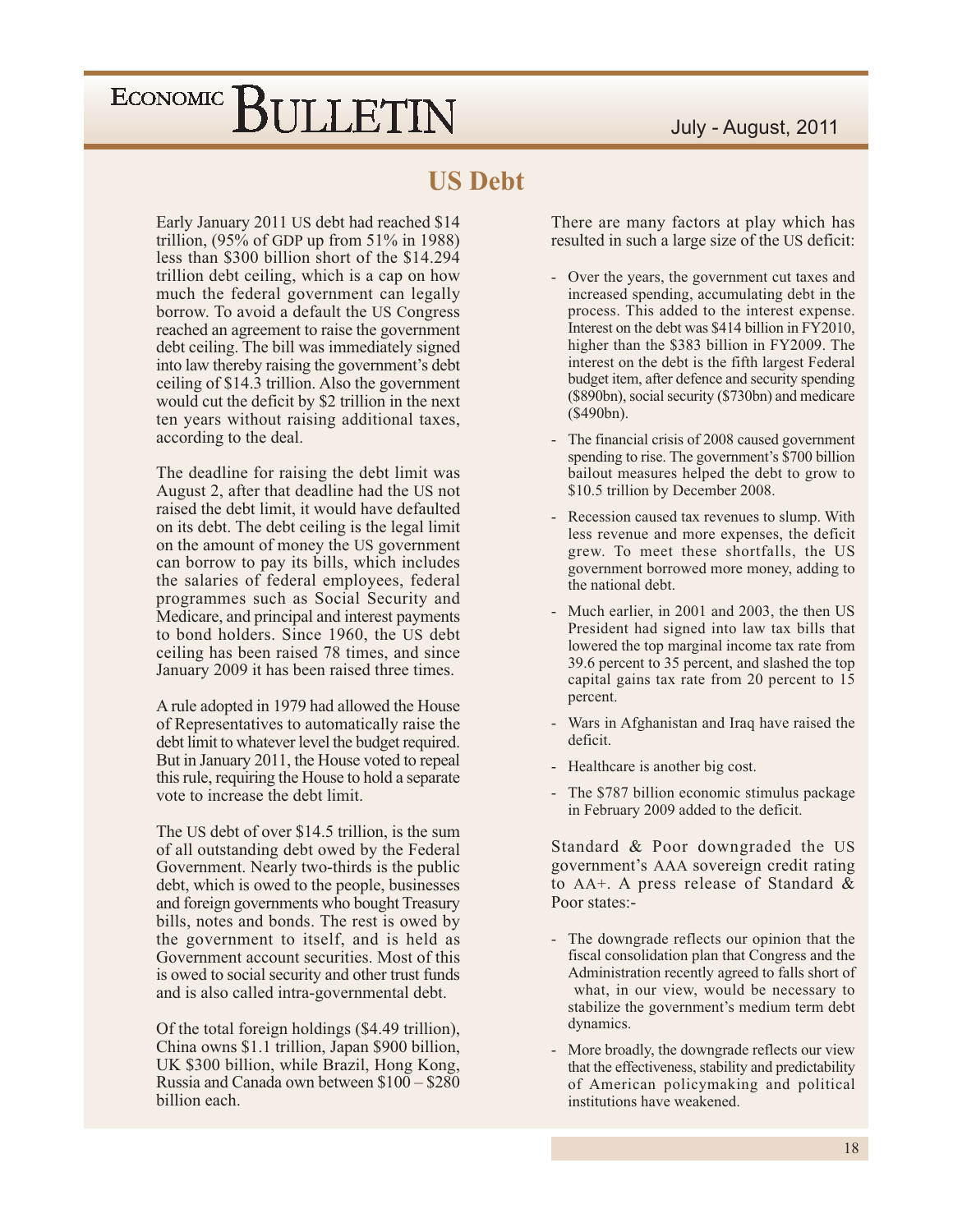### **US Debt**

Early January 2011 US debt had reached \$14 trillion,  $(95\% \text{ of GDP up from } 51\% \text{ in } 1988)$ less than \$300 billion short of the \$14.294 trillion debt ceiling, which is a cap on how much the federal government can legally borrow. To avoid a default the US Congress reached an agreement to raise the government debt ceiling. The bill was immediately signed into law thereby raising the government's debt ceiling of \$14.3 trillion. Also the government would cut the deficit by \$2 trillion in the next ten years without raising additional taxes, according to the deal.

The deadline for raising the debt limit was August 2, after that deadline had the US not raised the debt limit, it would have defaulted on its debt. The debt ceiling is the legal limit on the amount of money the US government can borrow to pay its bills, which includes the salaries of federal employees, federal programmes such as Social Security and Medicare, and principal and interest payments to bond holders. Since 1960, the US debt ceiling has been raised 78 times, and since January 2009 it has been raised three times.

A rule adopted in 1979 had allowed the House of Representatives to automatically raise the debt limit to whatever level the budget required. But in January 2011, the House voted to repeal this rule, requiring the House to hold a separate vote to increase the debt limit.

The US debt of over \$14.5 trillion, is the sum of all outstanding debt owed by the Federal Government. Nearly two-thirds is the public debt, which is owed to the people, businesses and foreign governments who bought Treasury bills, notes and bonds. The rest is owed by the government to itself, and is held as Government account securities. Most of this is owed to social security and other trust funds and is also called intra-governmental debt.

Of the total foreign holdings (\$4.49 trillion), China owns \$1.1 trillion, Japan \$900 billion, UK \$300 billion, while Brazil, Hong Kong, Russia and Canada own between \$100 - \$280 billion each.

There are many factors at play which has resulted in such a large size of the US deficit:

- Over the years, the government cut taxes and increased spending, accumulating debt in the process. This added to the interest expense. Interest on the debt was \$414 billion in FY2010, higher than the \$383 billion in FY2009. The interest on the debt is the fifth largest Federal budget item, after defence and security spending (\$890bn), social security (\$730bn) and medicare  $($490bn).$
- The financial crisis of 2008 caused government spending to rise. The government's \$700 billion bailout measures helped the debt to grow to \$10.5 trillion by December 2008.
- Recession caused tax revenues to slump. With less revenue and more expenses, the deficit grew. To meet these shortfalls, the US government borrowed more money, adding to the national debt.
- Much earlier, in 2001 and 2003, the then US President had signed into law tax bills that lowered the top marginal income tax rate from 39.6 percent to 35 percent, and slashed the top capital gains tax rate from 20 percent to 15 percent.
- Wars in Afghanistan and Iraq have raised the deficit.
- Healthcare is another big cost.
- The \$787 billion economic stimulus package in February 2009 added to the deficit.

Standard & Poor downgraded the US government's AAA sovereign credit rating to AA+. A press release of Standard & Poor states:-

- The downgrade reflects our opinion that the fiscal consolidation plan that Congress and the Administration recently agreed to falls short of what, in our view, would be necessary to stabilize the government's medium term debt dynamics.
- More broadly, the downgrade reflects our view that the effectiveness, stability and predictability of American policymaking and political institutions have weakened.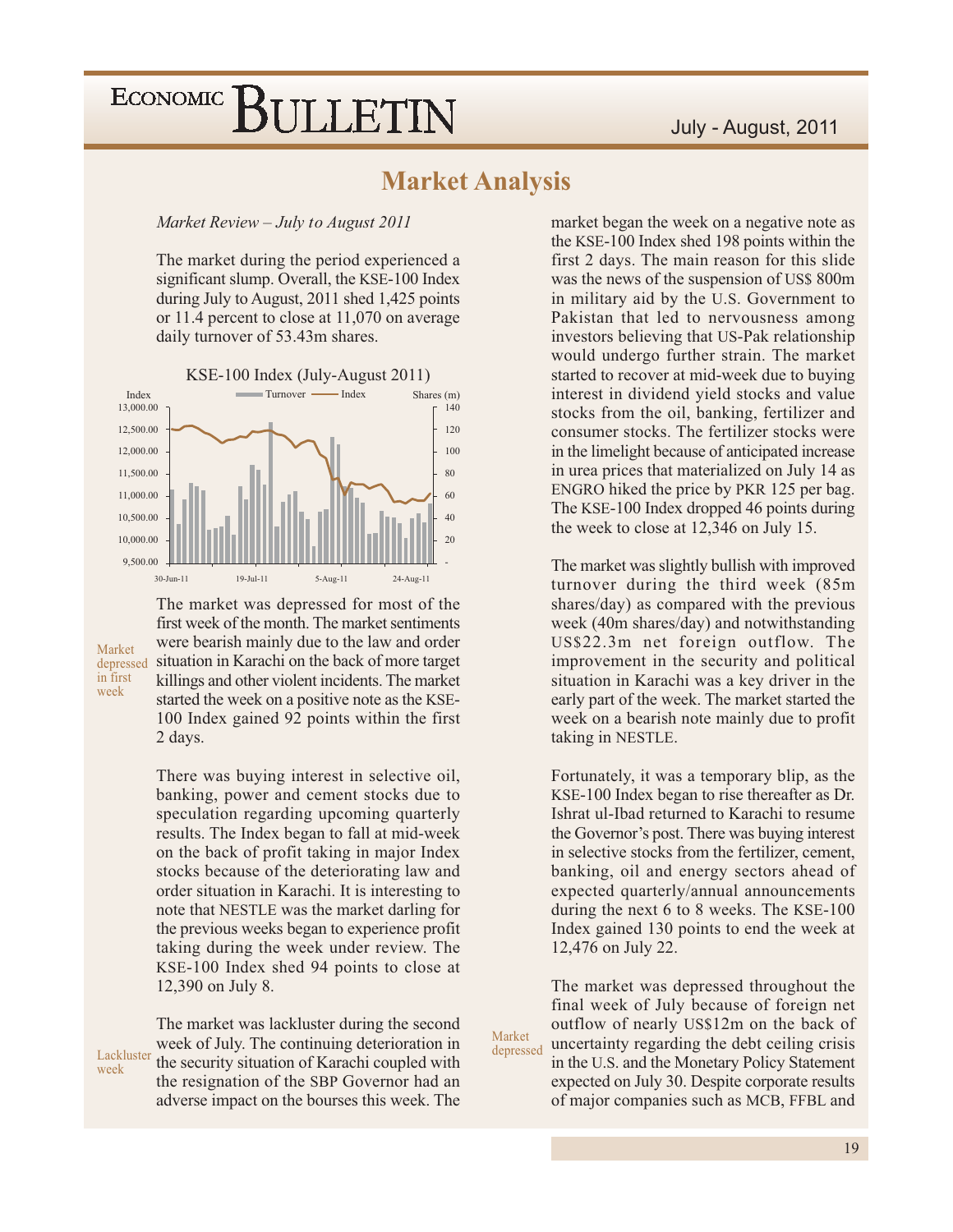#### **Market Analysis**

Market Review - July to August 2011

The market during the period experienced a significant slump. Overall, the KSE-100 Index during July to August, 2011 shed 1,425 points or 11.4 percent to close at 11,070 on average daily turnover of 53.43m shares.



Market in first week

week

The market was depressed for most of the first week of the month. The market sentiments were bearish mainly due to the law and order depressed situation in Karachi on the back of more target killings and other violent incidents. The market started the week on a positive note as the KSE-100 Index gained 92 points within the first 2 days.

> There was buying interest in selective oil, banking, power and cement stocks due to speculation regarding upcoming quarterly results. The Index began to fall at mid-week on the back of profit taking in major Index stocks because of the deteriorating law and order situation in Karachi. It is interesting to note that NESTLE was the market darling for the previous weeks began to experience profit taking during the week under review. The KSE-100 Index shed 94 points to close at 12,390 on July 8.

The market was lackluster during the second week of July. The continuing deterioration in Lackluster the security situation of Karachi coupled with the resignation of the SBP Governor had an adverse impact on the bourses this week. The

market began the week on a negative note as the KSE-100 Index shed 198 points within the first 2 days. The main reason for this slide was the news of the suspension of US\$ 800m in military aid by the U.S. Government to Pakistan that led to nervousness among investors believing that US-Pak relationship would undergo further strain. The market started to recover at mid-week due to buying interest in dividend yield stocks and value stocks from the oil, banking, fertilizer and consumer stocks. The fertilizer stocks were in the limelight because of anticipated increase in urea prices that materialized on July 14 as ENGRO hiked the price by PKR 125 per bag. The KSE-100 Index dropped 46 points during the week to close at 12,346 on July 15.

The market was slightly bullish with improved turnover during the third week (85m shares/day) as compared with the previous week (40m shares/day) and notwithstanding US\$22.3m net foreign outflow. The improvement in the security and political situation in Karachi was a key driver in the early part of the week. The market started the week on a bearish note mainly due to profit taking in NESTLE.

Fortunately, it was a temporary blip, as the KSE-100 Index began to rise thereafter as Dr. Ishrat ul-Ibad returned to Karachi to resume the Governor's post. There was buying interest in selective stocks from the fertilizer, cement, banking, oil and energy sectors ahead of expected quarterly/annual announcements during the next 6 to 8 weeks. The KSE-100 Index gained 130 points to end the week at 12,476 on July 22.

The market was depressed throughout the final week of July because of foreign net outflow of nearly US\$12m on the back of uncertainty regarding the debt ceiling crisis in the U.S. and the Monetary Policy Statement expected on July 30. Despite corporate results of major companies such as MCB, FFBL and

Market depressed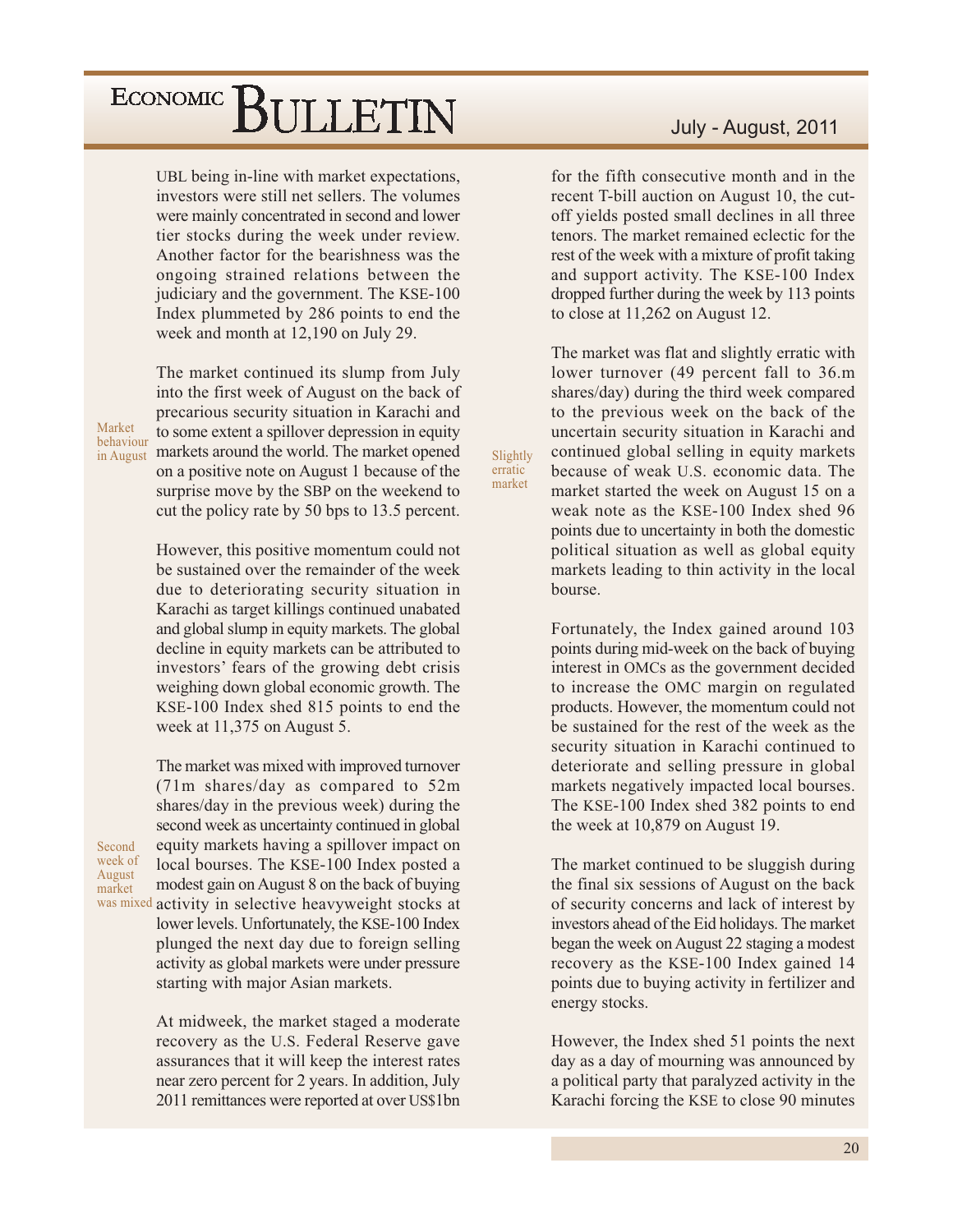UBL being in-line with market expectations, investors were still net sellers. The volumes were mainly concentrated in second and lower tier stocks during the week under review. Another factor for the bearishness was the ongoing strained relations between the judiciary and the government. The KSE-100 Index plummeted by 286 points to end the week and month at 12,190 on July 29.

Market behaviour

Second

week of

August

market

The market continued its slump from July into the first week of August on the back of precarious security situation in Karachi and to some extent a spillover depression in equity in August markets around the world. The market opened on a positive note on August 1 because of the surprise move by the SBP on the weekend to cut the policy rate by 50 bps to 13.5 percent.

> However, this positive momentum could not be sustained over the remainder of the week due to deteriorating security situation in Karachi as target killings continued unabated and global slump in equity markets. The global decline in equity markets can be attributed to investors' fears of the growing debt crisis weighing down global economic growth. The KSE-100 Index shed 815 points to end the week at 11,375 on August 5.

The market was mixed with improved turnover  $(71m \text{ shares}/day \text{ as compared to } 52m)$ shares/day in the previous week) during the second week as uncertainty continued in global equity markets having a spillover impact on local bourses. The KSE-100 Index posted a modest gain on August 8 on the back of buying was mixed activity in selective heavyweight stocks at lower levels. Unfortunately, the KSE-100 Index plunged the next day due to foreign selling activity as global markets were under pressure starting with major Asian markets.

> At midweek, the market staged a moderate recovery as the U.S. Federal Reserve gave assurances that it will keep the interest rates near zero percent for 2 years. In addition, July 2011 remittances were reported at over US\$1bn

July - August, 2011

for the fifth consecutive month and in the recent T-bill auction on August 10, the cutoff yields posted small declines in all three tenors. The market remained eclectic for the rest of the week with a mixture of profit taking and support activity. The KSE-100 Index dropped further during the week by 113 points to close at 11,262 on August 12.

The market was flat and slightly erratic with lower turnover (49 percent fall to 36.m) shares/day) during the third week compared to the previous week on the back of the uncertain security situation in Karachi and continued global selling in equity markets because of weak U.S. economic data. The market started the week on August 15 on a weak note as the KSE-100 Index shed 96 points due to uncertainty in both the domestic political situation as well as global equity markets leading to thin activity in the local bourse.

Slightly erratic

market

Fortunately, the Index gained around 103 points during mid-week on the back of buying interest in OMCs as the government decided to increase the OMC margin on regulated products. However, the momentum could not be sustained for the rest of the week as the security situation in Karachi continued to deteriorate and selling pressure in global markets negatively impacted local bourses. The KSE-100 Index shed 382 points to end the week at  $10,879$  on August 19.

The market continued to be sluggish during the final six sessions of August on the back of security concerns and lack of interest by investors ahead of the Eid holidays. The market began the week on August 22 staging a modest recovery as the KSE-100 Index gained 14 points due to buying activity in fertilizer and energy stocks.

However, the Index shed 51 points the next day as a day of mourning was announced by a political party that paralyzed activity in the Karachi forcing the KSE to close 90 minutes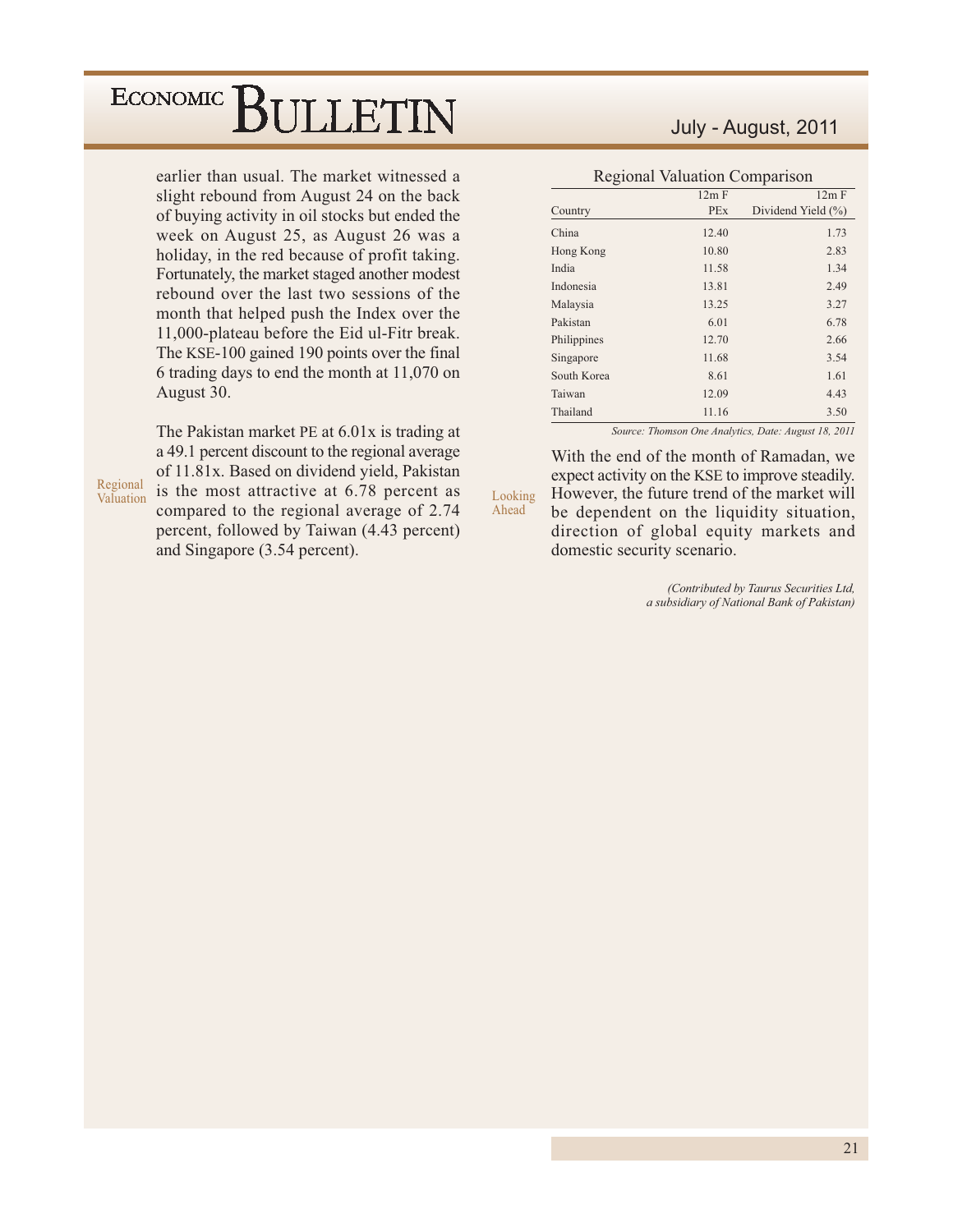earlier than usual. The market witnessed a slight rebound from August 24 on the back of buying activity in oil stocks but ended the week on August 25, as August 26 was a holiday, in the red because of profit taking. Fortunately, the market staged another modest rebound over the last two sessions of the month that helped push the Index over the 11,000-plateau before the Eid ul-Fitr break. The KSE-100 gained 190 points over the final 6 trading days to end the month at 11,070 on August 30.

The Pakistan market PE at 6.01x is trading at a 49.1 percent discount to the regional average of 11.81x. Based on dividend yield, Pakistan is the most attractive at 6.78 percent as compared to the regional average of 2.74 percent, followed by Taiwan (4.43 percent) and Singapore (3.54 percent).

Regional

Valuation

#### July - August, 2011

| <b>Regional Valuation Comparison</b> |            |                    |  |  |  |  |  |  |  |  |  |
|--------------------------------------|------------|--------------------|--|--|--|--|--|--|--|--|--|
|                                      | 12m F      | 12m F              |  |  |  |  |  |  |  |  |  |
| Country                              | <b>PEx</b> | Dividend Yield (%) |  |  |  |  |  |  |  |  |  |
| China                                | 12.40      | 1.73               |  |  |  |  |  |  |  |  |  |
| Hong Kong                            | 10.80      | 2.83               |  |  |  |  |  |  |  |  |  |
| India                                | 11.58      | 1.34               |  |  |  |  |  |  |  |  |  |
| Indonesia                            | 13.81      | 2.49               |  |  |  |  |  |  |  |  |  |
| Malaysia                             | 13.25      | 3.27               |  |  |  |  |  |  |  |  |  |
| Pakistan                             | 6.01       | 6.78               |  |  |  |  |  |  |  |  |  |
| Philippines                          | 12.70      | 2.66               |  |  |  |  |  |  |  |  |  |
| Singapore                            | 11.68      | 3.54               |  |  |  |  |  |  |  |  |  |
| South Korea                          | 8.61       | 1.61               |  |  |  |  |  |  |  |  |  |
| Taiwan                               | 12.09      | 4.43               |  |  |  |  |  |  |  |  |  |
| Thailand                             | 11.16      | 3.50               |  |  |  |  |  |  |  |  |  |

Source: Thomson One Analytics, Date: August 18, 2011

With the end of the month of Ramadan, we expect activity on the KSE to improve steadily. However, the future trend of the market will Looking be dependent on the liquidity situation, direction of global equity markets and domestic security scenario.

Ahead

(Contributed by Taurus Securities Ltd, a subsidiary of National Bank of Pakistan)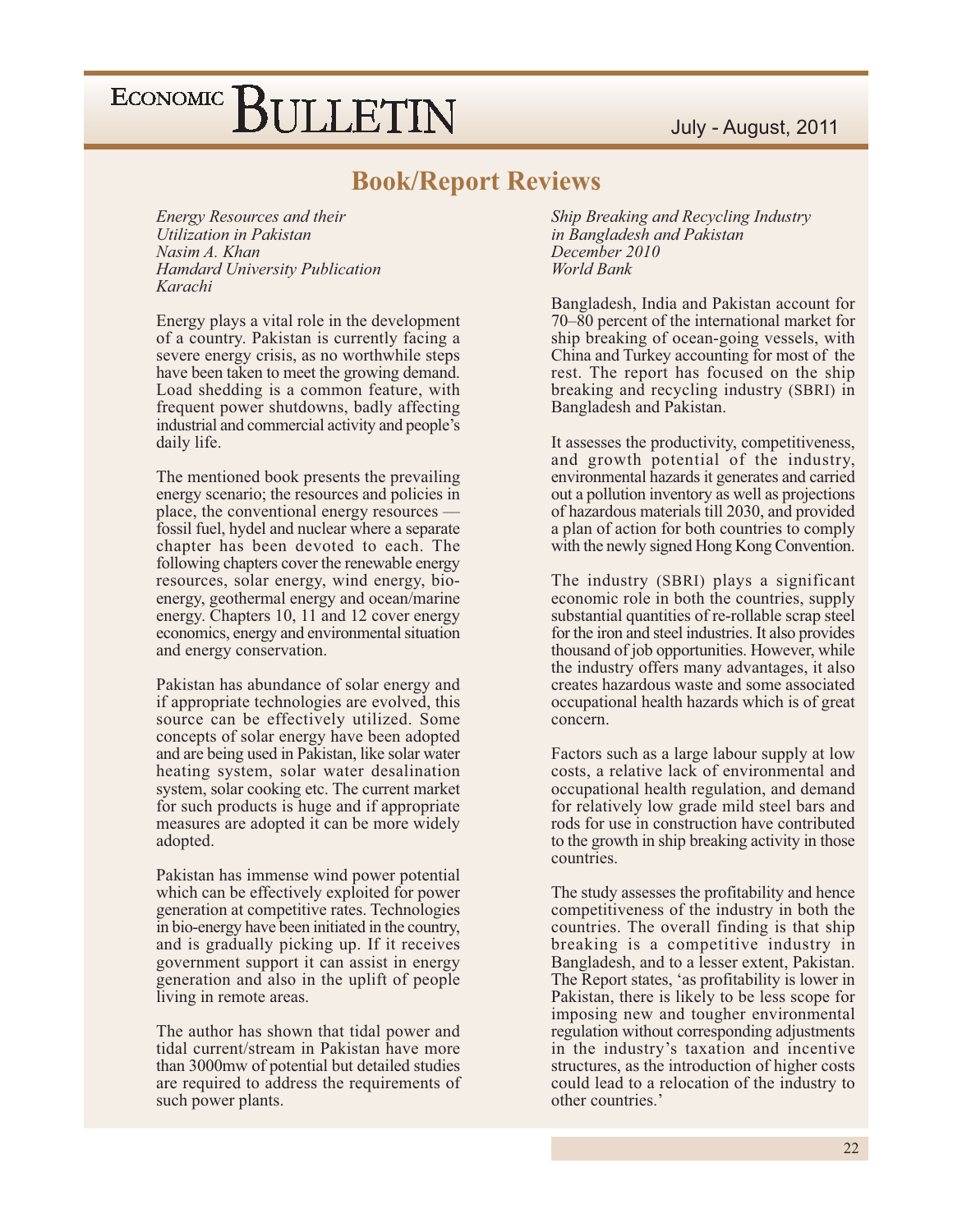#### July - August, 2011

# ECONOMIC BULLETIN

#### **Book/Report Reviews**

**Energy Resources and their** Utilization in Pakistan Nasim A. Khan **Hamdard University Publication** Karachi

Energy plays a vital role in the development of a country. Pakistan is currently facing a severe energy crisis, as no worthwhile steps have been taken to meet the growing demand. Load shedding is a common feature, with frequent power shutdowns, badly affecting industrial and commercial activity and people's daily life.

The mentioned book presents the prevailing energy scenario; the resources and policies in place, the conventional energy resources fossil fuel, hydel and nuclear where a separate chapter has been devoted to each. The following chapters cover the renewable energy resources, solar energy, wind energy, bioenergy, geothermal energy and ocean/marine energy. Chapters 10, 11 and 12 cover energy economics, energy and environmental situation and energy conservation.

Pakistan has abundance of solar energy and if appropriate technologies are evolved, this source can be effectively utilized. Some concepts of solar energy have been adopted and are being used in Pakistan, like solar water heating system, solar water desalination system, solar cooking etc. The current market for such products is huge and if appropriate measures are adopted it can be more widely adopted.

Pakistan has immense wind power potential which can be effectively exploited for power generation at competitive rates. Technologies in bio-energy have been initiated in the country, and is gradually picking up. If it receives government support it can assist in energy generation and also in the uplift of people living in remote areas.

The author has shown that tidal power and tidal current/stream in Pakistan have more than 3000mw of potential but detailed studies are required to address the requirements of such power plants.

Ship Breaking and Recycling Industry in Bangladesh and Pakistan December 2010 World Bank

Bangladesh, India and Pakistan account for 70–80 percent of the international market for ship breaking of ocean-going vessels, with China and Turkey accounting for most of the rest. The report has focused on the ship breaking and recycling industry (SBRI) in Bangladesh and Pakistan.

It assesses the productivity, competitiveness, and growth potential of the industry, environmental hazards it generates and carried out a pollution inventory as well as projections of hazardous materials till 2030, and provided a plan of action for both countries to comply with the newly signed Hong Kong Convention.

The industry (SBRI) plays a significant economic role in both the countries, supply substantial quantities of re-rollable scrap steel for the iron and steel industries. It also provides thousand of job opportunities. However, while the industry offers many advantages, it also creates hazardous waste and some associated occupational health hazards which is of great concern.

Factors such as a large labour supply at low costs, a relative lack of environmental and occupational health regulation, and demand for relatively low grade mild steel bars and rods for use in construction have contributed to the growth in ship breaking activity in those countries.

The study assesses the profitability and hence competitiveness of the industry in both the countries. The overall finding is that ship breaking is a competitive industry in Bangladesh, and to a lesser extent, Pakistan. The Report states, 'as profitability is lower in Pakistan, there is likely to be less scope for imposing new and tougher environmental regulation without corresponding adjustments in the industry's taxation and incentive structures, as the introduction of higher costs could lead to a relocation of the industry to other countries.'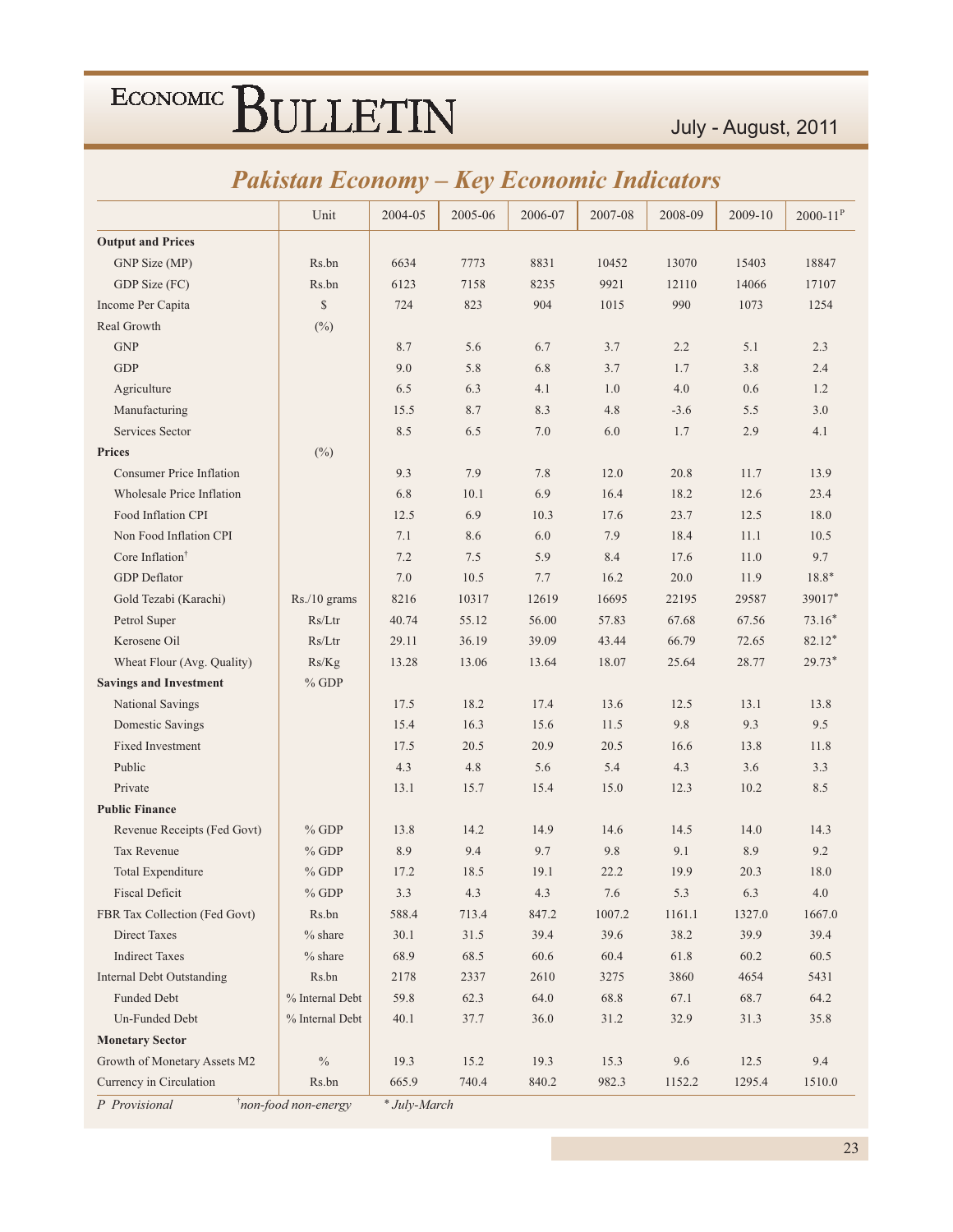|                                  | Unit            | 2004-05 | 2005-06 | 2006-07 | 2007-08 | 2008-09 | 2009-10 | $2000 - 11^{P}$ |
|----------------------------------|-----------------|---------|---------|---------|---------|---------|---------|-----------------|
| <b>Output and Prices</b>         |                 |         |         |         |         |         |         |                 |
| GNP Size (MP)                    | Rs.bn           | 6634    | 7773    | 8831    | 10452   | 13070   | 15403   | 18847           |
| GDP Size (FC)                    | Rs.bn           | 6123    | 7158    | 8235    | 9921    | 12110   | 14066   | 17107           |
| Income Per Capita                | \$              | 724     | 823     | 904     | 1015    | 990     | 1073    | 1254            |
| Real Growth                      | $(\%)$          |         |         |         |         |         |         |                 |
| <b>GNP</b>                       |                 | 8.7     | 5.6     | 6.7     | 3.7     | 2.2     | 5.1     | 2.3             |
| <b>GDP</b>                       |                 | 9.0     | 5.8     | 6.8     | 3.7     | 1.7     | 3.8     | 2.4             |
| Agriculture                      |                 | 6.5     | 6.3     | 4.1     | 1.0     | 4.0     | 0.6     | 1.2             |
| Manufacturing                    |                 | 15.5    | 8.7     | 8.3     | 4.8     | $-3.6$  | 5.5     | 3.0             |
| Services Sector                  |                 | 8.5     | 6.5     | 7.0     | 6.0     | 1.7     | 2.9     | 4.1             |
| <b>Prices</b>                    | $(\%)$          |         |         |         |         |         |         |                 |
| <b>Consumer Price Inflation</b>  |                 | 9.3     | 7.9     | 7.8     | 12.0    | 20.8    | 11.7    | 13.9            |
| Wholesale Price Inflation        |                 | 6.8     | 10.1    | 6.9     | 16.4    | 18.2    | 12.6    | 23.4            |
| Food Inflation CPI               |                 | 12.5    | 6.9     | 10.3    | 17.6    | 23.7    | 12.5    | 18.0            |
| Non Food Inflation CPI           |                 | 7.1     | 8.6     | 6.0     | 7.9     | 18.4    | 11.1    | 10.5            |
| Core Inflation <sup>†</sup>      |                 | 7.2     | 7.5     | 5.9     | 8.4     | 17.6    | 11.0    | 9.7             |
| <b>GDP</b> Deflator              |                 | 7.0     | 10.5    | 7.7     | 16.2    | 20.0    | 11.9    | $18.8*$         |
| Gold Tezabi (Karachi)            | $Rs./10$ grams  | 8216    | 10317   | 12619   | 16695   | 22195   | 29587   | 39017*          |
| Petrol Super                     | Rs/Ltr          | 40.74   | 55.12   | 56.00   | 57.83   | 67.68   | 67.56   | $73.16*$        |
| Kerosene Oil                     | Rs/Ltr          | 29.11   | 36.19   | 39.09   | 43.44   | 66.79   | 72.65   | 82.12*          |
| Wheat Flour (Avg. Quality)       | Rs/Kg           | 13.28   | 13.06   | 13.64   | 18.07   | 25.64   | 28.77   | 29.73*          |
| <b>Savings and Investment</b>    | $\%$ GDP        |         |         |         |         |         |         |                 |
| National Savings                 |                 | 17.5    | 18.2    | 17.4    | 13.6    | 12.5    | 13.1    | 13.8            |
| Domestic Savings                 |                 | 15.4    | 16.3    | 15.6    | 11.5    | 9.8     | 9.3     | 9.5             |
| <b>Fixed Investment</b>          |                 | 17.5    | 20.5    | 20.9    | 20.5    | 16.6    | 13.8    | 11.8            |
| Public                           |                 | 4.3     | 4.8     | 5.6     | 5.4     | 4.3     | 3.6     | 3.3             |
| Private                          |                 | 13.1    | 15.7    | 15.4    | 15.0    | 12.3    | 10.2    | 8.5             |
| <b>Public Finance</b>            |                 |         |         |         |         |         |         |                 |
| Revenue Receipts (Fed Govt)      | $%$ GDP         | 13.8    | 14.2    | 14.9    | 14.6    | 14.5    | 14.0    | 14.3            |
| <b>Tax Revenue</b>               | $%$ GDP         | 8.9     | 9.4     | 9.7     | 9.8     | 9.1     | 8.9     | 9.2             |
| Total Expenditure                | $%$ GDP         | 17.2    | 18.5    | 19.1    | 22.2    | 19.9    | 20.3    | 18.0            |
| <b>Fiscal Deficit</b>            | $\%$ GDP        | 3.3     | 4.3     | 4.3     | 7.6     | 5.3     | 6.3     | $4.0\,$         |
| FBR Tax Collection (Fed Govt)    | Rs.bn           | 588.4   | 713.4   | 847.2   | 1007.2  | 1161.1  | 1327.0  | 1667.0          |
| <b>Direct Taxes</b>              | $%$ share       | 30.1    | 31.5    | 39.4    | 39.6    | 38.2    | 39.9    | 39.4            |
| <b>Indirect Taxes</b>            | $%$ share       | 68.9    | 68.5    | 60.6    | 60.4    | 61.8    | 60.2    | 60.5            |
| <b>Internal Debt Outstanding</b> | Rs.bn           | 2178    | 2337    | 2610    | 3275    | 3860    | 4654    | 5431            |
| Funded Debt                      | % Internal Debt | 59.8    | 62.3    | 64.0    | 68.8    | 67.1    | 68.7    | 64.2            |
| Un-Funded Debt                   | % Internal Debt | 40.1    | 37.7    | 36.0    | 31.2    | 32.9    | 31.3    | 35.8            |
| <b>Monetary Sector</b>           |                 |         |         |         |         |         |         |                 |
| Growth of Monetary Assets M2     |                 |         |         |         |         |         |         |                 |
|                                  | $\%$            | 19.3    | 15.2    | 19.3    | 15.3    | 9.6     | 12.5    | 9.4             |

### *Pakistan Economy – Key Economic Indicators*

*P Provisional* 

*k f non-food non-energy*  $*$  *Jul* y-March